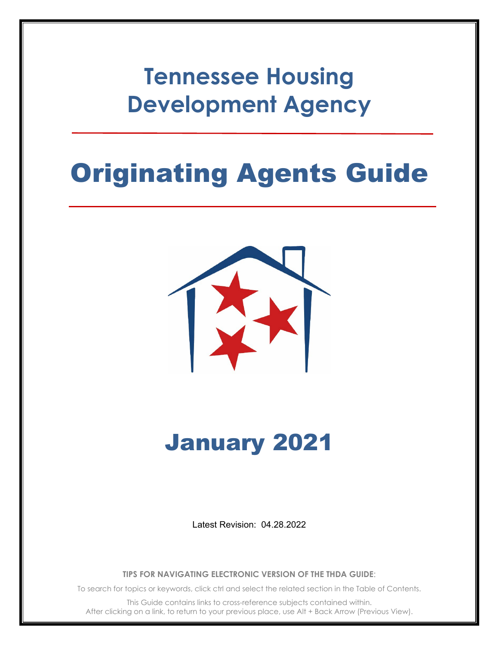**Tennessee Housing Development Agency**

# Originating Agents Guide



January 2021

Latest Revision: 04.28.2022

**TIPS FOR NAVIGATING ELECTRONIC VERSION OF THE THDA GUIDE**:

To search for topics or keywords, click ctrl and select the related section in the Table of Contents.

This Guide contains links to cross-reference subjects contained within. After clicking on a link, to return to your previous place, use Alt + Back Arrow (Previous View).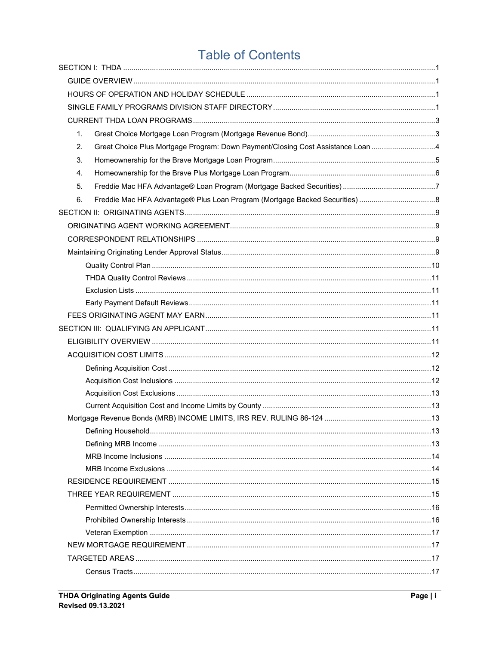# **Table of Contents**

| 1. |                                                                                 |  |
|----|---------------------------------------------------------------------------------|--|
| 2. | Great Choice Plus Mortgage Program: Down Payment/Closing Cost Assistance Loan 4 |  |
| 3. |                                                                                 |  |
| 4. |                                                                                 |  |
| 5. |                                                                                 |  |
| 6. |                                                                                 |  |
|    |                                                                                 |  |
|    |                                                                                 |  |
|    |                                                                                 |  |
|    |                                                                                 |  |
|    |                                                                                 |  |
|    |                                                                                 |  |
|    |                                                                                 |  |
|    |                                                                                 |  |
|    |                                                                                 |  |
|    |                                                                                 |  |
|    |                                                                                 |  |
|    |                                                                                 |  |
|    |                                                                                 |  |
|    |                                                                                 |  |
|    |                                                                                 |  |
|    |                                                                                 |  |
|    |                                                                                 |  |
|    |                                                                                 |  |
|    |                                                                                 |  |
|    |                                                                                 |  |
|    |                                                                                 |  |
|    |                                                                                 |  |
|    |                                                                                 |  |
|    |                                                                                 |  |
|    |                                                                                 |  |
|    |                                                                                 |  |
|    |                                                                                 |  |
|    |                                                                                 |  |
|    |                                                                                 |  |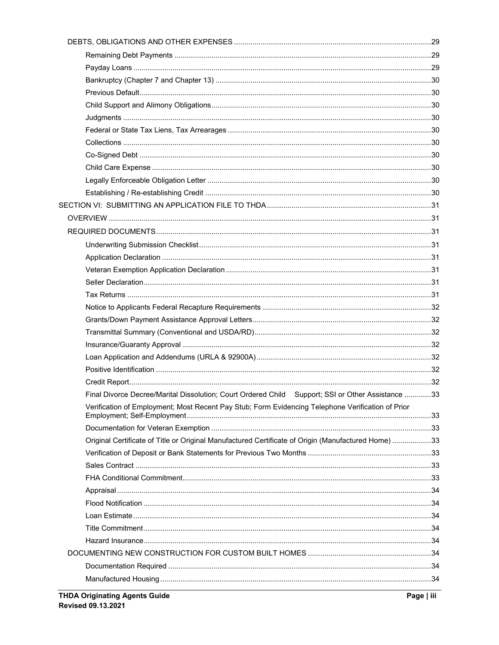| Final Divorce Decree/Marital Dissolution; Court Ordered Child Support; SSI or Other Assistance 33   |  |
|-----------------------------------------------------------------------------------------------------|--|
| Verification of Employment; Most Recent Pay Stub; Form Evidencing Telephone Verification of Prior   |  |
|                                                                                                     |  |
|                                                                                                     |  |
| Original Certificate of Title or Original Manufactured Certificate of Origin (Manufactured Home) 33 |  |
|                                                                                                     |  |
|                                                                                                     |  |
|                                                                                                     |  |
|                                                                                                     |  |
|                                                                                                     |  |
|                                                                                                     |  |
|                                                                                                     |  |
|                                                                                                     |  |
|                                                                                                     |  |
|                                                                                                     |  |
|                                                                                                     |  |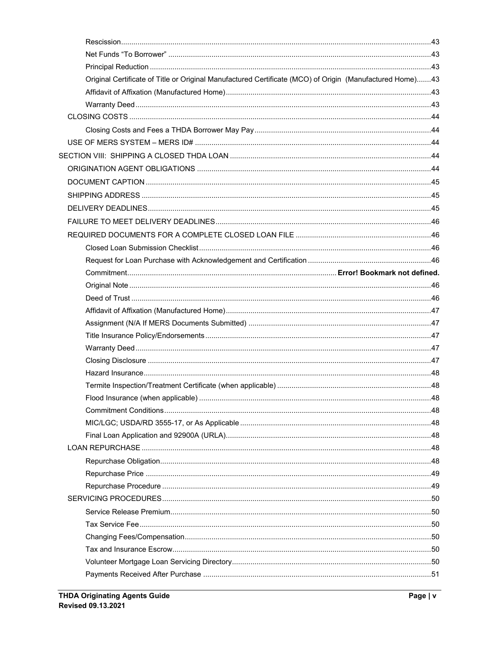| Original Certificate of Title or Original Manufactured Certificate (MCO) of Origin (Manufactured Home)43 |  |
|----------------------------------------------------------------------------------------------------------|--|
|                                                                                                          |  |
|                                                                                                          |  |
|                                                                                                          |  |
|                                                                                                          |  |
|                                                                                                          |  |
|                                                                                                          |  |
|                                                                                                          |  |
|                                                                                                          |  |
|                                                                                                          |  |
|                                                                                                          |  |
|                                                                                                          |  |
|                                                                                                          |  |
|                                                                                                          |  |
|                                                                                                          |  |
|                                                                                                          |  |
|                                                                                                          |  |
|                                                                                                          |  |
|                                                                                                          |  |
|                                                                                                          |  |
|                                                                                                          |  |
|                                                                                                          |  |
|                                                                                                          |  |
|                                                                                                          |  |
|                                                                                                          |  |
|                                                                                                          |  |
|                                                                                                          |  |
|                                                                                                          |  |
|                                                                                                          |  |
|                                                                                                          |  |
|                                                                                                          |  |
|                                                                                                          |  |
|                                                                                                          |  |
|                                                                                                          |  |
|                                                                                                          |  |
|                                                                                                          |  |
|                                                                                                          |  |
|                                                                                                          |  |
|                                                                                                          |  |
|                                                                                                          |  |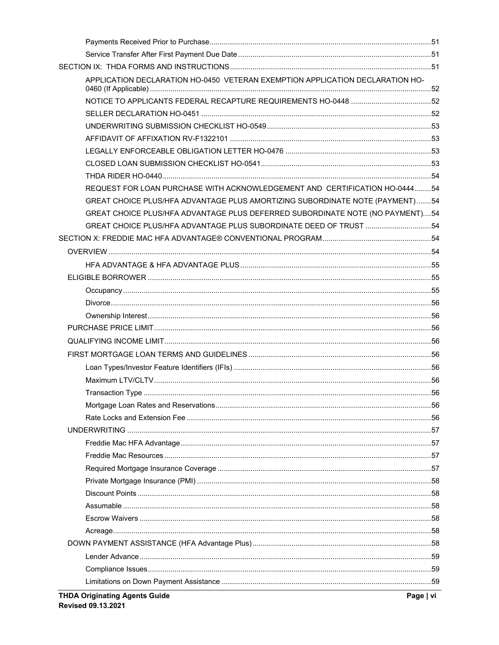| APPLICATION DECLARATION HO-0450 VETERAN EXEMPTION APPLICATION DECLARATION HO-<br>REQUEST FOR LOAN PURCHASE WITH ACKNOWLEDGEMENT AND CERTIFICATION HO-044454<br>GREAT CHOICE PLUS/HFA ADVANTAGE PLUS AMORTIZING SUBORDINATE NOTE (PAYMENT)54<br>GREAT CHOICE PLUS/HFA ADVANTAGE PLUS DEFERRED SUBORDINATE NOTE (NO PAYMENT)54<br>GREAT CHOICE PLUS/HFA ADVANTAGE PLUS SUBORDINATE DEED OF TRUST 54 |  |
|---------------------------------------------------------------------------------------------------------------------------------------------------------------------------------------------------------------------------------------------------------------------------------------------------------------------------------------------------------------------------------------------------|--|
|                                                                                                                                                                                                                                                                                                                                                                                                   |  |
|                                                                                                                                                                                                                                                                                                                                                                                                   |  |
|                                                                                                                                                                                                                                                                                                                                                                                                   |  |
|                                                                                                                                                                                                                                                                                                                                                                                                   |  |
|                                                                                                                                                                                                                                                                                                                                                                                                   |  |
|                                                                                                                                                                                                                                                                                                                                                                                                   |  |
|                                                                                                                                                                                                                                                                                                                                                                                                   |  |
|                                                                                                                                                                                                                                                                                                                                                                                                   |  |
|                                                                                                                                                                                                                                                                                                                                                                                                   |  |
|                                                                                                                                                                                                                                                                                                                                                                                                   |  |
|                                                                                                                                                                                                                                                                                                                                                                                                   |  |
|                                                                                                                                                                                                                                                                                                                                                                                                   |  |
|                                                                                                                                                                                                                                                                                                                                                                                                   |  |
|                                                                                                                                                                                                                                                                                                                                                                                                   |  |
|                                                                                                                                                                                                                                                                                                                                                                                                   |  |
|                                                                                                                                                                                                                                                                                                                                                                                                   |  |
|                                                                                                                                                                                                                                                                                                                                                                                                   |  |
|                                                                                                                                                                                                                                                                                                                                                                                                   |  |
|                                                                                                                                                                                                                                                                                                                                                                                                   |  |
|                                                                                                                                                                                                                                                                                                                                                                                                   |  |
|                                                                                                                                                                                                                                                                                                                                                                                                   |  |
|                                                                                                                                                                                                                                                                                                                                                                                                   |  |
|                                                                                                                                                                                                                                                                                                                                                                                                   |  |
|                                                                                                                                                                                                                                                                                                                                                                                                   |  |
|                                                                                                                                                                                                                                                                                                                                                                                                   |  |
|                                                                                                                                                                                                                                                                                                                                                                                                   |  |
|                                                                                                                                                                                                                                                                                                                                                                                                   |  |
|                                                                                                                                                                                                                                                                                                                                                                                                   |  |
|                                                                                                                                                                                                                                                                                                                                                                                                   |  |
|                                                                                                                                                                                                                                                                                                                                                                                                   |  |
|                                                                                                                                                                                                                                                                                                                                                                                                   |  |
|                                                                                                                                                                                                                                                                                                                                                                                                   |  |
|                                                                                                                                                                                                                                                                                                                                                                                                   |  |
|                                                                                                                                                                                                                                                                                                                                                                                                   |  |
|                                                                                                                                                                                                                                                                                                                                                                                                   |  |
|                                                                                                                                                                                                                                                                                                                                                                                                   |  |
|                                                                                                                                                                                                                                                                                                                                                                                                   |  |
|                                                                                                                                                                                                                                                                                                                                                                                                   |  |
|                                                                                                                                                                                                                                                                                                                                                                                                   |  |
|                                                                                                                                                                                                                                                                                                                                                                                                   |  |
|                                                                                                                                                                                                                                                                                                                                                                                                   |  |
|                                                                                                                                                                                                                                                                                                                                                                                                   |  |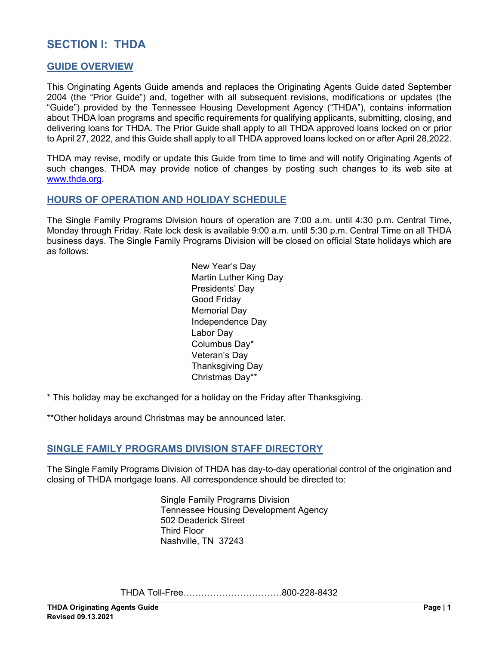# <span id="page-8-0"></span>**SECTION I: THDA**

# <span id="page-8-1"></span>**GUIDE OVERVIEW**

This Originating Agents Guide amends and replaces the Originating Agents Guide dated September 2004 (the "Prior Guide") and, together with all subsequent revisions, modifications or updates (the "Guide") provided by the Tennessee Housing Development Agency ("THDA"), contains information about THDA loan programs and specific requirements for qualifying applicants, submitting, closing, and delivering loans for THDA. The Prior Guide shall apply to all THDA approved loans locked on or prior to April 27, 2022, and this Guide shall apply to all THDA approved loans locked on or after April 28,2022.

THDA may revise, modify or update this Guide from time to time and will notify Originating Agents of such changes. THDA may provide notice of changes by posting such changes to its web site at [www.thda.org.](http://www.thda.org/)

# <span id="page-8-2"></span>**HOURS OF OPERATION AND HOLIDAY SCHEDULE**

The Single Family Programs Division hours of operation are 7:00 a.m. until 4:30 p.m. Central Time, Monday through Friday. Rate lock desk is available 9:00 a.m. until 5:30 p.m. Central Time on all THDA business days. The Single Family Programs Division will be closed on official State holidays which are as follows:

> New Year's Day Martin Luther King Day Presidents' Day Good Friday Memorial Day Independence Day Labor Day Columbus Day\* Veteran's Day Thanksgiving Day Christmas Day\*\*

\* This holiday may be exchanged for a holiday on the Friday after Thanksgiving.

\*\*Other holidays around Christmas may be announced later.

# <span id="page-8-3"></span>**SINGLE FAMILY PROGRAMS DIVISION STAFF DIRECTORY**

The Single Family Programs Division of THDA has day-to-day operational control of the origination and closing of THDA mortgage loans. All correspondence should be directed to:

> Single Family Programs Division Tennessee Housing Development Agency 502 Deaderick Street Third Floor Nashville, TN 37243

THDA Toll-Free……………………………800-228-8432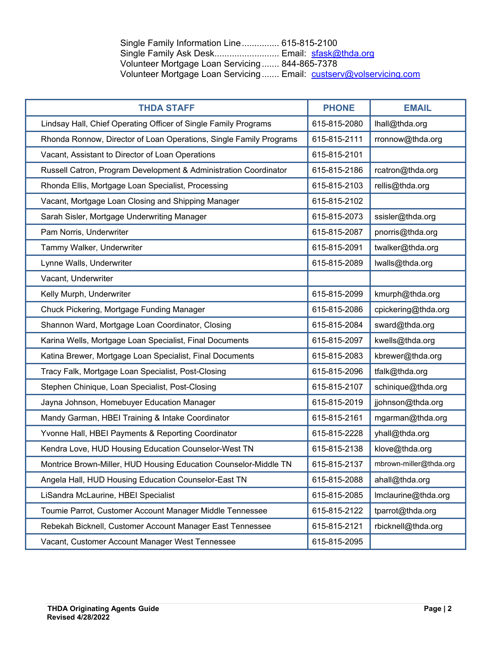Single Family Information Line............... 615-815-2100 Single Family Ask Desk............................. Email: [sfask@thda.org](mailto:sfask@thda.org) Volunteer Mortgage Loan Servicing....... 844-865-7378 Volunteer Mortgage Loan Servicing....... Email: [custserv@volservicing.com](mailto:custserv@volservicing.com)

| <b>THDA STAFF</b>                                                  | <b>PHONE</b> | <b>EMAIL</b>           |
|--------------------------------------------------------------------|--------------|------------------------|
| Lindsay Hall, Chief Operating Officer of Single Family Programs    | 615-815-2080 | lhall@thda.org         |
| Rhonda Ronnow, Director of Loan Operations, Single Family Programs | 615-815-2111 | rronnow@thda.org       |
| Vacant, Assistant to Director of Loan Operations                   | 615-815-2101 |                        |
| Russell Catron, Program Development & Administration Coordinator   | 615-815-2186 | rcatron@thda.org       |
| Rhonda Ellis, Mortgage Loan Specialist, Processing                 | 615-815-2103 | rellis@thda.org        |
| Vacant, Mortgage Loan Closing and Shipping Manager                 | 615-815-2102 |                        |
| Sarah Sisler, Mortgage Underwriting Manager                        | 615-815-2073 | ssisler@thda.org       |
| Pam Norris, Underwriter                                            | 615-815-2087 | pnorris@thda.org       |
| Tammy Walker, Underwriter                                          | 615-815-2091 | twalker@thda.org       |
| Lynne Walls, Underwriter                                           | 615-815-2089 | lwalls@thda.org        |
| Vacant, Underwriter                                                |              |                        |
| Kelly Murph, Underwriter                                           | 615-815-2099 | kmurph@thda.org        |
| Chuck Pickering, Mortgage Funding Manager                          | 615-815-2086 | cpickering@thda.org    |
| Shannon Ward, Mortgage Loan Coordinator, Closing                   | 615-815-2084 | sward@thda.org         |
| Karina Wells, Mortgage Loan Specialist, Final Documents            | 615-815-2097 | kwells@thda.org        |
| Katina Brewer, Mortgage Loan Specialist, Final Documents           | 615-815-2083 | kbrewer@thda.org       |
| Tracy Falk, Mortgage Loan Specialist, Post-Closing                 | 615-815-2096 | tfalk@thda.org         |
| Stephen Chinique, Loan Specialist, Post-Closing                    | 615-815-2107 | schinique@thda.org     |
| Jayna Johnson, Homebuyer Education Manager                         | 615-815-2019 | jjohnson@thda.org      |
| Mandy Garman, HBEI Training & Intake Coordinator                   | 615-815-2161 | mgarman@thda.org       |
| Yvonne Hall, HBEI Payments & Reporting Coordinator                 | 615-815-2228 | yhall@thda.org         |
| Kendra Love, HUD Housing Education Counselor-West TN               | 615-815-2138 | klove@thda.org         |
| Montrice Brown-Miller, HUD Housing Education Counselor-Middle TN   | 615-815-2137 | mbrown-miller@thda.org |
| Angela Hall, HUD Housing Education Counselor-East TN               | 615-815-2088 | ahall@thda.org         |
| LiSandra McLaurine, HBEI Specialist                                | 615-815-2085 | Imclaurine@thda.org    |
| Toumie Parrot, Customer Account Manager Middle Tennessee           | 615-815-2122 | tparrot@thda.org       |
| Rebekah Bicknell, Customer Account Manager East Tennessee          | 615-815-2121 | rbicknell@thda.org     |
| Vacant, Customer Account Manager West Tennessee                    | 615-815-2095 |                        |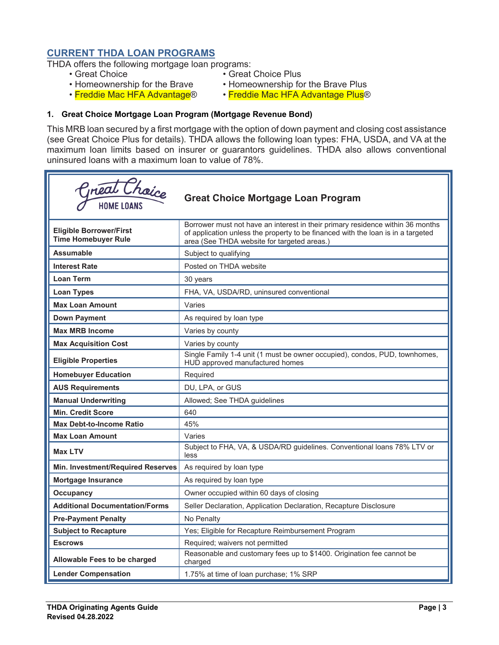# <span id="page-10-0"></span>**CURRENT THDA LOAN PROGRAMS**

THDA offers the following mortgage loan programs:

- 
- Great Choice Great Choice Plus
	-
- Homeownership for the Brave Homeownership for the Brave Plus<br>• Freddie Mac HFA Advantage® Freddie Mac HFA Advantage Plus®
	- Freddie Mac HFA Advantage Plus®

#### <span id="page-10-1"></span>**1. Great Choice Mortgage Loan Program (Mortgage Revenue Bond)**

This MRB loan secured by a first mortgage with the option of down payment and closing cost assistance (see Great Choice Plus for details). THDA allows the following loan types: FHA, USDA, and VA at the maximum loan limits based on insurer or guarantors guidelines. THDA also allows conventional uninsured loans with a maximum loan to value of 78%.

| Great Chaice                                                 | <b>Great Choice Mortgage Loan Program</b>                                                                                                                                                                         |
|--------------------------------------------------------------|-------------------------------------------------------------------------------------------------------------------------------------------------------------------------------------------------------------------|
| <b>Eligible Borrower/First</b><br><b>Time Homebuyer Rule</b> | Borrower must not have an interest in their primary residence within 36 months<br>of application unless the property to be financed with the loan is in a targeted<br>area (See THDA website for targeted areas.) |
| <b>Assumable</b>                                             | Subject to qualifying                                                                                                                                                                                             |
| <b>Interest Rate</b>                                         | Posted on THDA website                                                                                                                                                                                            |
| <b>Loan Term</b>                                             | 30 years                                                                                                                                                                                                          |
| <b>Loan Types</b>                                            | FHA, VA, USDA/RD, uninsured conventional                                                                                                                                                                          |
| <b>Max Loan Amount</b>                                       | Varies                                                                                                                                                                                                            |
| <b>Down Payment</b>                                          | As required by loan type                                                                                                                                                                                          |
| <b>Max MRB Income</b>                                        | Varies by county                                                                                                                                                                                                  |
| <b>Max Acquisition Cost</b>                                  | Varies by county                                                                                                                                                                                                  |
| <b>Eligible Properties</b>                                   | Single Family 1-4 unit (1 must be owner occupied), condos, PUD, townhomes,<br>HUD approved manufactured homes                                                                                                     |
| <b>Homebuyer Education</b>                                   | Required                                                                                                                                                                                                          |
| <b>AUS Requirements</b>                                      | DU, LPA, or GUS                                                                                                                                                                                                   |
| <b>Manual Underwriting</b>                                   | Allowed; See THDA guidelines                                                                                                                                                                                      |
| <b>Min. Credit Score</b>                                     | 640                                                                                                                                                                                                               |
| <b>Max Debt-to-Income Ratio</b>                              | 45%                                                                                                                                                                                                               |
| <b>Max Loan Amount</b>                                       | Varies                                                                                                                                                                                                            |
| <b>Max LTV</b>                                               | Subject to FHA, VA, & USDA/RD guidelines. Conventional loans 78% LTV or<br>less                                                                                                                                   |
| Min. Investment/Required Reserves                            | As required by loan type                                                                                                                                                                                          |
| <b>Mortgage Insurance</b>                                    | As required by loan type                                                                                                                                                                                          |
| <b>Occupancy</b>                                             | Owner occupied within 60 days of closing                                                                                                                                                                          |
| <b>Additional Documentation/Forms</b>                        | Seller Declaration, Application Declaration, Recapture Disclosure                                                                                                                                                 |
| <b>Pre-Payment Penalty</b>                                   | No Penalty                                                                                                                                                                                                        |
| <b>Subject to Recapture</b>                                  | Yes; Eligible for Recapture Reimbursement Program                                                                                                                                                                 |
| <b>Escrows</b>                                               | Required; waivers not permitted                                                                                                                                                                                   |
| Allowable Fees to be charged                                 | Reasonable and customary fees up to \$1400. Origination fee cannot be<br>charged                                                                                                                                  |
| <b>Lender Compensation</b>                                   | 1.75% at time of loan purchase; 1% SRP                                                                                                                                                                            |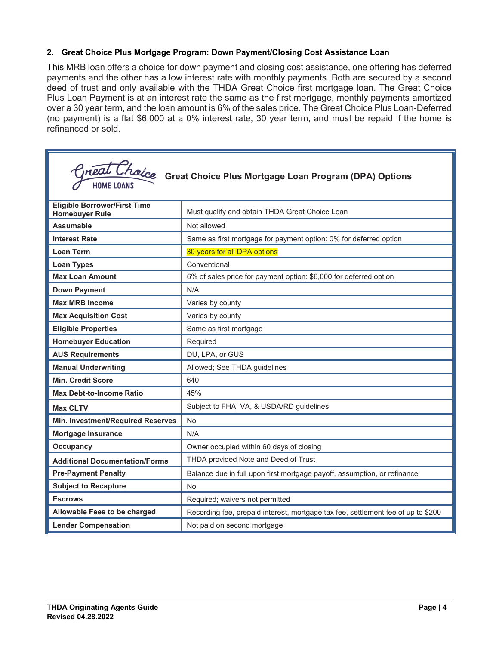#### <span id="page-11-0"></span>**2. Great Choice Plus Mortgage Program: Down Payment/Closing Cost Assistance Loan**

This MRB loan offers a choice for down payment and closing cost assistance, one offering has deferred payments and the other has a low interest rate with monthly payments. Both are secured by a second deed of trust and only available with the THDA Great Choice first mortgage loan. The Great Choice Plus Loan Payment is at an interest rate the same as the first mortgage, monthly payments amortized over a 30 year term, and the loan amount is 6% of the sales price. The Great Choice Plus Loan-Deferred (no payment) is a flat \$6,000 at a 0% interest rate, 30 year term, and must be repaid if the home is refinanced or sold.



| <b>Eligible Borrower/First Time</b><br><b>Homebuyer Rule</b> | Must qualify and obtain THDA Great Choice Loan                                   |
|--------------------------------------------------------------|----------------------------------------------------------------------------------|
| <b>Assumable</b>                                             | Not allowed                                                                      |
| <b>Interest Rate</b>                                         | Same as first mortgage for payment option: 0% for deferred option                |
| <b>Loan Term</b>                                             | 30 years for all DPA options                                                     |
| <b>Loan Types</b>                                            | Conventional                                                                     |
| <b>Max Loan Amount</b>                                       | 6% of sales price for payment option: \$6,000 for deferred option                |
| <b>Down Payment</b>                                          | N/A                                                                              |
| <b>Max MRB Income</b>                                        | Varies by county                                                                 |
| <b>Max Acquisition Cost</b>                                  | Varies by county                                                                 |
| <b>Eligible Properties</b>                                   | Same as first mortgage                                                           |
| <b>Homebuyer Education</b>                                   | Required                                                                         |
| <b>AUS Requirements</b>                                      | DU, LPA, or GUS                                                                  |
| <b>Manual Underwriting</b>                                   | Allowed; See THDA guidelines                                                     |
| <b>Min. Credit Score</b>                                     | 640                                                                              |
| <b>Max Debt-to-Income Ratio</b>                              | 45%                                                                              |
| <b>Max CLTV</b>                                              | Subject to FHA, VA, & USDA/RD guidelines.                                        |
| Min. Investment/Required Reserves                            | <b>No</b>                                                                        |
| Mortgage Insurance                                           | N/A                                                                              |
| <b>Occupancy</b>                                             | Owner occupied within 60 days of closing                                         |
| <b>Additional Documentation/Forms</b>                        | THDA provided Note and Deed of Trust                                             |
| <b>Pre-Payment Penalty</b>                                   | Balance due in full upon first mortgage payoff, assumption, or refinance         |
| <b>Subject to Recapture</b>                                  | <b>No</b>                                                                        |
| <b>Escrows</b>                                               | Required; waivers not permitted                                                  |
| Allowable Fees to be charged                                 | Recording fee, prepaid interest, mortgage tax fee, settlement fee of up to \$200 |
| <b>Lender Compensation</b>                                   | Not paid on second mortgage                                                      |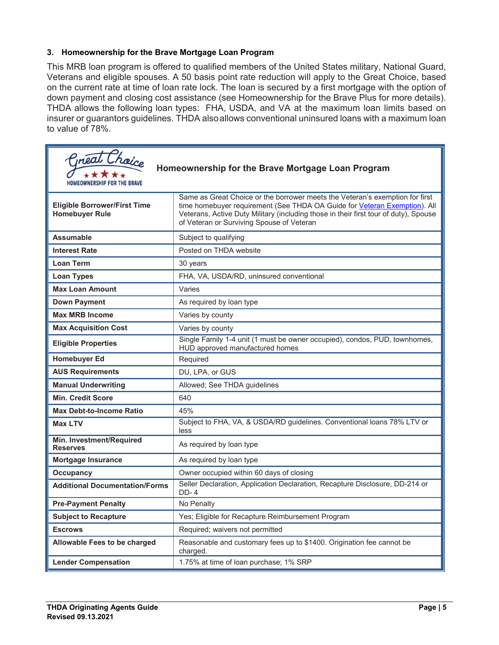#### <span id="page-12-0"></span>**3. Homeownership for the Brave Mortgage Loan Program**

This MRB loan program is offered to qualified members of the United States military, National Guard, Veterans and eligible spouses. A 50 basis point rate reduction will apply to the Great Choice, based on the current rate at time of loan rate lock. The loan is secured by a first mortgage with the option of down payment and closing cost assistance (see Homeownership for the Brave Plus for more details). THDA allows the following loan types: FHA, USDA, and VA at the maximum loan limits based on insurer or guarantors guidelines. THDA alsoallows conventional uninsured loans with a maximum loan to value of 78%.

| Great Chaice<br><b>HOMEOWNERSHIP FOR THE BRAVE</b>           | Homeownership for the Brave Mortgage Loan Program                                                                                                                                                                                                                                              |
|--------------------------------------------------------------|------------------------------------------------------------------------------------------------------------------------------------------------------------------------------------------------------------------------------------------------------------------------------------------------|
| <b>Eligible Borrower/First Time</b><br><b>Homebuyer Rule</b> | Same as Great Choice or the borrower meets the Veteran's exemption for first<br>time homebuyer requirement (See THDA OA Guide for Veteran Exemption). All<br>Veterans, Active Duty Military (including those in their first tour of duty), Spouse<br>of Veteran or Surviving Spouse of Veteran |
| <b>Assumable</b>                                             | Subject to qualifying                                                                                                                                                                                                                                                                          |
| <b>Interest Rate</b>                                         | Posted on THDA website                                                                                                                                                                                                                                                                         |
| <b>Loan Term</b>                                             | 30 years                                                                                                                                                                                                                                                                                       |
| <b>Loan Types</b>                                            | FHA, VA, USDA/RD, uninsured conventional                                                                                                                                                                                                                                                       |
| <b>Max Loan Amount</b>                                       | Varies                                                                                                                                                                                                                                                                                         |
| <b>Down Payment</b>                                          | As required by loan type                                                                                                                                                                                                                                                                       |
| <b>Max MRB Income</b>                                        | Varies by county                                                                                                                                                                                                                                                                               |
| <b>Max Acquisition Cost</b>                                  | Varies by county                                                                                                                                                                                                                                                                               |
| <b>Eligible Properties</b>                                   | Single Family 1-4 unit (1 must be owner occupied), condos, PUD, townhomes,<br>HUD approved manufactured homes                                                                                                                                                                                  |
| <b>Homebuyer Ed</b>                                          | Required                                                                                                                                                                                                                                                                                       |
| <b>AUS Requirements</b>                                      | DU, LPA, or GUS                                                                                                                                                                                                                                                                                |
| <b>Manual Underwriting</b>                                   | Allowed; See THDA guidelines                                                                                                                                                                                                                                                                   |
| <b>Min. Credit Score</b>                                     | 640                                                                                                                                                                                                                                                                                            |
| <b>Max Debt-to-Income Ratio</b>                              | 45%                                                                                                                                                                                                                                                                                            |
| <b>Max LTV</b>                                               | Subject to FHA, VA, & USDA/RD guidelines. Conventional loans 78% LTV or<br>less                                                                                                                                                                                                                |
| Min. Investment/Required<br><b>Reserves</b>                  | As required by loan type                                                                                                                                                                                                                                                                       |
| <b>Mortgage Insurance</b>                                    | As required by loan type                                                                                                                                                                                                                                                                       |
| Occupancy                                                    | Owner occupied within 60 days of closing                                                                                                                                                                                                                                                       |
| <b>Additional Documentation/Forms</b>                        | Seller Declaration, Application Declaration, Recapture Disclosure, DD-214 or<br>$DD-4$                                                                                                                                                                                                         |
| <b>Pre-Payment Penalty</b>                                   | No Penalty                                                                                                                                                                                                                                                                                     |
| <b>Subject to Recapture</b>                                  | Yes; Eligible for Recapture Reimbursement Program                                                                                                                                                                                                                                              |
| <b>Escrows</b>                                               | Required; waivers not permitted                                                                                                                                                                                                                                                                |
| Allowable Fees to be charged                                 | Reasonable and customary fees up to \$1400. Origination fee cannot be<br>charged.                                                                                                                                                                                                              |
| <b>Lender Compensation</b>                                   | 1.75% at time of loan purchase; 1% SRP                                                                                                                                                                                                                                                         |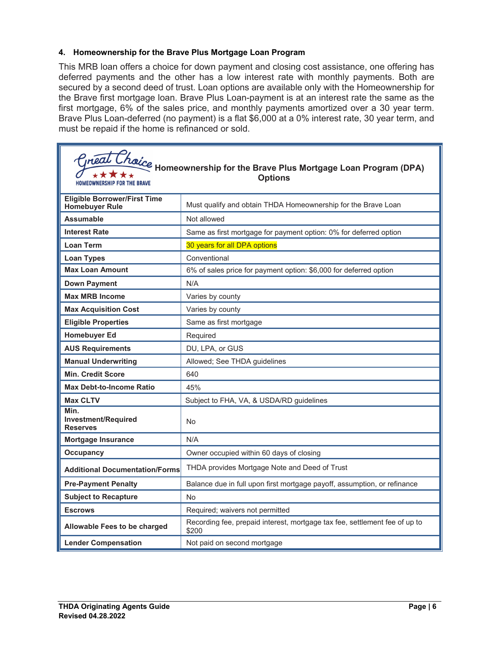#### <span id="page-13-0"></span>**4. Homeownership for the Brave Plus Mortgage Loan Program**

This MRB loan offers a choice for down payment and closing cost assistance, one offering has deferred payments and the other has a low interest rate with monthly payments. Both are secured by a second deed of trust. Loan options are available only with the Homeownership for the Brave first mortgage loan. Brave Plus Loan-payment is at an interest rate the same as the first mortgage, 6% of the sales price, and monthly payments amortized over a 30 year term. Brave Plus Loan-deferred (no payment) is a flat \$6,000 at a 0% interest rate, 30 year term, and must be repaid if the home is refinanced or sold.

| Great Chaice Homeownership for the Brave Plus Mortgage Loan Program (DPA)<br>HOMEOWNERSHIP FOR THE BRAVE |                                                                                     |
|----------------------------------------------------------------------------------------------------------|-------------------------------------------------------------------------------------|
| <b>Eligible Borrower/First Time</b><br><b>Homebuyer Rule</b>                                             | Must qualify and obtain THDA Homeownership for the Brave Loan                       |
| <b>Assumable</b>                                                                                         | Not allowed                                                                         |
| <b>Interest Rate</b>                                                                                     | Same as first mortgage for payment option: 0% for deferred option                   |
| <b>Loan Term</b>                                                                                         | 30 years for all DPA options                                                        |
| <b>Loan Types</b>                                                                                        | Conventional                                                                        |
| <b>Max Loan Amount</b>                                                                                   | 6% of sales price for payment option: \$6,000 for deferred option                   |
| <b>Down Payment</b>                                                                                      | N/A                                                                                 |
| <b>Max MRB Income</b>                                                                                    | Varies by county                                                                    |
| <b>Max Acquisition Cost</b>                                                                              | Varies by county                                                                    |
| <b>Eligible Properties</b>                                                                               | Same as first mortgage                                                              |
| <b>Homebuyer Ed</b>                                                                                      | Required                                                                            |
| <b>AUS Requirements</b>                                                                                  | DU, LPA, or GUS                                                                     |
| <b>Manual Underwriting</b>                                                                               | Allowed; See THDA guidelines                                                        |
| <b>Min. Credit Score</b>                                                                                 | 640                                                                                 |
| <b>Max Debt-to-Income Ratio</b>                                                                          | 45%                                                                                 |
| <b>Max CLTV</b>                                                                                          | Subject to FHA, VA, & USDA/RD guidelines                                            |
| Min.<br>Investment/Required<br><b>Reserves</b>                                                           | No                                                                                  |
| <b>Mortgage Insurance</b>                                                                                | N/A                                                                                 |
| <b>Occupancy</b>                                                                                         | Owner occupied within 60 days of closing                                            |
| <b>Additional Documentation/Forms</b>                                                                    | THDA provides Mortgage Note and Deed of Trust                                       |
| <b>Pre-Payment Penalty</b>                                                                               | Balance due in full upon first mortgage payoff, assumption, or refinance            |
| <b>Subject to Recapture</b>                                                                              | <b>No</b>                                                                           |
| <b>Escrows</b>                                                                                           | Required; waivers not permitted                                                     |
| Allowable Fees to be charged                                                                             | Recording fee, prepaid interest, mortgage tax fee, settlement fee of up to<br>\$200 |
| <b>Lender Compensation</b>                                                                               | Not paid on second mortgage                                                         |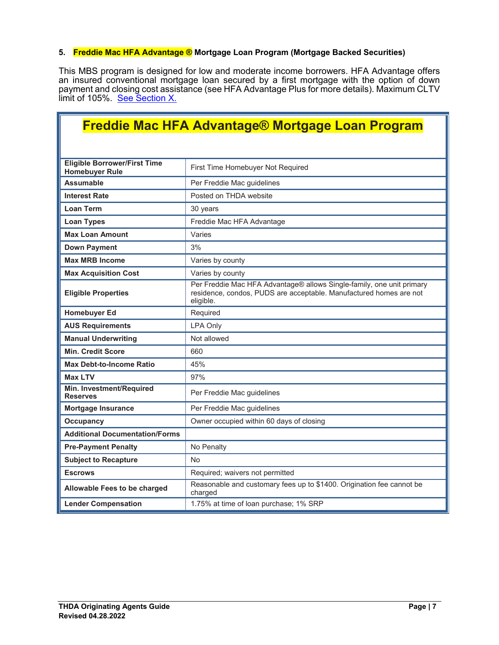#### <span id="page-14-0"></span>**5. Freddie Mac HFA Advantage ® Mortgage Loan Program (Mortgage Backed Securities)**

This MBS program is designed for low and moderate income borrowers. HFA Advantage offers an insured conventional mortgage loan secured by a first mortgage with the option of down payment and closing cost assistance (see HFA Advantage Plus for more details). Maximum CLTV limit of 105%. <u>See Section X.</u>

| Freddie Mac HFA Advantage® Mortgage Loan Program             |                                                                                                                                                          |  |
|--------------------------------------------------------------|----------------------------------------------------------------------------------------------------------------------------------------------------------|--|
|                                                              |                                                                                                                                                          |  |
|                                                              |                                                                                                                                                          |  |
| <b>Eligible Borrower/First Time</b><br><b>Homebuyer Rule</b> | First Time Homebuyer Not Required                                                                                                                        |  |
| <b>Assumable</b>                                             | Per Freddie Mac guidelines                                                                                                                               |  |
| <b>Interest Rate</b>                                         | Posted on THDA website                                                                                                                                   |  |
| <b>Loan Term</b>                                             | 30 years                                                                                                                                                 |  |
| <b>Loan Types</b>                                            | Freddie Mac HFA Advantage                                                                                                                                |  |
| <b>Max Loan Amount</b>                                       | Varies                                                                                                                                                   |  |
| <b>Down Payment</b>                                          | 3%                                                                                                                                                       |  |
| <b>Max MRB Income</b>                                        | Varies by county                                                                                                                                         |  |
| <b>Max Acquisition Cost</b>                                  | Varies by county                                                                                                                                         |  |
| <b>Eligible Properties</b>                                   | Per Freddie Mac HFA Advantage® allows Single-family, one unit primary<br>residence, condos, PUDS are acceptable. Manufactured homes are not<br>eligible. |  |
| <b>Homebuyer Ed</b>                                          | Required                                                                                                                                                 |  |
| <b>AUS Requirements</b>                                      | <b>LPA Only</b>                                                                                                                                          |  |
| <b>Manual Underwriting</b>                                   | Not allowed                                                                                                                                              |  |
| <b>Min. Credit Score</b>                                     | 660                                                                                                                                                      |  |
| <b>Max Debt-to-Income Ratio</b>                              | 45%                                                                                                                                                      |  |
| Max I TV                                                     | 97%                                                                                                                                                      |  |
| Min. Investment/Required<br><b>Reserves</b>                  | Per Freddie Mac guidelines                                                                                                                               |  |
| <b>Mortgage Insurance</b>                                    | Per Freddie Mac guidelines                                                                                                                               |  |
| <b>Occupancy</b>                                             | Owner occupied within 60 days of closing                                                                                                                 |  |
| <b>Additional Documentation/Forms</b>                        |                                                                                                                                                          |  |
| <b>Pre-Payment Penalty</b>                                   | No Penalty                                                                                                                                               |  |
| <b>Subject to Recapture</b>                                  | <b>No</b>                                                                                                                                                |  |
| <b>Escrows</b>                                               | Required; waivers not permitted                                                                                                                          |  |
| Allowable Fees to be charged                                 | Reasonable and customary fees up to \$1400. Origination fee cannot be<br>charged                                                                         |  |
| <b>Lender Compensation</b>                                   | 1.75% at time of loan purchase; 1% SRP                                                                                                                   |  |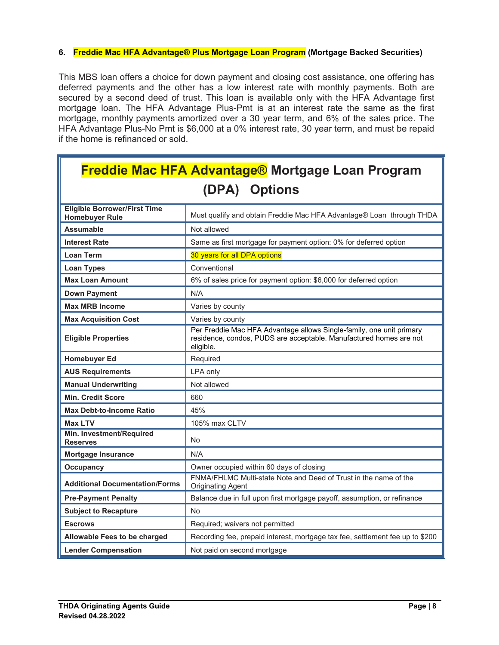#### <span id="page-15-0"></span>**6. Freddie Mac HFA Advantage® Plus Mortgage Loan Program (Mortgage Backed Securities)**

This MBS loan offers a choice for down payment and closing cost assistance, one offering has deferred payments and the other has a low interest rate with monthly payments. Both are secured by a second deed of trust. This loan is available only with the HFA Advantage first mortgage loan. The HFA Advantage Plus-Pmt is at an interest rate the same as the first mortgage, monthly payments amortized over a 30 year term, and 6% of the sales price. The HFA Advantage Plus-No Pmt is \$6,000 at a 0% interest rate, 30 year term, and must be repaid if the home is refinanced or sold.

# **Freddie Mac HFA Advantage® Mortgage Loan Program (DPA) Options**

| <b>Eligible Borrower/First Time</b><br><b>Homebuyer Rule</b> | Must qualify and obtain Freddie Mac HFA Advantage® Loan through THDA                                                                                    |  |  |
|--------------------------------------------------------------|---------------------------------------------------------------------------------------------------------------------------------------------------------|--|--|
| <b>Assumable</b>                                             | Not allowed                                                                                                                                             |  |  |
| <b>Interest Rate</b>                                         | Same as first mortgage for payment option: 0% for deferred option                                                                                       |  |  |
| <b>Loan Term</b>                                             | 30 years for all DPA options                                                                                                                            |  |  |
| <b>Loan Types</b>                                            | Conventional                                                                                                                                            |  |  |
| <b>Max Loan Amount</b>                                       | 6% of sales price for payment option: \$6,000 for deferred option                                                                                       |  |  |
| <b>Down Payment</b>                                          | N/A                                                                                                                                                     |  |  |
| <b>Max MRB Income</b>                                        | Varies by county                                                                                                                                        |  |  |
| <b>Max Acquisition Cost</b>                                  | Varies by county                                                                                                                                        |  |  |
| <b>Eligible Properties</b>                                   | Per Freddie Mac HFA Advantage allows Single-family, one unit primary<br>residence, condos, PUDS are acceptable. Manufactured homes are not<br>eligible. |  |  |
| <b>Homebuyer Ed</b>                                          | Required                                                                                                                                                |  |  |
| <b>AUS Requirements</b>                                      | LPA only                                                                                                                                                |  |  |
| <b>Manual Underwriting</b>                                   | Not allowed                                                                                                                                             |  |  |
| <b>Min. Credit Score</b>                                     | 660                                                                                                                                                     |  |  |
| <b>Max Debt-to-Income Ratio</b>                              | 45%                                                                                                                                                     |  |  |
| <b>Max LTV</b>                                               | 105% max CLTV                                                                                                                                           |  |  |
| Min. Investment/Required<br><b>Reserves</b>                  | <b>No</b>                                                                                                                                               |  |  |
| <b>Mortgage Insurance</b>                                    | N/A                                                                                                                                                     |  |  |
| <b>Occupancy</b>                                             | Owner occupied within 60 days of closing                                                                                                                |  |  |
| <b>Additional Documentation/Forms</b>                        | FNMA/FHLMC Multi-state Note and Deed of Trust in the name of the<br><b>Originating Agent</b>                                                            |  |  |
| <b>Pre-Payment Penalty</b>                                   | Balance due in full upon first mortgage payoff, assumption, or refinance                                                                                |  |  |
| <b>Subject to Recapture</b>                                  | <b>No</b>                                                                                                                                               |  |  |
| <b>Escrows</b>                                               | Required; waivers not permitted                                                                                                                         |  |  |
| Allowable Fees to be charged                                 | Recording fee, prepaid interest, mortgage tax fee, settlement fee up to \$200                                                                           |  |  |
| <b>Lender Compensation</b>                                   | Not paid on second mortgage                                                                                                                             |  |  |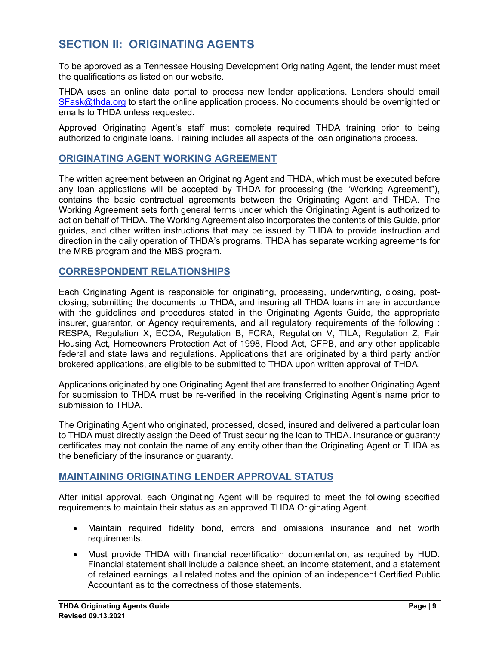# <span id="page-16-0"></span>**SECTION II: ORIGINATING AGENTS**

To be approved as a Tennessee Housing Development Originating Agent, the lender must meet the qualifications as listed on our website.

THDA uses an online data portal to process new lender applications. Lenders should email [SFask@thda.org](mailto:SFask@thda.org) to start the online application process. No documents should be overnighted or emails to THDA unless requested.

Approved Originating Agent's staff must complete required THDA training prior to being authorized to originate loans. Training includes all aspects of the loan originations process.

## <span id="page-16-1"></span>**ORIGINATING AGENT WORKING AGREEMENT**

The written agreement between an Originating Agent and THDA, which must be executed before any loan applications will be accepted by THDA for processing (the "Working Agreement"), contains the basic contractual agreements between the Originating Agent and THDA. The Working Agreement sets forth general terms under which the Originating Agent is authorized to act on behalf of THDA. The Working Agreement also incorporates the contents of this Guide, prior guides, and other written instructions that may be issued by THDA to provide instruction and direction in the daily operation of THDA's programs. THDA has separate working agreements for the MRB program and the MBS program.

# <span id="page-16-2"></span>**CORRESPONDENT RELATIONSHIPS**

Each Originating Agent is responsible for originating, processing, underwriting, closing, postclosing, submitting the documents to THDA, and insuring all THDA loans in are in accordance with the guidelines and procedures stated in the Originating Agents Guide, the appropriate insurer, guarantor, or Agency requirements, and all regulatory requirements of the following : RESPA, Regulation X, ECOA, Regulation B, FCRA, Regulation V, TILA, Regulation Z, Fair Housing Act, Homeowners Protection Act of 1998, Flood Act, CFPB, and any other applicable federal and state laws and regulations. Applications that are originated by a third party and/or brokered applications, are eligible to be submitted to THDA upon written approval of THDA.

Applications originated by one Originating Agent that are transferred to another Originating Agent for submission to THDA must be re-verified in the receiving Originating Agent's name prior to submission to THDA

The Originating Agent who originated, processed, closed, insured and delivered a particular loan to THDA must directly assign the Deed of Trust securing the loan to THDA. Insurance or guaranty certificates may not contain the name of any entity other than the Originating Agent or THDA as the beneficiary of the insurance or guaranty.

# <span id="page-16-3"></span>**MAINTAINING ORIGINATING LENDER APPROVAL STATUS**

After initial approval, each Originating Agent will be required to meet the following specified requirements to maintain their status as an approved THDA Originating Agent.

- Maintain required fidelity bond, errors and omissions insurance and net worth requirements.
- Must provide THDA with financial recertification documentation, as required by HUD. Financial statement shall include a balance sheet, an income statement, and a statement of retained earnings, all related notes and the opinion of an independent Certified Public Accountant as to the correctness of those statements.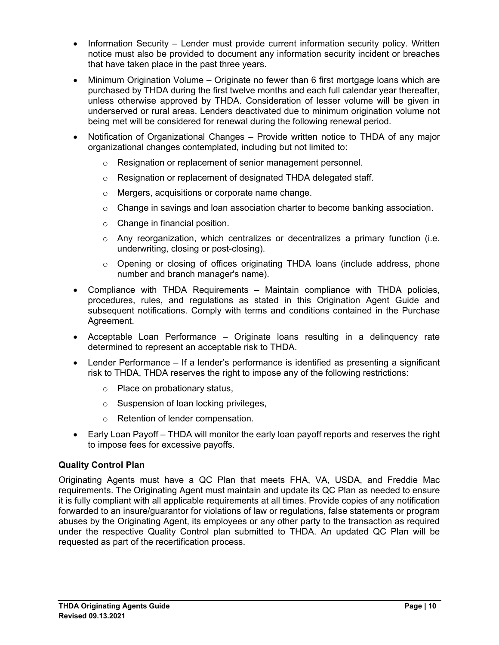- Information Security Lender must provide current information security policy. Written notice must also be provided to document any information security incident or breaches that have taken place in the past three years.
- Minimum Origination Volume Originate no fewer than 6 first mortgage loans which are purchased by THDA during the first twelve months and each full calendar year thereafter, unless otherwise approved by THDA. Consideration of lesser volume will be given in underserved or rural areas. Lenders deactivated due to minimum origination volume not being met will be considered for renewal during the following renewal period.
- Notification of Organizational Changes Provide written notice to THDA of any major organizational changes contemplated, including but not limited to:
	- o Resignation or replacement of senior management personnel.
	- o Resignation or replacement of designated THDA delegated staff.
	- o Mergers, acquisitions or corporate name change.
	- $\circ$  Change in savings and loan association charter to become banking association.
	- o Change in financial position.
	- $\circ$  Any reorganization, which centralizes or decentralizes a primary function (i.e. underwriting, closing or post-closing).
	- $\circ$  Opening or closing of offices originating THDA loans (include address, phone number and branch manager's name).
- Compliance with THDA Requirements Maintain compliance with THDA policies, procedures, rules, and regulations as stated in this Origination Agent Guide and subsequent notifications. Comply with terms and conditions contained in the Purchase Agreement.
- Acceptable Loan Performance Originate loans resulting in a delinquency rate determined to represent an acceptable risk to THDA.
- Lender Performance If a lender's performance is identified as presenting a significant risk to THDA, THDA reserves the right to impose any of the following restrictions:
	- o Place on probationary status,
	- o Suspension of loan locking privileges,
	- o Retention of lender compensation.
- Early Loan Payoff THDA will monitor the early loan payoff reports and reserves the right to impose fees for excessive payoffs.

#### <span id="page-17-0"></span>**Quality Control Plan**

Originating Agents must have a QC Plan that meets FHA, VA, USDA, and Freddie Mac requirements. The Originating Agent must maintain and update its QC Plan as needed to ensure it is fully compliant with all applicable requirements at all times. Provide copies of any notification forwarded to an insure/guarantor for violations of law or regulations, false statements or program abuses by the Originating Agent, its employees or any other party to the transaction as required under the respective Quality Control plan submitted to THDA. An updated QC Plan will be requested as part of the recertification process.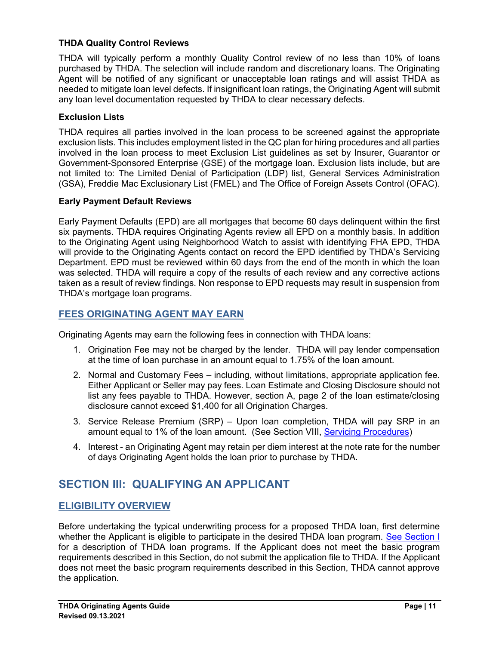# <span id="page-18-0"></span>**THDA Quality Control Reviews**

THDA will typically perform a monthly Quality Control review of no less than 10% of loans purchased by THDA. The selection will include random and discretionary loans. The Originating Agent will be notified of any significant or unacceptable loan ratings and will assist THDA as needed to mitigate loan level defects. If insignificant loan ratings, the Originating Agent will submit any loan level documentation requested by THDA to clear necessary defects.

# <span id="page-18-1"></span>**Exclusion Lists**

THDA requires all parties involved in the loan process to be screened against the appropriate exclusion lists. This includes employment listed in the QC plan for hiring procedures and all parties involved in the loan process to meet Exclusion List guidelines as set by Insurer, Guarantor or Government-Sponsored Enterprise (GSE) of the mortgage loan. Exclusion lists include, but are not limited to: The Limited Denial of Participation (LDP) list, General Services Administration (GSA), Freddie Mac Exclusionary List (FMEL) and The Office of Foreign Assets Control (OFAC).

# <span id="page-18-2"></span>**Early Payment Default Reviews**

Early Payment Defaults (EPD) are all mortgages that become 60 days delinquent within the first six payments. THDA requires Originating Agents review all EPD on a monthly basis. In addition to the Originating Agent using Neighborhood Watch to assist with identifying FHA EPD, THDA will provide to the Originating Agents contact on record the EPD identified by THDA's Servicing Department. EPD must be reviewed within 60 days from the end of the month in which the loan was selected. THDA will require a copy of the results of each review and any corrective actions taken as a result of review findings. Non response to EPD requests may result in suspension from THDA's mortgage loan programs.

# <span id="page-18-3"></span>**FEES ORIGINATING AGENT MAY EARN**

Originating Agents may earn the following fees in connection with THDA loans:

- 1. Origination Fee may not be charged by the lender. THDA will pay lender compensation at the time of loan purchase in an amount equal to 1.75% of the loan amount.
- 2. Normal and Customary Fees including, without limitations, appropriate application fee. Either Applicant or Seller may pay fees. Loan Estimate and Closing Disclosure should not list any fees payable to THDA. However, section A, page 2 of the loan estimate/closing disclosure cannot exceed \$1,400 for all Origination Charges.
- 3. Service Release Premium (SRP) Upon loan completion, THDA will pay SRP in an amount equal to 1% of the loan amount. (See Section VIII, [Servicing Procedures\)](#page-57-1)
- 4. Interest an Originating Agent may retain per diem interest at the note rate for the number of days Originating Agent holds the loan prior to purchase by THDA.

# <span id="page-18-4"></span>**SECTION III: QUALIFYING AN APPLICANT**

# <span id="page-18-5"></span>**ELIGIBILITY OVERVIEW**

Before undertaking the typical underwriting process for a proposed THDA loan, first determine whether the Applicant is eligible to participate in the desired THDA loan program. [See Section I](#page-10-0) for a description of THDA loan programs. If the Applicant does not meet the basic program requirements described in this Section, do not submit the application file to THDA. If the Applicant does not meet the basic program requirements described in this Section, THDA cannot approve the application.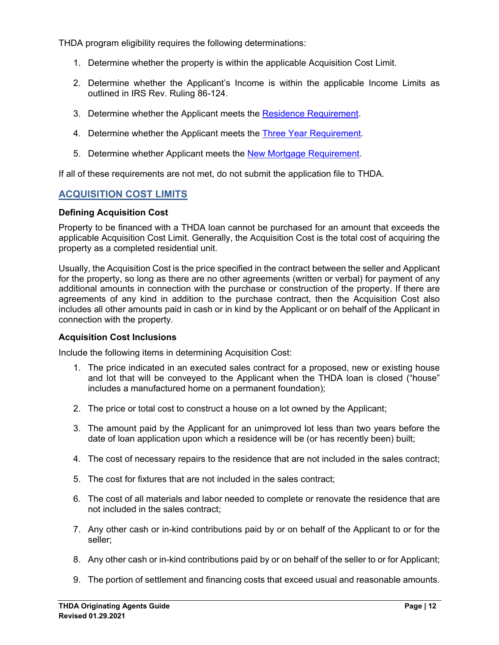THDA program eligibility requires the following determinations:

- 1. Determine whether the property is within the applicable Acquisition Cost Limit.
- 2. Determine whether the Applicant's Income is within the applicable Income Limits as outlined in IRS Rev. Ruling 86-124.
- 3. Determine whether the Applicant meets the [Residence Requirement.](#page-22-0)
- 4. Determine whether the Applicant meets the **Three Year Requirement**.
- <span id="page-19-3"></span>5. Determine whether Applicant meets the [New Mortgage Requirement.](#page-24-4)

<span id="page-19-0"></span>If all of these requirements are not met, do not submit the application file to THDA.

# **ACQUISITION COST LIMITS**

#### <span id="page-19-1"></span>**Defining Acquisition Cost**

Property to be financed with a THDA loan cannot be purchased for an amount that exceeds the applicable Acquisition Cost Limit. Generally, the Acquisition Cost is the total cost of acquiring the property as a completed residential unit.

Usually, the Acquisition Cost is the price specified in the contract between the seller and Applicant for the property, so long as there are no other agreements (written or verbal) for payment of any additional amounts in connection with the purchase or construction of the property. If there are agreements of any kind in addition to the purchase contract, then the Acquisition Cost also includes all other amounts paid in cash or in kind by the Applicant or on behalf of the Applicant in connection with the property.

#### <span id="page-19-2"></span>**Acquisition Cost Inclusions**

Include the following items in determining Acquisition Cost:

- 1. The price indicated in an executed sales contract for a proposed, new or existing house and lot that will be conveyed to the Applicant when the THDA loan is closed ("house" includes a manufactured home on a permanent foundation);
- 2. The price or total cost to construct a house on a lot owned by the Applicant;
- 3. The amount paid by the Applicant for an unimproved lot less than two years before the date of loan application upon which a residence will be (or has recently been) built;
- 4. The cost of necessary repairs to the residence that are not included in the sales contract;
- 5. The cost for fixtures that are not included in the sales contract;
- 6. The cost of all materials and labor needed to complete or renovate the residence that are not included in the sales contract;
- 7. Any other cash or in-kind contributions paid by or on behalf of the Applicant to or for the seller;
- 8. Any other cash or in-kind contributions paid by or on behalf of the seller to or for Applicant;
- 9. The portion of settlement and financing costs that exceed usual and reasonable amounts.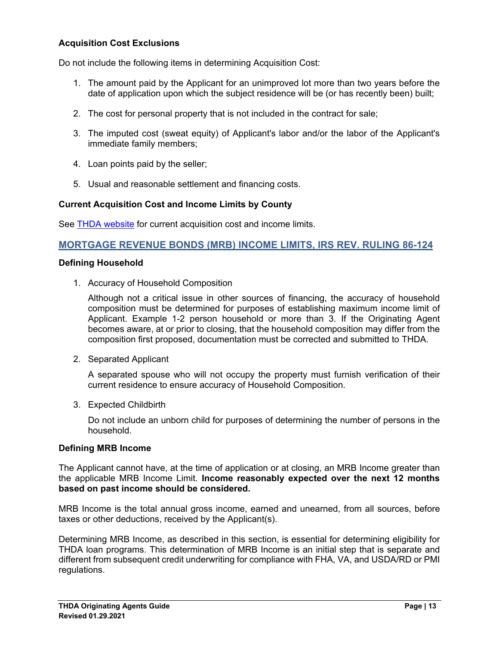# <span id="page-20-0"></span>**Acquisition Cost Exclusions**

Do not include the following items in determining Acquisition Cost:

- 1. The amount paid by the Applicant for an unimproved lot more than two years before the date of application upon which the subject residence will be (or has recently been) built;
- 2. The cost for personal property that is not included in the contract for sale;
- 3. The imputed cost (sweat equity) of Applicant's labor and/or the labor of the Applicant's immediate family members;
- 4. Loan points paid by the seller;
- 5. Usual and reasonable settlement and financing costs.

#### <span id="page-20-1"></span>**Current Acquisition Cost and Income Limits by County**

See **THDA** website for current acquisition cost and income limits.

# <span id="page-20-2"></span>**MORTGAGE REVENUE BONDS (MRB) INCOME LIMITS, IRS REV. RULING 86-124**

#### <span id="page-20-3"></span>**Defining Household**

1. Accuracy of Household Composition

Although not a critical issue in other sources of financing, the accuracy of household composition must be determined for purposes of establishing maximum income limit of Applicant. Example 1-2 person household or more than 3. If the Originating Agent becomes aware, at or prior to closing, that the household composition may differ from the composition first proposed, documentation must be corrected and submitted to THDA.

2. Separated Applicant

A separated spouse who will not occupy the property must furnish verification of their current residence to ensure accuracy of Household Composition.

3. Expected Childbirth

Do not include an unborn child for purposes of determining the number of persons in the household.

#### <span id="page-20-4"></span>**Defining MRB Income**

The Applicant cannot have, at the time of application or at closing, an MRB Income greater than the applicable MRB Income Limit. **Income reasonably expected over the next 12 months based on past income should be considered.**

MRB Income is the total annual gross income, earned and unearned, from all sources, before taxes or other deductions, received by the Applicant(s).

Determining MRB Income, as described in this section, is essential for determining eligibility for THDA loan programs. This determination of MRB Income is an initial step that is separate and different from subsequent credit underwriting for compliance with FHA, VA, and USDA/RD or PMI regulations.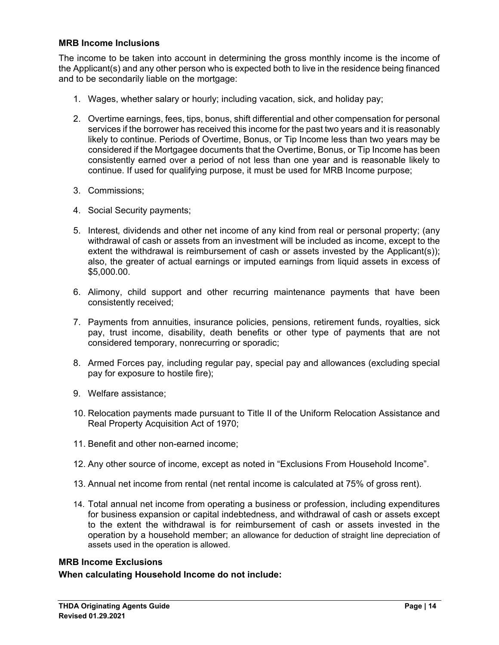#### <span id="page-21-0"></span>**MRB Income Inclusions**

The income to be taken into account in determining the gross monthly income is the income of the Applicant(s) and any other person who is expected both to live in the residence being financed and to be secondarily liable on the mortgage:

- 1. Wages, whether salary or hourly; including vacation, sick, and holiday pay;
- 2. Overtime earnings, fees, tips, bonus, shift differential and other compensation for personal services if the borrower has received this income for the past two years and it is reasonably likely to continue. Periods of Overtime, Bonus, or Tip Income less than two years may be considered if the Mortgagee documents that the Overtime, Bonus, or Tip Income has been consistently earned over a period of not less than one year and is reasonable likely to continue. If used for qualifying purpose, it must be used for MRB Income purpose;
- 3. Commissions;
- 4. Social Security payments;
- 5. Interest*,* dividends and other net income of any kind from real or personal property; (any withdrawal of cash or assets from an investment will be included as income, except to the extent the withdrawal is reimbursement of cash or assets invested by the Applicant(s)); also, the greater of actual earnings or imputed earnings from liquid assets in excess of \$5,000.00.
- 6. Alimony, child support and other recurring maintenance payments that have been consistently received;
- 7. Payments from annuities, insurance policies, pensions, retirement funds, royalties, sick pay, trust income, disability, death benefits or other type of payments that are not considered temporary, nonrecurring or sporadic;
- 8. Armed Forces pay*,* including regular pay, special pay and allowances (excluding special pay for exposure to hostile fire);
- 9. Welfare assistance;
- 10. Relocation payments made pursuant to Title II of the Uniform Relocation Assistance and Real Property Acquisition Act of 1970;
- 11. Benefit and other non-earned income;
- 12. Any other source of income, except as noted in "Exclusions From Household Income".
- 13. Annual net income from rental (net rental income is calculated at 75% of gross rent).
- 14. Total annual net income from operating a business or profession, including expenditures for business expansion or capital indebtedness, and withdrawal of cash or assets except to the extent the withdrawal is for reimbursement of cash or assets invested in the operation by a household member; an allowance for deduction of straight line depreciation of assets used in the operation is allowed.

#### <span id="page-21-1"></span>**MRB Income Exclusions**

**When calculating Household Income do not include:**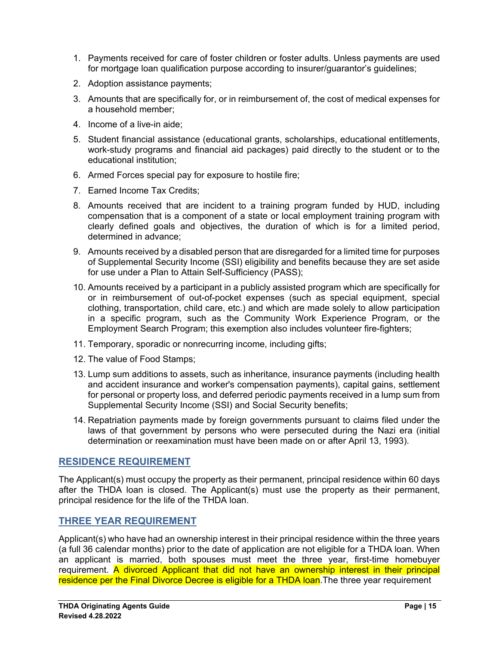- 1. Payments received for care of foster children or foster adults. Unless payments are used for mortgage loan qualification purpose according to insurer/guarantor's guidelines;
- 2. Adoption assistance payments;
- 3. Amounts that are specifically for, or in reimbursement of, the cost of medical expenses for a household member;
- 4. Income of a live-in aide;
- 5. Student financial assistance (educational grants, scholarships, educational entitlements, work-study programs and financial aid packages) paid directly to the student or to the educational institution;
- 6. Armed Forces special pay for exposure to hostile fire;
- 7. Earned Income Tax Credits;
- 8. Amounts received that are incident to a training program funded by HUD, including compensation that is a component of a state or local employment training program with clearly defined goals and objectives, the duration of which is for a limited period, determined in advance;
- 9. Amounts received by a disabled person that are disregarded for a limited time for purposes of Supplemental Security Income (SSI) eligibility and benefits because they are set aside for use under a Plan to Attain Self-Sufficiency (PASS);
- 10. Amounts received by a participant in a publicly assisted program which are specifically for or in reimbursement of out-of-pocket expenses (such as special equipment, special clothing, transportation, child care, etc.) and which are made solely to allow participation in a specific program, such as the Community Work Experience Program, or the Employment Search Program; this exemption also includes volunteer fire-fighters;
- 11. Temporary, sporadic or nonrecurring income, including gifts;
- 12. The value of Food Stamps;
- 13. Lump sum additions to assets, such as inheritance, insurance payments (including health and accident insurance and worker's compensation payments), capital gains, settlement for personal or property loss*,* and deferred periodic payments received in a lump sum from Supplemental Security Income (SSI) and Social Security benefits;
- 14. Repatriation payments made by foreign governments pursuant to claims filed under the laws of that government by persons who were persecuted during the Nazi era (initial determination or reexamination must have been made on or after April 13, 1993).

# <span id="page-22-0"></span>**RESIDENCE REQUIREMENT**

The Applicant(s) must occupy the property as their permanent, principal residence within 60 days after the THDA loan is closed. The Applicant(s) must use the property as their permanent, principal residence for the life of the THDA loan.

# <span id="page-22-1"></span>**THREE YEAR REQUIREMENT**

Applicant(s) who have had an ownership interest in their principal residence within the three years (a full 36 calendar months) prior to the date of application are not eligible for a THDA loan. When an applicant is married, both spouses must meet the three year, first-time homebuyer requirement. A divorced Applicant that did not have an ownership interest in their principal residence per the Final Divorce Decree is eligible for a THDA loan. The three year requirement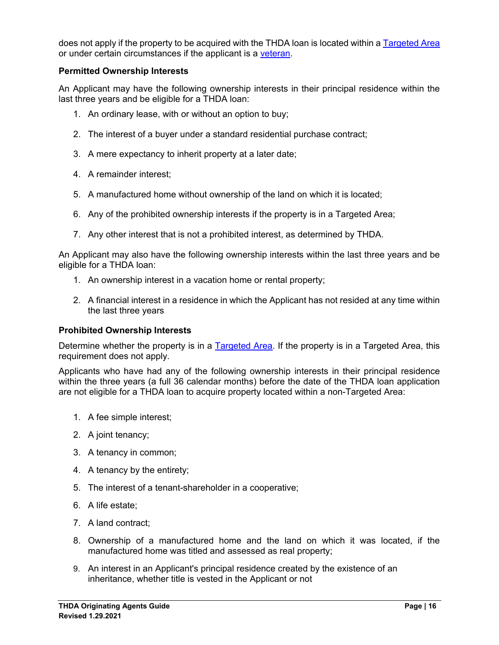does not apply if the property to be acquired with the THDA loan is located within a [Targeted Area](#page-24-2) or under certain circumstances if the applicant is a [veteran.](#page-24-0)

#### <span id="page-23-0"></span>**Permitted Ownership Interests**

An Applicant may have the following ownership interests in their principal residence within the last three years and be eligible for a THDA loan:

- 1. An ordinary lease, with or without an option to buy;
- 2. The interest of a buyer under a standard residential purchase contract;
- 3. A mere expectancy to inherit property at a later date;
- 4. A remainder interest;
- 5. A manufactured home without ownership of the land on which it is located;
- 6. Any of the prohibited ownership interests if the property is in a Targeted Area;
- 7. Any other interest that is not a prohibited interest, as determined by THDA.

An Applicant may also have the following ownership interests within the last three years and be eligible for a THDA loan:

- 1. An ownership interest in a vacation home or rental property;
- 2. A financial interest in a residence in which the Applicant has not resided at any time within the last three years

#### <span id="page-23-1"></span>**Prohibited Ownership Interests**

Determine whether the property is in a [Targeted Area.](#page-24-2) If the property is in a Targeted Area, this requirement does not apply.

Applicants who have had any of the following ownership interests in their principal residence within the three years (a full 36 calendar months) before the date of the THDA loan application are not eligible for a THDA loan to acquire property located within a non-Targeted Area:

- 1. A fee simple interest;
- 2. A joint tenancy;
- 3. A tenancy in common;
- 4. A tenancy by the entirety;
- 5. The interest of a tenant-shareholder in a cooperative;
- 6. A life estate;
- 7. A land contract;
- 8. Ownership of a manufactured home and the land on which it was located, if the manufactured home was titled and assessed as real property;
- 9. An interest in an Applicant's principal residence created by the existence of an inheritance, whether title is vested in the Applicant or not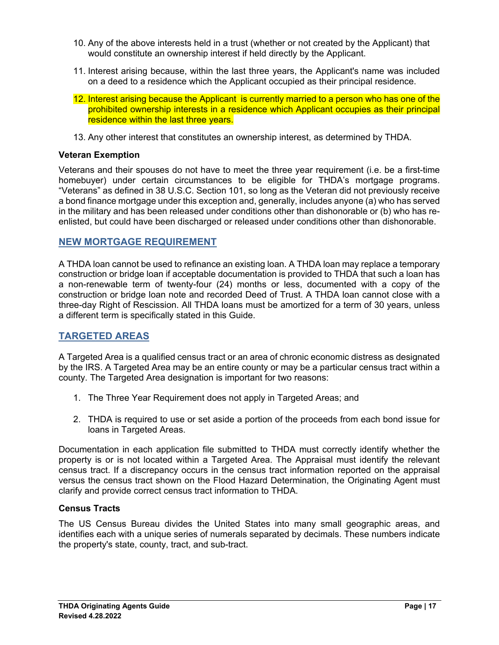- 10. Any of the above interests held in a trust (whether or not created by the Applicant) that would constitute an ownership interest if held directly by the Applicant.
- 11. Interest arising because, within the last three years, the Applicant's name was included on a deed to a residence which the Applicant occupied as their principal residence.
- 12. Interest arising because the Applicant is currently married to a person who has one of the prohibited ownership interests in a residence which Applicant occupies as their principal residence within the last three years.
- <span id="page-24-4"></span>13. Any other interest that constitutes an ownership interest, as determined by THDA.

#### <span id="page-24-0"></span>**Veteran Exemption**

Veterans and their spouses do not have to meet the three year requirement (i.e. be a first-time homebuyer) under certain circumstances to be eligible for THDA's mortgage programs. "Veterans" as defined in 38 U.S.C. Section 101, so long as the Veteran did not previously receive a bond finance mortgage under this exception and, generally, includes anyone (a) who has served in the military and has been released under conditions other than dishonorable or (b) who has reenlisted, but could have been discharged or released under conditions other than dishonorable.

# <span id="page-24-1"></span>**NEW MORTGAGE REQUIREMENT**

A THDA loan cannot be used to refinance an existing loan. A THDA loan may replace a temporary construction or bridge loan if acceptable documentation is provided to THDA that such a loan has a non-renewable term of twenty-four (24) months or less, documented with a copy of the construction or bridge loan note and recorded Deed of Trust. A THDA loan cannot close with a three-day Right of Rescission. All THDA loans must be amortized for a term of 30 years, unless a different term is specifically stated in this Guide.

# <span id="page-24-2"></span>**TARGETED AREAS**

A Targeted Area is a qualified census tract or an area of chronic economic distress as designated by the IRS. A Targeted Area may be an entire county or may be a particular census tract within a county. The Targeted Area designation is important for two reasons:

- 1. The Three Year Requirement does not apply in Targeted Areas; and
- 2. THDA is required to use or set aside a portion of the proceeds from each bond issue for loans in Targeted Areas.

Documentation in each application file submitted to THDA must correctly identify whether the property is or is not located within a Targeted Area. The Appraisal must identify the relevant census tract. If a discrepancy occurs in the census tract information reported on the appraisal versus the census tract shown on the Flood Hazard Determination, the Originating Agent must clarify and provide correct census tract information to THDA.

#### <span id="page-24-3"></span>**Census Tracts**

The US Census Bureau divides the United States into many small geographic areas, and identifies each with a unique series of numerals separated by decimals. These numbers indicate the property's state, county, tract, and sub-tract.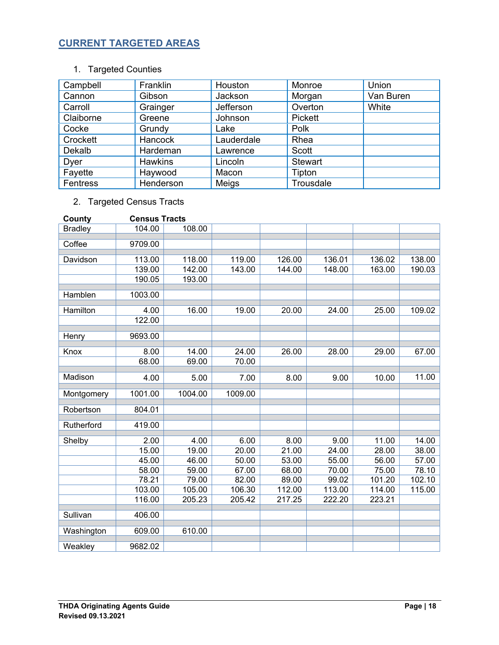# <span id="page-25-0"></span>**CURRENT TARGETED AREAS**

# 1. Targeted Counties

| Campbell  | Franklin       | Houston        | Monroe         | Union     |
|-----------|----------------|----------------|----------------|-----------|
| Cannon    | Gibson         | <b>Jackson</b> | Morgan         | Van Buren |
| Carroll   | Grainger       | Jefferson      | Overton        | White     |
| Claiborne | Greene         | Johnson        | Pickett        |           |
| Cocke     | Grundy         | Lake           | Polk           |           |
| Crockett  | <b>Hancock</b> | Lauderdale     | Rhea           |           |
| Dekalb    | Hardeman       | Lawrence       | Scott          |           |
| Dyer      | <b>Hawkins</b> | Lincoln        | <b>Stewart</b> |           |
| Fayette   | Haywood        | Macon          | Tipton         |           |
| Fentress  | Henderson      | Meigs          | Trousdale      |           |

# 2. Targeted Census Tracts

| County         | <b>Census Tracts</b> |         |         |        |        |        |        |
|----------------|----------------------|---------|---------|--------|--------|--------|--------|
| <b>Bradley</b> | 104.00               | 108.00  |         |        |        |        |        |
|                |                      |         |         |        |        |        |        |
| Coffee         | 9709.00              |         |         |        |        |        |        |
| Davidson       | 113.00               | 118.00  | 119.00  | 126.00 | 136.01 | 136.02 | 138.00 |
|                | 139.00               | 142.00  | 143.00  | 144.00 | 148.00 | 163.00 | 190.03 |
|                |                      |         |         |        |        |        |        |
|                | 190.05               | 193.00  |         |        |        |        |        |
| Hamblen        | 1003.00              |         |         |        |        |        |        |
|                |                      |         |         |        |        |        |        |
| Hamilton       | 4.00                 | 16.00   | 19.00   | 20.00  | 24.00  | 25.00  | 109.02 |
|                | 122.00               |         |         |        |        |        |        |
|                |                      |         |         |        |        |        |        |
| Henry          | 9693.00              |         |         |        |        |        |        |
| Knox           | 8.00                 | 14.00   | 24.00   | 26.00  | 28.00  | 29.00  | 67.00  |
|                | 68.00                | 69.00   | 70.00   |        |        |        |        |
|                |                      |         |         |        |        |        |        |
| Madison        | 4.00                 | 5.00    | 7.00    | 8.00   | 9.00   | 10.00  | 11.00  |
|                |                      |         |         |        |        |        |        |
| Montgomery     | 1001.00              | 1004.00 | 1009.00 |        |        |        |        |
| Robertson      | 804.01               |         |         |        |        |        |        |
|                |                      |         |         |        |        |        |        |
| Rutherford     | 419.00               |         |         |        |        |        |        |
|                |                      |         |         |        |        |        |        |
| Shelby         | 2.00                 | 4.00    | 6.00    | 8.00   | 9.00   | 11.00  | 14.00  |
|                | 15.00                | 19.00   | 20.00   | 21.00  | 24.00  | 28.00  | 38.00  |
|                | 45.00                | 46.00   | 50.00   | 53.00  | 55.00  | 56.00  | 57.00  |
|                | 58.00                | 59.00   | 67.00   | 68.00  | 70.00  | 75.00  | 78.10  |
|                | 78.21                | 79.00   | 82.00   | 89.00  | 99.02  | 101.20 | 102.10 |
|                | 103.00               | 105.00  | 106.30  | 112.00 | 113.00 | 114.00 | 115.00 |
|                | 116.00               | 205.23  | 205.42  | 217.25 | 222.20 | 223.21 |        |
|                |                      |         |         |        |        |        |        |
| Sullivan       | 406.00               |         |         |        |        |        |        |
| Washington     | 609.00               | 610.00  |         |        |        |        |        |
|                |                      |         |         |        |        |        |        |
| Weakley        | 9682.02              |         |         |        |        |        |        |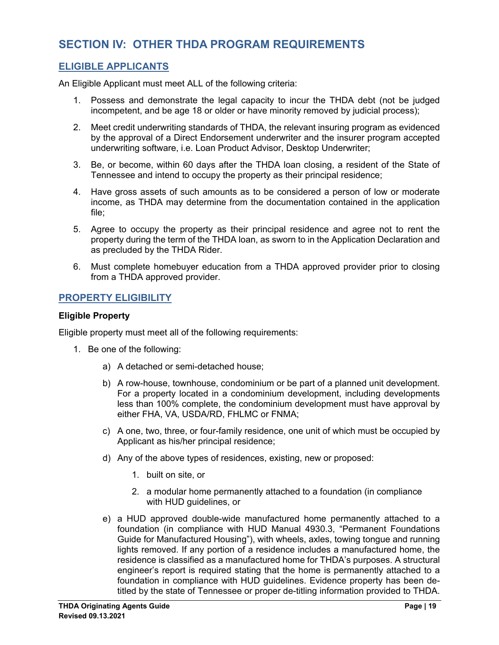# <span id="page-26-0"></span>**SECTION IV: OTHER THDA PROGRAM REQUIREMENTS**

# <span id="page-26-1"></span>**ELIGIBLE APPLICANTS**

An Eligible Applicant must meet ALL of the following criteria:

- 1. Possess and demonstrate the legal capacity to incur the THDA debt (not be judged incompetent, and be age 18 or older or have minority removed by judicial process);
- 2. Meet credit underwriting standards of THDA, the relevant insuring program as evidenced by the approval of a Direct Endorsement underwriter and the insurer program accepted underwriting software, i.e. Loan Product Advisor, Desktop Underwriter;
- 3. Be, or become, within 60 days after the THDA loan closing, a resident of the State of Tennessee and intend to occupy the property as their principal residence;
- 4. Have gross assets of such amounts as to be considered a person of low or moderate income, as THDA may determine from the documentation contained in the application file;
- 5. Agree to occupy the property as their principal residence and agree not to rent the property during the term of the THDA loan, as sworn to in the Application Declaration and as precluded by the THDA Rider.
- 6. Must complete homebuyer education from a THDA approved provider prior to closing from a THDA approved provider.

# <span id="page-26-2"></span>**PROPERTY ELIGIBILITY**

#### <span id="page-26-3"></span>**Eligible Property**

Eligible property must meet all of the following requirements:

- 1. Be one of the following:
	- a) A detached or semi-detached house;
	- b) A row-house, townhouse, condominium or be part of a planned unit development. For a property located in a condominium development, including developments less than 100% complete, the condominium development must have approval by either FHA, VA, USDA/RD, FHLMC or FNMA;
	- c) A one, two, three, or four-family residence, one unit of which must be occupied by Applicant as his/her principal residence;
	- d) Any of the above types of residences, existing, new or proposed:
		- 1. built on site, or
		- 2. a modular home permanently attached to a foundation (in compliance with HUD guidelines, or
	- e) a HUD approved double-wide manufactured home permanently attached to a foundation (in compliance with HUD Manual 4930.3, "Permanent Foundations Guide for Manufactured Housing"), with wheels, axles, towing tongue and running lights removed. If any portion of a residence includes a manufactured home, the residence is classified as a manufactured home for THDA's purposes. A structural engineer's report is required stating that the home is permanently attached to a foundation in compliance with HUD guidelines. Evidence property has been detitled by the state of Tennessee or proper de-titling information provided to THDA.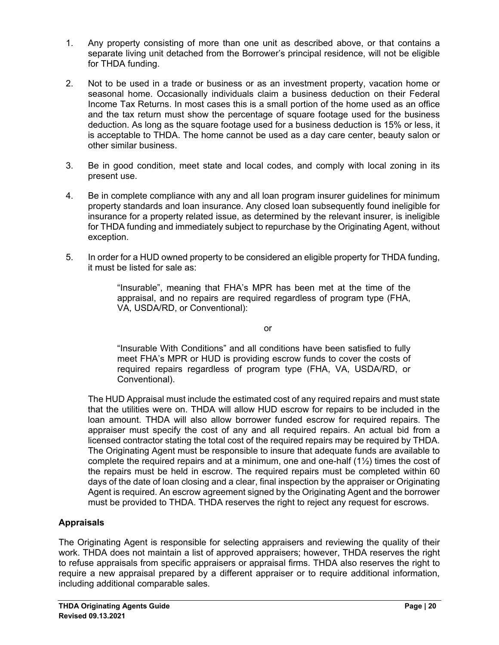- 1. Any property consisting of more than one unit as described above, or that contains a separate living unit detached from the Borrower's principal residence, will not be eligible for THDA funding.
- 2. Not to be used in a trade or business or as an investment property, vacation home or seasonal home. Occasionally individuals claim a business deduction on their Federal Income Tax Returns. In most cases this is a small portion of the home used as an office and the tax return must show the percentage of square footage used for the business deduction. As long as the square footage used for a business deduction is 15% or less, it is acceptable to THDA. The home cannot be used as a day care center, beauty salon or other similar business.
- 3. Be in good condition, meet state and local codes, and comply with local zoning in its present use.
- 4. Be in complete compliance with any and all loan program insurer guidelines for minimum property standards and loan insurance. Any closed loan subsequently found ineligible for insurance for a property related issue, as determined by the relevant insurer, is ineligible for THDA funding and immediately subject to repurchase by the Originating Agent, without exception.
- 5. In order for a HUD owned property to be considered an eligible property for THDA funding, it must be listed for sale as:

"Insurable", meaning that FHA's MPR has been met at the time of the appraisal, and no repairs are required regardless of program type (FHA, VA, USDA/RD, or Conventional):

or

"Insurable With Conditions" and all conditions have been satisfied to fully meet FHA's MPR or HUD is providing escrow funds to cover the costs of required repairs regardless of program type (FHA, VA, USDA/RD, or Conventional).

The HUD Appraisal must include the estimated cost of any required repairs and must state that the utilities were on. THDA will allow HUD escrow for repairs to be included in the loan amount. THDA will also allow borrower funded escrow for required repairs. The appraiser must specify the cost of any and all required repairs. An actual bid from a licensed contractor stating the total cost of the required repairs may be required by THDA. The Originating Agent must be responsible to insure that adequate funds are available to complete the required repairs and at a minimum, one and one-half  $(1/2)$  times the cost of the repairs must be held in escrow. The required repairs must be completed within 60 days of the date of loan closing and a clear, final inspection by the appraiser or Originating Agent is required. An escrow agreement signed by the Originating Agent and the borrower must be provided to THDA. THDA reserves the right to reject any request for escrows.

# <span id="page-27-0"></span>**Appraisals**

The Originating Agent is responsible for selecting appraisers and reviewing the quality of their work. THDA does not maintain a list of approved appraisers; however, THDA reserves the right to refuse appraisals from specific appraisers or appraisal firms. THDA also reserves the right to require a new appraisal prepared by a different appraiser or to require additional information, including additional comparable sales.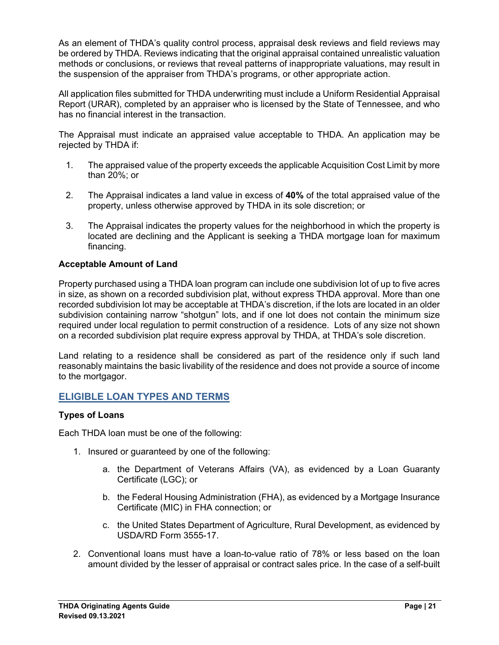As an element of THDA's quality control process, appraisal desk reviews and field reviews may be ordered by THDA. Reviews indicating that the original appraisal contained unrealistic valuation methods or conclusions, or reviews that reveal patterns of inappropriate valuations, may result in the suspension of the appraiser from THDA's programs, or other appropriate action.

All application files submitted for THDA underwriting must include a Uniform Residential Appraisal Report (URAR), completed by an appraiser who is licensed by the State of Tennessee, and who has no financial interest in the transaction.

The Appraisal must indicate an appraised value acceptable to THDA. An application may be rejected by THDA if:

- 1. The appraised value of the property exceeds the applicable Acquisition Cost Limit by more than 20%; or
- 2. The Appraisal indicates a land value in excess of **40%** of the total appraised value of the property, unless otherwise approved by THDA in its sole discretion; or
- 3. The Appraisal indicates the property values for the neighborhood in which the property is located are declining and the Applicant is seeking a THDA mortgage loan for maximum financing.

# <span id="page-28-0"></span>**Acceptable Amount of Land**

Property purchased using a THDA loan program can include one subdivision lot of up to five acres in size, as shown on a recorded subdivision plat, without express THDA approval. More than one recorded subdivision lot may be acceptable at THDA's discretion, if the lots are located in an older subdivision containing narrow "shotgun" lots, and if one lot does not contain the minimum size required under local regulation to permit construction of a residence. Lots of any size not shown on a recorded subdivision plat require express approval by THDA, at THDA's sole discretion.

Land relating to a residence shall be considered as part of the residence only if such land reasonably maintains the basic livability of the residence and does not provide a source of income to the mortgagor.

# <span id="page-28-1"></span>**ELIGIBLE LOAN TYPES AND TERMS**

#### <span id="page-28-2"></span>**Types of Loans**

Each THDA loan must be one of the following:

- 1. Insured or guaranteed by one of the following:
	- a. the Department of Veterans Affairs (VA), as evidenced by a Loan Guaranty Certificate (LGC); or
	- b. the Federal Housing Administration (FHA), as evidenced by a Mortgage Insurance Certificate (MIC) in FHA connection; or
	- c. the United States Department of Agriculture, Rural Development, as evidenced by USDA/RD Form 3555-17.
- 2. Conventional loans must have a loan-to-value ratio of 78% or less based on the loan amount divided by the lesser of appraisal or contract sales price. In the case of a self-built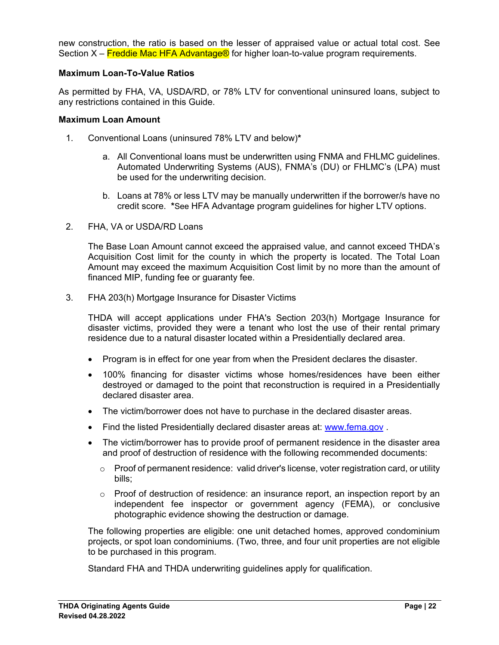new construction, the ratio is based on the lesser of appraised value or actual total cost. See Section  $X$  – Freddie Mac HFA Advantage® for higher loan-to-value program requirements.

#### <span id="page-29-0"></span>**Maximum Loan-To-Value Ratios**

As permitted by FHA, VA, USDA/RD, or 78% LTV for conventional uninsured loans, subject to any restrictions contained in this Guide.

#### <span id="page-29-1"></span>**Maximum Loan Amount**

- 1. Conventional Loans (uninsured 78% LTV and below)**\***
	- a. All Conventional loans must be underwritten using FNMA and FHLMC guidelines. Automated Underwriting Systems (AUS), FNMA's (DU) or FHLMC's (LPA) must be used for the underwriting decision.
	- b. Loans at 78% or less LTV may be manually underwritten if the borrower/s have no credit score. **\***See HFA Advantage program guidelines for higher LTV options.
- 2. FHA, VA or USDA/RD Loans

The Base Loan Amount cannot exceed the appraised value, and cannot exceed THDA's Acquisition Cost limit for the county in which the property is located. The Total Loan Amount may exceed the maximum Acquisition Cost limit by no more than the amount of financed MIP, funding fee or guaranty fee.

3. FHA 203(h) Mortgage Insurance for Disaster Victims

THDA will accept applications under FHA's Section 203(h) Mortgage Insurance for disaster victims, provided they were a tenant who lost the use of their rental primary residence due to a natural disaster located within a Presidentially declared area.

- Program is in effect for one year from when the President declares the disaster.
- 100% financing for disaster victims whose homes/residences have been either destroyed or damaged to the point that reconstruction is required in a Presidentially declared disaster area.
- The victim/borrower does not have to purchase in the declared disaster areas.
- Find the listed Presidentially declared disaster areas at: [www.fema.gov](http://www.fema.gov/).
- The victim/borrower has to provide proof of permanent residence in the disaster area and proof of destruction of residence with the following recommended documents:
	- $\circ$  Proof of permanent residence: valid driver's license, voter registration card, or utility bills;
	- $\circ$  Proof of destruction of residence: an insurance report, an inspection report by an independent fee inspector or government agency (FEMA), or conclusive photographic evidence showing the destruction or damage.

The following properties are eligible: one unit detached homes, approved condominium projects, or spot loan condominiums. (Two, three, and four unit properties are not eligible to be purchased in this program.

Standard FHA and THDA underwriting guidelines apply for qualification.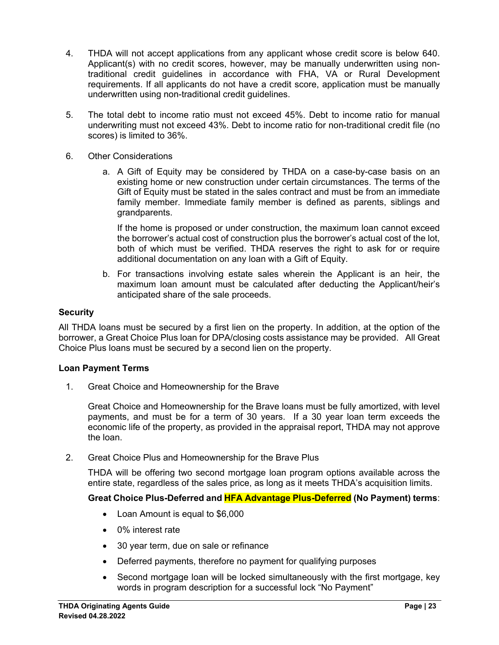- 4. THDA will not accept applications from any applicant whose credit score is below 640. Applicant(s) with no credit scores, however, may be manually underwritten using nontraditional credit guidelines in accordance with FHA, VA or Rural Development requirements. If all applicants do not have a credit score, application must be manually underwritten using non-traditional credit guidelines.
- 5. The total debt to income ratio must not exceed 45%. Debt to income ratio for manual underwriting must not exceed 43%. Debt to income ratio for non-traditional credit file (no scores) is limited to 36%.
- 6. Other Considerations
	- a. A Gift of Equity may be considered by THDA on a case-by-case basis on an existing home or new construction under certain circumstances. The terms of the Gift of Equity must be stated in the sales contract and must be from an immediate family member. Immediate family member is defined as parents, siblings and grandparents.

If the home is proposed or under construction, the maximum loan cannot exceed the borrower's actual cost of construction plus the borrower's actual cost of the lot, both of which must be verified. THDA reserves the right to ask for or require additional documentation on any loan with a Gift of Equity.

b. For transactions involving estate sales wherein the Applicant is an heir, the maximum loan amount must be calculated after deducting the Applicant/heir's anticipated share of the sale proceeds.

#### <span id="page-30-0"></span>**Security**

All THDA loans must be secured by a first lien on the property. In addition, at the option of the borrower, a Great Choice Plus loan for DPA/closing costs assistance may be provided. All Great Choice Plus loans must be secured by a second lien on the property.

#### <span id="page-30-1"></span>**Loan Payment Terms**

1. Great Choice and Homeownership for the Brave

Great Choice and Homeownership for the Brave loans must be fully amortized, with level payments, and must be for a term of 30 years. If a 30 year loan term exceeds the economic life of the property, as provided in the appraisal report, THDA may not approve the loan.

2. Great Choice Plus and Homeownership for the Brave Plus

THDA will be offering two second mortgage loan program options available across the entire state, regardless of the sales price, as long as it meets THDA's acquisition limits.

#### **Great Choice Plus-Deferred and HFA Advantage Plus-Deferred (No Payment) terms**:

- Loan Amount is equal to \$6,000
- 0% interest rate
- 30 year term, due on sale or refinance
- Deferred payments, therefore no payment for qualifying purposes
- Second mortgage loan will be locked simultaneously with the first mortgage, key words in program description for a successful lock "No Payment"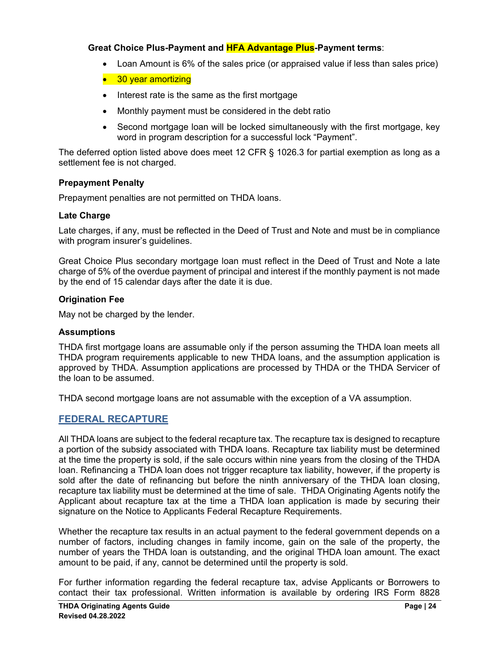#### **Great Choice Plus-Payment and HFA Advantage Plus-Payment terms**:

- Loan Amount is 6% of the sales price (or appraised value if less than sales price)
- 30 year amortizing
- Interest rate is the same as the first mortgage
- Monthly payment must be considered in the debt ratio
- Second mortgage loan will be locked simultaneously with the first mortgage, key word in program description for a successful lock "Payment".

The deferred option listed above does meet 12 CFR § 1026.3 for partial exemption as long as a settlement fee is not charged.

#### <span id="page-31-0"></span>**Prepayment Penalty**

Prepayment penalties are not permitted on THDA loans.

#### <span id="page-31-1"></span>**Late Charge**

Late charges, if any, must be reflected in the Deed of Trust and Note and must be in compliance with program insurer's guidelines.

Great Choice Plus secondary mortgage loan must reflect in the Deed of Trust and Note a late charge of 5% of the overdue payment of principal and interest if the monthly payment is not made by the end of 15 calendar days after the date it is due.

#### <span id="page-31-2"></span>**Origination Fee**

May not be charged by the lender.

#### <span id="page-31-3"></span>**Assumptions**

THDA first mortgage loans are assumable only if the person assuming the THDA loan meets all THDA program requirements applicable to new THDA loans, and the assumption application is approved by THDA. Assumption applications are processed by THDA or the THDA Servicer of the loan to be assumed.

<span id="page-31-4"></span>THDA second mortgage loans are not assumable with the exception of a VA assumption.

#### **FEDERAL RECAPTURE**

All THDA loans are subject to the federal recapture tax. The recapture tax is designed to recapture a portion of the subsidy associated with THDA loans. Recapture tax liability must be determined at the time the property is sold, if the sale occurs within nine years from the closing of the THDA loan. Refinancing a THDA loan does not trigger recapture tax liability, however, if the property is sold after the date of refinancing but before the ninth anniversary of the THDA loan closing, recapture tax liability must be determined at the time of sale. THDA Originating Agents notify the Applicant about recapture tax at the time a THDA loan application is made by securing their signature on the Notice to Applicants Federal Recapture Requirements.

Whether the recapture tax results in an actual payment to the federal government depends on a number of factors, including changes in family income, gain on the sale of the property, the number of years the THDA loan is outstanding, and the original THDA loan amount. The exact amount to be paid, if any, cannot be determined until the property is sold.

For further information regarding the federal recapture tax, advise Applicants or Borrowers to contact their tax professional. Written information is available by ordering IRS Form 8828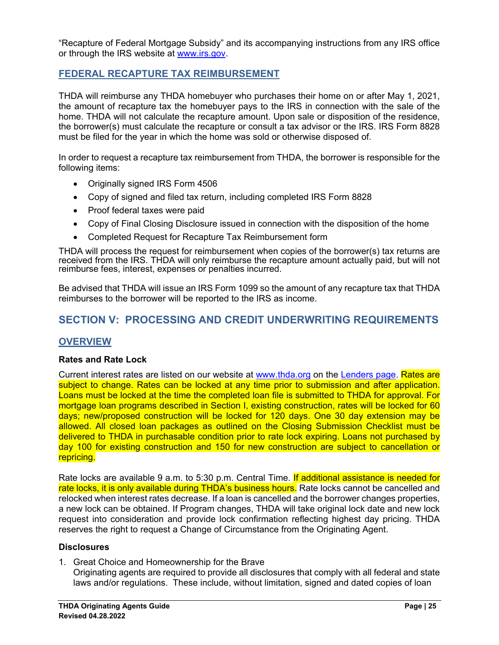"Recapture of Federal Mortgage Subsidy" and its accompanying instructions from any IRS office or through the IRS website at [www.irs.gov.](http://www.irs.gov/)

# <span id="page-32-0"></span>**FEDERAL RECAPTURE TAX REIMBURSEMENT**

THDA will reimburse any THDA homebuyer who purchases their home on or after May 1, 2021, the amount of recapture tax the homebuyer pays to the IRS in connection with the sale of the home. THDA will not calculate the recapture amount. Upon sale or disposition of the residence, the borrower(s) must calculate the recapture or consult a tax advisor or the IRS. IRS Form 8828 must be filed for the year in which the home was sold or otherwise disposed of.

In order to request a recapture tax reimbursement from THDA, the borrower is responsible for the following items:

- Originally signed IRS Form 4506
- Copy of signed and filed tax return, including completed IRS Form 8828
- Proof federal taxes were paid
- Copy of Final Closing Disclosure issued in connection with the disposition of the home
- Completed Request for Recapture Tax Reimbursement form

THDA will process the request for reimbursement when copies of the borrower(s) tax returns are received from the IRS. THDA will only reimburse the recapture amount actually paid, but will not reimburse fees, interest, expenses or penalties incurred.

Be advised that THDA will issue an IRS Form 1099 so the amount of any recapture tax that THDA reimburses to the borrower will be reported to the IRS as income.

# <span id="page-32-2"></span><span id="page-32-1"></span>**SECTION V: PROCESSING AND CREDIT UNDERWRITING REQUIREMENTS**

# **OVERVIEW**

#### <span id="page-32-3"></span>**Rates and Rate Lock**

Current interest rates are listed on our website at [www.thda.org](http://www.thda.org/) on the [Lenders page.](https://thda.org/homeownership-partners/lenders) Rates are subject to change. Rates can be locked at any time prior to submission and after application. Loans must be locked at the time the completed loan file is submitted to THDA for approval. For mortgage loan programs described in Section I, existing construction, rates will be locked for 60 days; new/proposed construction will be locked for 120 days. One 30 day extension may be allowed. All closed loan packages as outlined on the Closing Submission Checklist must be delivered to THDA in purchasable condition prior to rate lock expiring. Loans not purchased by day 100 for existing construction and 150 for new construction are subject to cancellation or repricing.

Rate locks are available 9 a.m. to 5:30 p.m. Central Time. If additional assistance is needed for rate locks, it is only available during THDA's business hours. Rate locks cannot be cancelled and relocked when interest rates decrease. If a loan is cancelled and the borrower changes properties, a new lock can be obtained. If Program changes, THDA will take original lock date and new lock request into consideration and provide lock confirmation reflecting highest day pricing. THDA reserves the right to request a Change of Circumstance from the Originating Agent.

#### <span id="page-32-4"></span>**Disclosures**

1. Great Choice and Homeownership for the Brave

Originating agents are required to provide all disclosures that comply with all federal and state laws and/or regulations. These include, without limitation, signed and dated copies of loan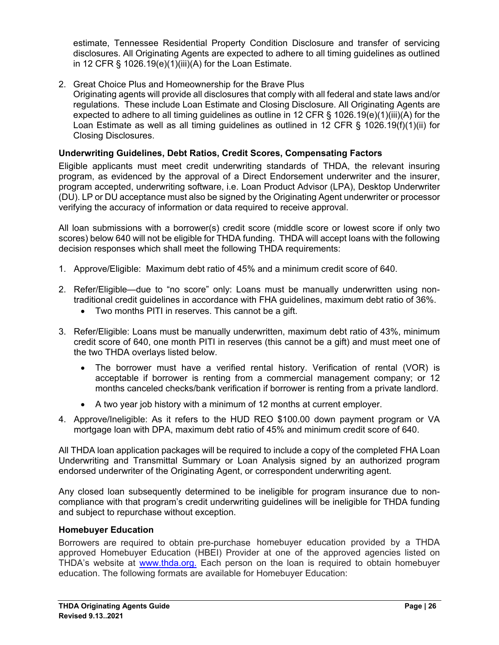estimate, Tennessee Residential Property Condition Disclosure and transfer of servicing disclosures. All Originating Agents are expected to adhere to all timing guidelines as outlined in 12 CFR § 1026.19(e)(1)(iii)(A) for the Loan Estimate.

2. Great Choice Plus and Homeownership for the Brave Plus

Originating agents will provide all disclosures that comply with all federal and state laws and/or regulations. These include Loan Estimate and Closing Disclosure. All Originating Agents are expected to adhere to all timing guidelines as outline in 12 CFR § 1026.19(e)(1)(iii)(A) for the Loan Estimate as well as all timing guidelines as outlined in 12 CFR § 1026.19(f)(1)(ii) for Closing Disclosures.

## <span id="page-33-0"></span>**Underwriting Guidelines, Debt Ratios, Credit Scores, Compensating Factors**

Eligible applicants must meet credit underwriting standards of THDA, the relevant insuring program, as evidenced by the approval of a Direct Endorsement underwriter and the insurer, program accepted, underwriting software, i.e. Loan Product Advisor (LPA), Desktop Underwriter (DU). LP or DU acceptance must also be signed by the Originating Agent underwriter or processor verifying the accuracy of information or data required to receive approval.

All loan submissions with a borrower(s) credit score (middle score or lowest score if only two scores) below 640 will not be eligible for THDA funding. THDA will accept loans with the following decision responses which shall meet the following THDA requirements:

- 1. Approve/Eligible: Maximum debt ratio of 45% and a minimum credit score of 640.
- 2. Refer/Eligible—due to "no score" only: Loans must be manually underwritten using nontraditional credit guidelines in accordance with FHA guidelines, maximum debt ratio of 36%.
	- Two months PITI in reserves. This cannot be a gift.
- 3. Refer/Eligible: Loans must be manually underwritten, maximum debt ratio of 43%, minimum credit score of 640, one month PITI in reserves (this cannot be a gift) and must meet one of the two THDA overlays listed below.
	- The borrower must have a verified rental history. Verification of rental (VOR) is acceptable if borrower is renting from a commercial management company; or 12 months canceled checks/bank verification if borrower is renting from a private landlord.
	- A two year job history with a minimum of 12 months at current employer.
- 4. Approve/Ineligible: As it refers to the HUD REO \$100.00 down payment program or VA mortgage loan with DPA, maximum debt ratio of 45% and minimum credit score of 640.

All THDA loan application packages will be required to include a copy of the completed FHA Loan Underwriting and Transmittal Summary or Loan Analysis signed by an authorized program endorsed underwriter of the Originating Agent, or correspondent underwriting agent.

Any closed loan subsequently determined to be ineligible for program insurance due to noncompliance with that program's credit underwriting guidelines will be ineligible for THDA funding and subject to repurchase without exception.

#### <span id="page-33-1"></span>**Homebuyer Education**

Borrowers are required to obtain pre-purchase homebuyer education provided by a THDA approved Homebuyer Education (HBEI) Provider at one of the approved agencies listed on THDA's website at [www.thda.org.](http://www.thda.org./) Each person on the loan is required to obtain homebuyer education. The following formats are available for Homebuyer Education: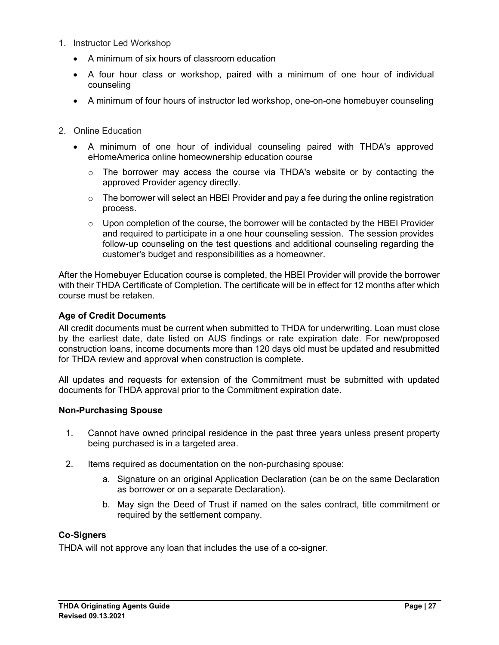#### 1. Instructor Led Workshop

- A minimum of six hours of classroom education
- A four hour class or workshop, paired with a minimum of one hour of individual counseling
- A minimum of four hours of instructor led workshop, one-on-one homebuyer counseling
- 2. Online Education
	- A minimum of one hour of individual counseling paired with THDA's approved eHomeAmerica online homeownership education course
		- $\circ$  The borrower may access the course via THDA's website or by contacting the approved Provider agency directly.
		- $\circ$  The borrower will select an HBEI Provider and pay a fee during the online registration process.
		- $\circ$  Upon completion of the course, the borrower will be contacted by the HBEI Provider and required to participate in a one hour counseling session. The session provides follow-up counseling on the test questions and additional counseling regarding the customer's budget and responsibilities as a homeowner.

After the Homebuyer Education course is completed, the HBEI Provider will provide the borrower with their THDA Certificate of Completion. The certificate will be in effect for 12 months after which course must be retaken.

# <span id="page-34-0"></span>**Age of Credit Documents**

All credit documents must be current when submitted to THDA for underwriting. Loan must close by the earliest date, date listed on AUS findings or rate expiration date. For new/proposed construction loans, income documents more than 120 days old must be updated and resubmitted for THDA review and approval when construction is complete.

All updates and requests for extension of the Commitment must be submitted with updated documents for THDA approval prior to the Commitment expiration date.

#### <span id="page-34-1"></span>**Non-Purchasing Spouse**

- 1. Cannot have owned principal residence in the past three years unless present property being purchased is in a targeted area.
- 2. Items required as documentation on the non-purchasing spouse:
	- a. Signature on an original Application Declaration (can be on the same Declaration as borrower or on a separate Declaration).
	- b. May sign the Deed of Trust if named on the sales contract, title commitment or required by the settlement company.

#### <span id="page-34-2"></span>**Co-Signers**

THDA will not approve any loan that includes the use of a co-signer.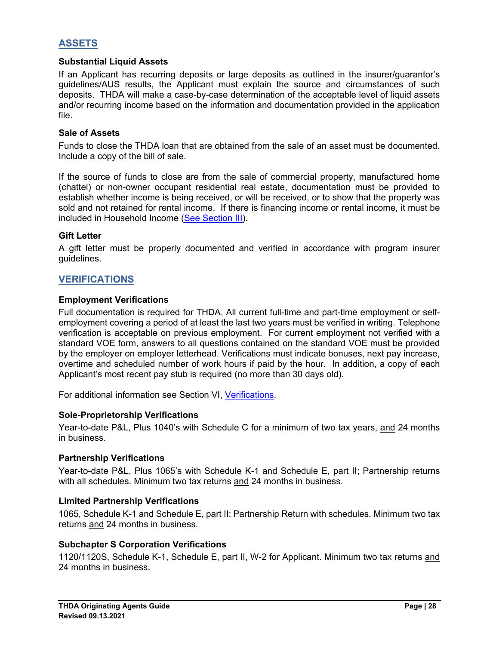# <span id="page-35-0"></span>**ASSETS**

#### <span id="page-35-1"></span>**Substantial Liquid Assets**

If an Applicant has recurring deposits or large deposits as outlined in the insurer/guarantor's guidelines/AUS results, the Applicant must explain the source and circumstances of such deposits. THDA will make a case-by-case determination of the acceptable level of liquid assets and/or recurring income based on the information and documentation provided in the application file.

#### <span id="page-35-2"></span>**Sale of Assets**

Funds to close the THDA loan that are obtained from the sale of an asset must be documented. Include a copy of the bill of sale.

If the source of funds to close are from the sale of commercial property, manufactured home (chattel) or non-owner occupant residential real estate, documentation must be provided to establish whether income is being received, or will be received, or to show that the property was sold and not retained for rental income. If there is financing income or rental income, it must be included in Household Income [\(See Section](#page-20-2) III).

#### <span id="page-35-3"></span>**Gift Letter**

<span id="page-35-10"></span>A gift letter must be properly documented and verified in accordance with program insurer guidelines.

# <span id="page-35-4"></span>**VERIFICATIONS**

#### <span id="page-35-5"></span>**Employment Verifications**

Full documentation is required for THDA. All current full-time and part-time employment or selfemployment covering a period of at least the last two years must be verified in writing. Telephone verification is acceptable on previous employment. For current employment not verified with a standard VOE form, answers to all questions contained on the standard VOE must be provided by the employer on employer letterhead. Verifications must indicate bonuses, next pay increase, overtime and scheduled number of work hours if paid by the hour. In addition, a copy of each Applicant's most recent pay stub is required (no more than 30 days old).

For additional information see Section VI, [Verifications.](#page-40-0)

#### <span id="page-35-6"></span>**Sole-Proprietorship Verifications**

Year-to-date P&L, Plus 1040's with Schedule C for a minimum of two tax years, and 24 months in business.

#### <span id="page-35-7"></span>**Partnership Verifications**

Year-to-date P&L, Plus 1065's with Schedule K-1 and Schedule E, part II; Partnership returns with all schedules. Minimum two tax returns and 24 months in business.

#### <span id="page-35-8"></span>**Limited Partnership Verifications**

1065, Schedule K-1 and Schedule E, part II; Partnership Return with schedules. Minimum two tax returns and 24 months in business.

#### <span id="page-35-9"></span>**Subchapter S Corporation Verifications**

1120/1120S, Schedule K-1, Schedule E, part II, W-2 for Applicant. Minimum two tax returns and 24 months in business.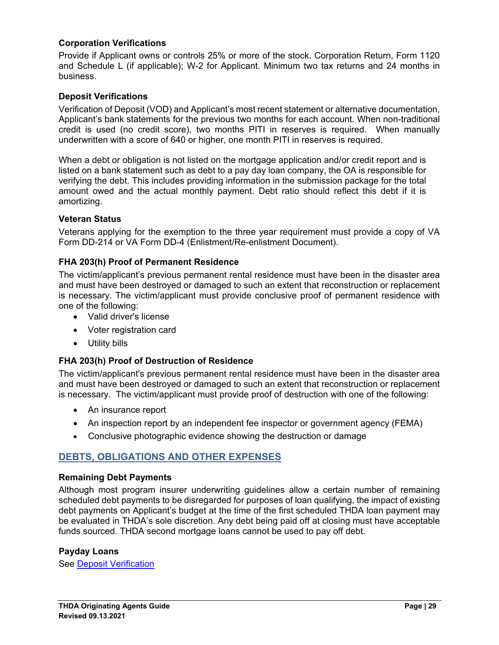#### <span id="page-36-0"></span>**Corporation Verifications**

Provide if Applicant owns or controls 25% or more of the stock. Corporation Return, Form 1120 and Schedule L (if applicable); W-2 for Applicant. Minimum two tax returns and 24 months in business.

#### <span id="page-36-1"></span>**Deposit Verifications**

Verification of Deposit (VOD) and Applicant's most recent statement or alternative documentation, Applicant's bank statements for the previous two months for each account. When non-traditional credit is used (no credit score), two months PITI in reserves is required. When manually underwritten with a score of 640 or higher, one month PITI in reserves is required.

When a debt or obligation is not listed on the mortgage application and/or credit report and is listed on a bank statement such as debt to a pay day loan company, the OA is responsible for verifying the debt. This includes providing information in the submission package for the total amount owed and the actual monthly payment. Debt ratio should reflect this debt if it is amortizing.

#### <span id="page-36-2"></span>**Veteran Status**

Veterans applying for the exemption to the three year requirement must provide a copy of VA Form DD-214 or VA Form DD-4 (Enlistment/Re-enlistment Document).

#### <span id="page-36-3"></span>**FHA 203(h) Proof of Permanent Residence**

The victim/applicant's previous permanent rental residence must have been in the disaster area and must have been destroyed or damaged to such an extent that reconstruction or replacement is necessary. The victim/applicant must provide conclusive proof of permanent residence with one of the following:

- Valid driver's license
- Voter registration card
- Utility bills

#### <span id="page-36-4"></span>**FHA 203(h) Proof of Destruction of Residence**

The victim/applicant's previous permanent rental residence must have been in the disaster area and must have been destroyed or damaged to such an extent that reconstruction or replacement is necessary. The victim/applicant must provide proof of destruction with one of the following:

- An insurance report
- An inspection report by an independent fee inspector or government agency (FEMA)
- Conclusive photographic evidence showing the destruction or damage

# <span id="page-36-5"></span>**DEBTS, OBLIGATIONS AND OTHER EXPENSES**

#### <span id="page-36-6"></span>**Remaining Debt Payments**

Although most program insurer underwriting guidelines allow a certain number of remaining scheduled debt payments to be disregarded for purposes of loan qualifying, the impact of existing debt payments on Applicant's budget at the time of the first scheduled THDA loan payment may be evaluated in THDA's sole discretion. Any debt being paid off at closing must have acceptable funds sourced. THDA second mortgage loans cannot be used to pay off debt.

#### <span id="page-36-7"></span>**Payday Loans**

See [Deposit Verification](#page-36-1)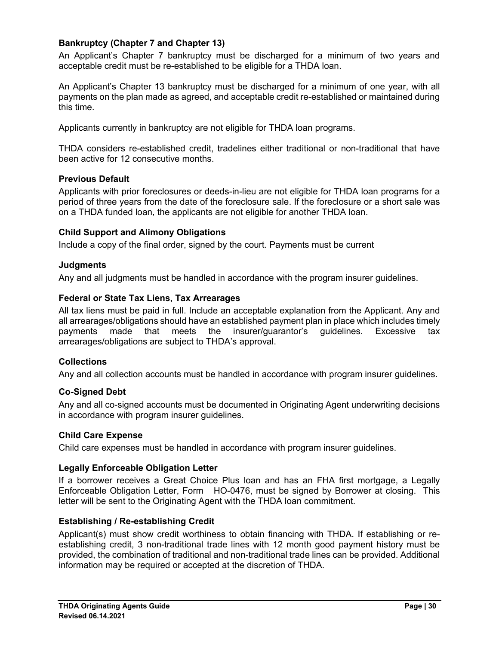# <span id="page-37-0"></span>**Bankruptcy (Chapter 7 and Chapter 13)**

An Applicant's Chapter 7 bankruptcy must be discharged for a minimum of two years and acceptable credit must be re-established to be eligible for a THDA loan.

An Applicant's Chapter 13 bankruptcy must be discharged for a minimum of one year, with all payments on the plan made as agreed, and acceptable credit re-established or maintained during this time.

Applicants currently in bankruptcy are not eligible for THDA loan programs.

THDA considers re-established credit, tradelines either traditional or non-traditional that have been active for 12 consecutive months.

#### <span id="page-37-1"></span>**Previous Default**

Applicants with prior foreclosures or deeds-in-lieu are not eligible for THDA loan programs for a period of three years from the date of the foreclosure sale. If the foreclosure or a short sale was on a THDA funded loan, the applicants are not eligible for another THDA loan.

#### <span id="page-37-2"></span>**Child Support and Alimony Obligations**

Include a copy of the final order, signed by the court. Payments must be current

#### <span id="page-37-3"></span>**Judgments**

Any and all judgments must be handled in accordance with the program insurer guidelines.

#### <span id="page-37-4"></span>**Federal or State Tax Liens, Tax Arrearages**

All tax liens must be paid in full. Include an acceptable explanation from the Applicant. Any and all arrearages/obligations should have an established payment plan in place which includes timely payments made that meets the insurer/guarantor's guidelines. Excessive tax arrearages/obligations are subject to THDA's approval.

#### <span id="page-37-5"></span>**Collections**

Any and all collection accounts must be handled in accordance with program insurer guidelines.

#### <span id="page-37-6"></span>**Co-Signed Debt**

Any and all co-signed accounts must be documented in Originating Agent underwriting decisions in accordance with program insurer guidelines.

#### <span id="page-37-7"></span>**Child Care Expense**

Child care expenses must be handled in accordance with program insurer guidelines.

#### <span id="page-37-8"></span>**Legally Enforceable Obligation Letter**

If a borrower receives a Great Choice Plus loan and has an FHA first mortgage, a Legally Enforceable Obligation Letter, Form HO-0476, must be signed by Borrower at closing. This letter will be sent to the Originating Agent with the THDA loan commitment.

#### <span id="page-37-9"></span>**Establishing / Re-establishing Credit**

Applicant(s) must show credit worthiness to obtain financing with THDA. If establishing or reestablishing credit, 3 non-traditional trade lines with 12 month good payment history must be provided, the combination of traditional and non-traditional trade lines can be provided. Additional information may be required or accepted at the discretion of THDA.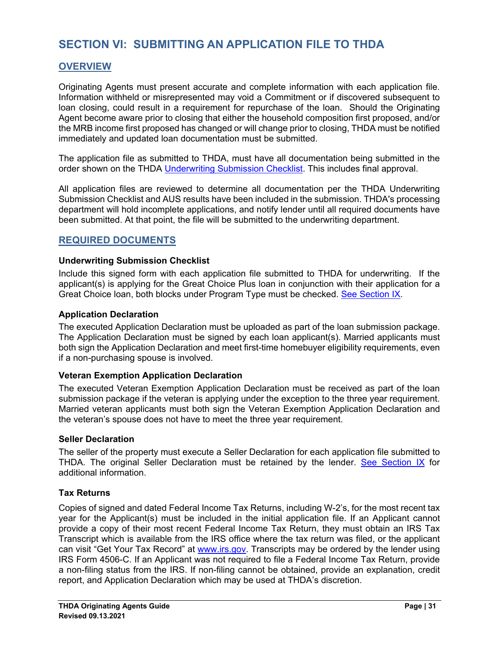# <span id="page-38-0"></span>**SECTION VI: SUBMITTING AN APPLICATION FILE TO THDA**

# <span id="page-38-1"></span>**OVERVIEW**

Originating Agents must present accurate and complete information with each application file. Information withheld or misrepresented may void a Commitment or if discovered subsequent to loan closing, could result in a requirement for repurchase of the loan. Should the Originating Agent become aware prior to closing that either the household composition first proposed, and/or the MRB income first proposed has changed or will change prior to closing, THDA must be notified immediately and updated loan documentation must be submitted.

The application file as submitted to THDA, must have all documentation being submitted in the order shown on the THDA [Underwriting Submission Checklist.](https://thda.org/pdf/0549-Underwriting-Submission_GC.pdf) This includes final approval.

All application files are reviewed to determine all documentation per the THDA Underwriting Submission Checklist and AUS results have been included in the submission. THDA's processing department will hold incomplete applications, and notify lender until all required documents have been submitted. At that point, the file will be submitted to the underwriting department.

# <span id="page-38-2"></span>**REQUIRED DOCUMENTS**

#### <span id="page-38-3"></span>**Underwriting Submission Checklist**

Include this signed form with each application file submitted to THDA for underwriting. If the applicant(s) is applying for the Great Choice Plus loan in conjunction with their application for a Great Choice loan, both blocks under Program Type must be checked. [See Section IX.](#page-60-0)

#### <span id="page-38-4"></span>**Application Declaration**

The executed Application Declaration must be uploaded as part of the loan submission package. The Application Declaration must be signed by each loan applicant(s). Married applicants must both sign the Application Declaration and meet first-time homebuyer eligibility requirements, even if a non-purchasing spouse is involved.

#### <span id="page-38-5"></span>**Veteran Exemption Application Declaration**

The executed Veteran Exemption Application Declaration must be received as part of the loan submission package if the veteran is applying under the exception to the three year requirement. Married veteran applicants must both sign the Veteran Exemption Application Declaration and the veteran's spouse does not have to meet the three year requirement.

#### <span id="page-38-6"></span>**Seller Declaration**

The seller of the property must execute a Seller Declaration for each application file submitted to THDA. The original Seller Declaration must be retained by the lender. [See Section](#page-59-3) IX for additional information.

#### <span id="page-38-7"></span>**Tax Returns**

Copies of signed and dated Federal Income Tax Returns, including W-2's, for the most recent tax year for the Applicant(s) must be included in the initial application file. If an Applicant cannot provide a copy of their most recent Federal Income Tax Return, they must obtain an IRS Tax Transcript which is available from the IRS office where the tax return was filed, or the applicant can visit "Get Your Tax Record" at [www.irs.gov.](file://nv-app-03/thda2/SF/HO%20Guides/OA%20Guide/Remodeled%20OA%20Guide%20Project/Final%20Drafts/www.irs.gov) Transcripts may be ordered by the lender using IRS Form 4506-C. If an Applicant was not required to file a Federal Income Tax Return, provide a non-filing status from the IRS. If non-filing cannot be obtained, provide an explanation, credit report, and Application Declaration which may be used at THDA's discretion.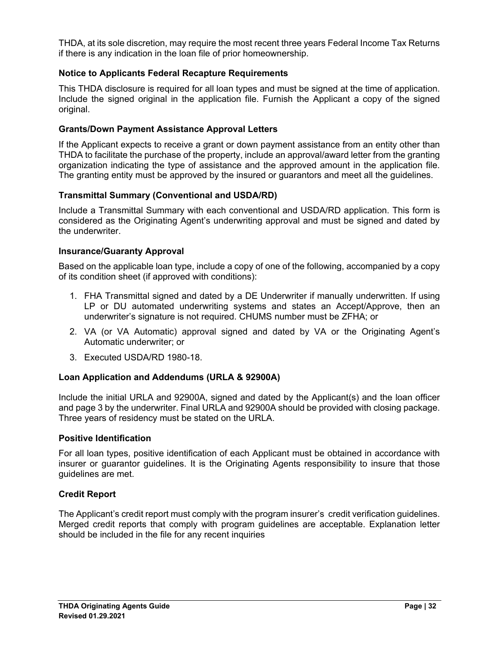THDA, at its sole discretion, may require the most recent three years Federal Income Tax Returns if there is any indication in the loan file of prior homeownership.

# <span id="page-39-0"></span>**Notice to Applicants Federal Recapture Requirements**

This THDA disclosure is required for all loan types and must be signed at the time of application. Include the signed original in the application file. Furnish the Applicant a copy of the signed original.

# <span id="page-39-1"></span>**Grants/Down Payment Assistance Approval Letters**

If the Applicant expects to receive a grant or down payment assistance from an entity other than THDA to facilitate the purchase of the property, include an approval/award letter from the granting organization indicating the type of assistance and the approved amount in the application file. The granting entity must be approved by the insured or guarantors and meet all the guidelines.

# <span id="page-39-2"></span>**Transmittal Summary (Conventional and USDA/RD)**

Include a Transmittal Summary with each conventional and USDA/RD application. This form is considered as the Originating Agent's underwriting approval and must be signed and dated by the underwriter.

#### <span id="page-39-3"></span>**Insurance/Guaranty Approval**

Based on the applicable loan type, include a copy of one of the following, accompanied by a copy of its condition sheet (if approved with conditions):

- 1. FHA Transmittal signed and dated by a DE Underwriter if manually underwritten. If using LP or DU automated underwriting systems and states an Accept/Approve, then an underwriter's signature is not required. CHUMS number must be ZFHA; or
- 2. VA (or VA Automatic) approval signed and dated by VA or the Originating Agent's Automatic underwriter; or
- 3. Executed USDA/RD 1980-18.

#### <span id="page-39-4"></span>**Loan Application and Addendums (URLA & 92900A)**

Include the initial URLA and 92900A, signed and dated by the Applicant(s) and the loan officer and page 3 by the underwriter. Final URLA and 92900A should be provided with closing package. Three years of residency must be stated on the URLA.

#### <span id="page-39-5"></span>**Positive Identification**

For all loan types, positive identification of each Applicant must be obtained in accordance with insurer or guarantor guidelines. It is the Originating Agents responsibility to insure that those guidelines are met.

#### <span id="page-39-6"></span>**Credit Report**

<span id="page-39-7"></span>The Applicant's credit report must comply with the program insurer's credit verification guidelines. Merged credit reports that comply with program guidelines are acceptable. Explanation letter should be included in the file for any recent inquiries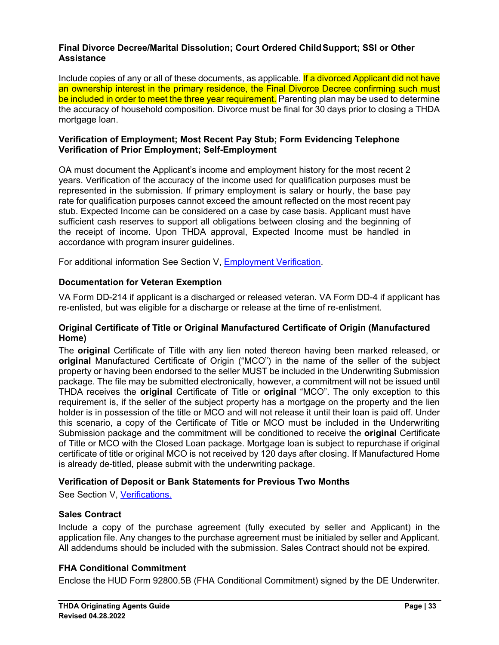#### **Final Divorce Decree/Marital Dissolution; Court Ordered ChildSupport; SSI or Other Assistance**

Include copies of any or all of these documents, as applicable. If a divorced Applicant did not have an ownership interest in the primary residence, the Final Divorce Decree confirming such must be included in order to meet the three year requirement. Parenting plan may be used to determine the accuracy of household composition. Divorce must be final for 30 days prior to closing a THDA mortgage loan.

#### <span id="page-40-0"></span>**Verification of Employment; Most Recent Pay Stub; Form Evidencing Telephone Verification of Prior Employment; Self-Employment**

OA must document the Applicant's income and employment history for the most recent 2 years. Verification of the accuracy of the income used for qualification purposes must be represented in the submission. If primary employment is salary or hourly, the base pay rate for qualification purposes cannot exceed the amount reflected on the most recent pay stub. Expected Income can be considered on a case by case basis. Applicant must have sufficient cash reserves to support all obligations between closing and the beginning of the receipt of income. Upon THDA approval, Expected Income must be handled in accordance with program insurer guidelines.

For additional information See Section V, [Employment Verification.](#page-35-5)

#### <span id="page-40-1"></span>**Documentation for Veteran Exemption**

VA Form DD-214 if applicant is a discharged or released veteran. VA Form DD-4 if applicant has re-enlisted, but was eligible for a discharge or release at the time of re-enlistment.

#### <span id="page-40-2"></span>**Original Certificate of Title or Original Manufactured Certificate of Origin (Manufactured Home)**

The **original** Certificate of Title with any lien noted thereon having been marked released, or **original** Manufactured Certificate of Origin ("MCO") in the name of the seller of the subject property or having been endorsed to the seller MUST be included in the Underwriting Submission package. The file may be submitted electronically, however, a commitment will not be issued until THDA receives the **original** Certificate of Title or **original** "MCO". The only exception to this requirement is, if the seller of the subject property has a mortgage on the property and the lien holder is in possession of the title or MCO and will not release it until their loan is paid off. Under this scenario, a copy of the Certificate of Title or MCO must be included in the Underwriting Submission package and the commitment will be conditioned to receive the **original** Certificate of Title or MCO with the Closed Loan package. Mortgage loan is subject to repurchase if original certificate of title or original MCO is not received by 120 days after closing. If Manufactured Home is already de-titled, please submit with the underwriting package.

#### <span id="page-40-3"></span>**Verification of Deposit or Bank Statements for Previous Two Months**

See Section V, [Verifications.](#page-35-10)

#### <span id="page-40-4"></span>**Sales Contract**

Include a copy of the purchase agreement (fully executed by seller and Applicant) in the application file. Any changes to the purchase agreement must be initialed by seller and Applicant. All addendums should be included with the submission. Sales Contract should not be expired.

#### <span id="page-40-6"></span><span id="page-40-5"></span>**FHA Conditional Commitment**

Enclose the HUD Form 92800.5B (FHA Conditional Commitment) signed by the DE Underwriter.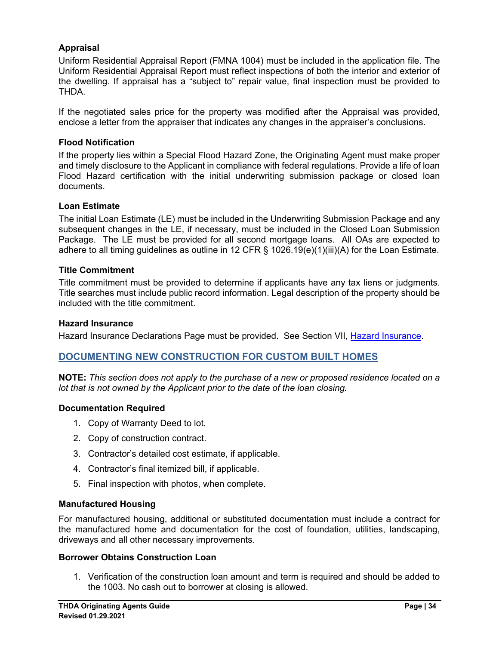# **Appraisal**

Uniform Residential Appraisal Report (FMNA 1004) must be included in the application file. The Uniform Residential Appraisal Report must reflect inspections of both the interior and exterior of the dwelling. If appraisal has a "subject to" repair value, final inspection must be provided to THDA.

If the negotiated sales price for the property was modified after the Appraisal was provided, enclose a letter from the appraiser that indicates any changes in the appraiser's conclusions.

#### <span id="page-41-0"></span>**Flood Notification**

If the property lies within a Special Flood Hazard Zone, the Originating Agent must make proper and timely disclosure to the Applicant in compliance with federal regulations. Provide a life of loan Flood Hazard certification with the initial underwriting submission package or closed loan documents.

#### <span id="page-41-1"></span>**Loan Estimate**

The initial Loan Estimate (LE) must be included in the Underwriting Submission Package and any subsequent changes in the LE, if necessary, must be included in the Closed Loan Submission Package. The LE must be provided for all second mortgage loans. All OAs are expected to adhere to all timing guidelines as outline in 12 CFR § 1026.19(e)(1)(iii)(A) for the Loan Estimate.

#### <span id="page-41-2"></span>**Title Commitment**

Title commitment must be provided to determine if applicants have any tax liens or judgments. Title searches must include public record information. Legal description of the property should be included with the title commitment.

#### <span id="page-41-3"></span>**Hazard Insurance**

Hazard Insurance Declarations Page must be provided. See Section VII, [Hazard Insurance.](#page-47-4)

# <span id="page-41-4"></span>**DOCUMENTING NEW CONSTRUCTION FOR CUSTOM BUILT HOMES**

**NOTE:** *This section does not apply to the purchase of a new or proposed residence located on a lot that is not owned by the Applicant prior to the date of the loan closing.*

#### <span id="page-41-5"></span>**Documentation Required**

- 1. Copy of Warranty Deed to lot.
- 2. Copy of construction contract.
- 3. Contractor's detailed cost estimate, if applicable.
- 4. Contractor's final itemized bill, if applicable.
- 5. Final inspection with photos, when complete.

#### <span id="page-41-6"></span>**Manufactured Housing**

For manufactured housing, additional or substituted documentation must include a contract for the manufactured home and documentation for the cost of foundation, utilities, landscaping, driveways and all other necessary improvements.

#### <span id="page-41-7"></span>**Borrower Obtains Construction Loan**

1. Verification of the construction loan amount and term is required and should be added to the 1003. No cash out to borrower at closing is allowed.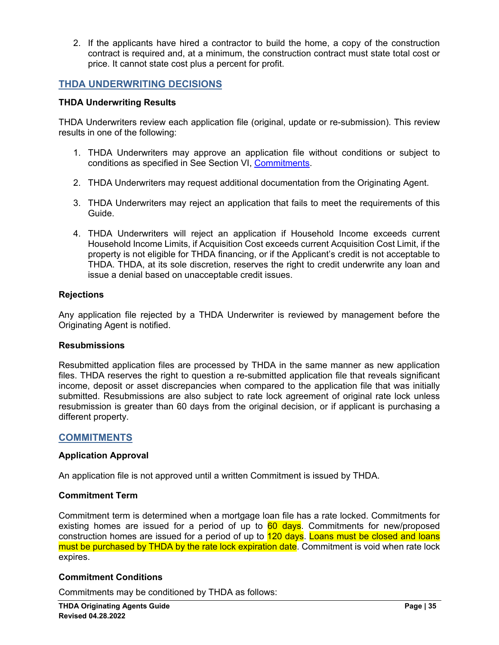2. If the applicants have hired a contractor to build the home, a copy of the construction contract is required and, at a minimum, the construction contract must state total cost or price. It cannot state cost plus a percent for profit.

# <span id="page-42-0"></span>**THDA UNDERWRITING DECISIONS**

#### <span id="page-42-1"></span>**THDA Underwriting Results**

THDA Underwriters review each application file (original, update or re-submission). This review results in one of the following:

- 1. THDA Underwriters may approve an application file without conditions or subject to conditions as specified in See Section VI, [Commitments.](#page-42-4)
- 2. THDA Underwriters may request additional documentation from the Originating Agent.
- 3. THDA Underwriters may reject an application that fails to meet the requirements of this Guide.
- 4. THDA Underwriters will reject an application if Household Income exceeds current Household Income Limits, if Acquisition Cost exceeds current Acquisition Cost Limit, if the property is not eligible for THDA financing, or if the Applicant's credit is not acceptable to THDA. THDA, at its sole discretion, reserves the right to credit underwrite any loan and issue a denial based on unacceptable credit issues.

#### <span id="page-42-2"></span>**Rejections**

Any application file rejected by a THDA Underwriter is reviewed by management before the Originating Agent is notified.

#### <span id="page-42-3"></span>**Resubmissions**

Resubmitted application files are processed by THDA in the same manner as new application files. THDA reserves the right to question a re-submitted application file that reveals significant income, deposit or asset discrepancies when compared to the application file that was initially submitted. Resubmissions are also subject to rate lock agreement of original rate lock unless resubmission is greater than 60 days from the original decision, or if applicant is purchasing a different property.

#### <span id="page-42-4"></span>**COMMITMENTS**

#### <span id="page-42-5"></span>**Application Approval**

An application file is not approved until a written Commitment is issued by THDA.

#### <span id="page-42-6"></span>**Commitment Term**

Commitment term is determined when a mortgage loan file has a rate locked. Commitments for existing homes are issued for a period of up to  $60 \text{ days}$ . Commitments for new/proposed construction homes are issued for a period of up to 120 days. Loans must be closed and loans must be purchased by THDA by the rate lock expiration date. Commitment is void when rate lock expires.

#### <span id="page-42-7"></span>**Commitment Conditions**

Commitments may be conditioned by THDA as follows: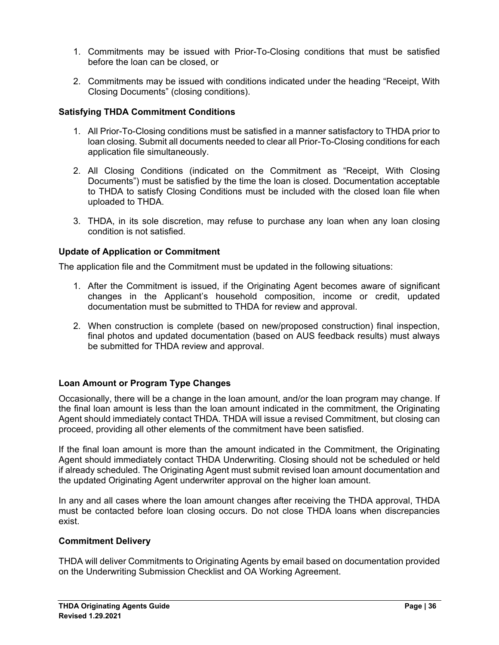- 1. Commitments may be issued with Prior-To-Closing conditions that must be satisfied before the loan can be closed, or
- 2. Commitments may be issued with conditions indicated under the heading "Receipt, With Closing Documents" (closing conditions).

# <span id="page-43-0"></span>**Satisfying THDA Commitment Conditions**

- 1. All Prior-To-Closing conditions must be satisfied in a manner satisfactory to THDA prior to loan closing. Submit all documents needed to clear all Prior-To-Closing conditions for each application file simultaneously.
- 2. All Closing Conditions (indicated on the Commitment as "Receipt, With Closing Documents") must be satisfied by the time the loan is closed. Documentation acceptable to THDA to satisfy Closing Conditions must be included with the closed loan file when uploaded to THDA.
- 3. THDA, in its sole discretion, may refuse to purchase any loan when any loan closing condition is not satisfied.

# <span id="page-43-1"></span>**Update of Application or Commitment**

The application file and the Commitment must be updated in the following situations:

- 1. After the Commitment is issued, if the Originating Agent becomes aware of significant changes in the Applicant's household composition, income or credit, updated documentation must be submitted to THDA for review and approval.
- 2. When construction is complete (based on new/proposed construction) final inspection, final photos and updated documentation (based on AUS feedback results) must always be submitted for THDA review and approval.

# <span id="page-43-2"></span>**Loan Amount or Program Type Changes**

Occasionally, there will be a change in the loan amount, and/or the loan program may change. If the final loan amount is less than the loan amount indicated in the commitment, the Originating Agent should immediately contact THDA. THDA will issue a revised Commitment, but closing can proceed, providing all other elements of the commitment have been satisfied.

If the final loan amount is more than the amount indicated in the Commitment, the Originating Agent should immediately contact THDA Underwriting. Closing should not be scheduled or held if already scheduled. The Originating Agent must submit revised loan amount documentation and the updated Originating Agent underwriter approval on the higher loan amount.

In any and all cases where the loan amount changes after receiving the THDA approval, THDA must be contacted before loan closing occurs. Do not close THDA loans when discrepancies exist.

#### <span id="page-43-3"></span>**Commitment Delivery**

<span id="page-43-4"></span>THDA will deliver Commitments to Originating Agents by email based on documentation provided on the Underwriting Submission Checklist and OA Working Agreement.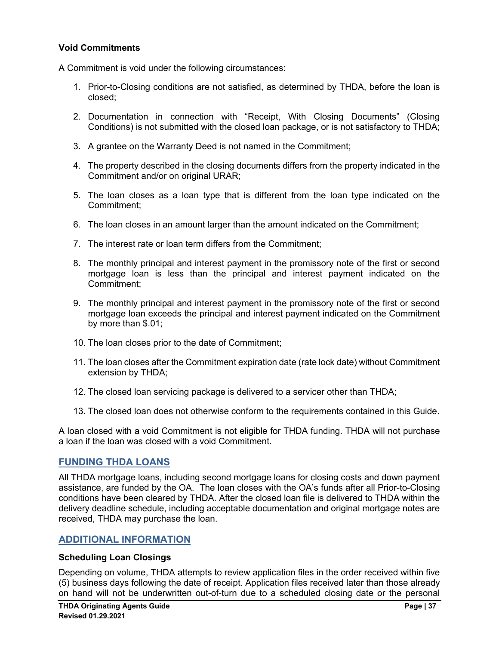#### **Void Commitments**

A Commitment is void under the following circumstances:

- 1. Prior-to-Closing conditions are not satisfied, as determined by THDA, before the loan is closed;
- 2. Documentation in connection with "Receipt, With Closing Documents" (Closing Conditions) is not submitted with the closed loan package, or is not satisfactory to THDA;
- 3. A grantee on the Warranty Deed is not named in the Commitment;
- 4. The property described in the closing documents differs from the property indicated in the Commitment and/or on original URAR;
- 5. The loan closes as a loan type that is different from the loan type indicated on the Commitment;
- 6. The loan closes in an amount larger than the amount indicated on the Commitment;
- 7. The interest rate or loan term differs from the Commitment;
- 8. The monthly principal and interest payment in the promissory note of the first or second mortgage loan is less than the principal and interest payment indicated on the Commitment;
- 9. The monthly principal and interest payment in the promissory note of the first or second mortgage loan exceeds the principal and interest payment indicated on the Commitment by more than \$.01;
- 10. The loan closes prior to the date of Commitment;
- 11. The loan closes after the Commitment expiration date (rate lock date) without Commitment extension by THDA;
- 12. The closed loan servicing package is delivered to a servicer other than THDA;
- 13. The closed loan does not otherwise conform to the requirements contained in this Guide.

A loan closed with a void Commitment is not eligible for THDA funding. THDA will not purchase a loan if the loan was closed with a void Commitment.

#### <span id="page-44-0"></span>**FUNDING THDA LOANS**

All THDA mortgage loans, including second mortgage loans for closing costs and down payment assistance, are funded by the OA. The loan closes with the OA's funds after all Prior-to-Closing conditions have been cleared by THDA. After the closed loan file is delivered to THDA within the delivery deadline schedule, including acceptable documentation and original mortgage notes are received, THDA may purchase the loan.

#### <span id="page-44-1"></span>**ADDITIONAL INFORMATION**

#### <span id="page-44-2"></span>**Scheduling Loan Closings**

Depending on volume, THDA attempts to review application files in the order received within five (5) business days following the date of receipt. Application files received later than those already on hand will not be underwritten out-of-turn due to a scheduled closing date or the personal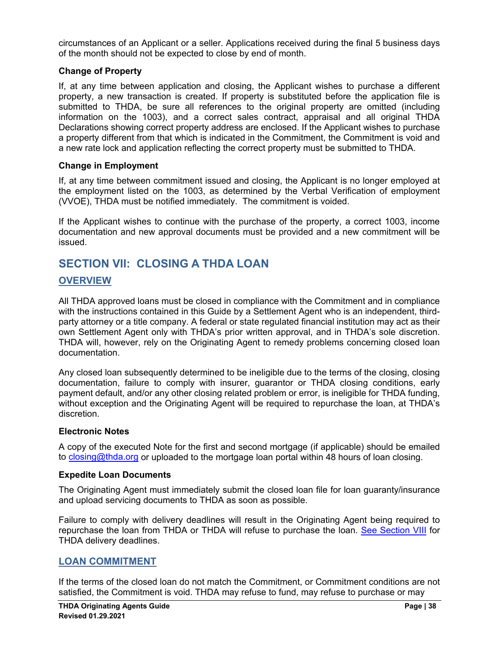circumstances of an Applicant or a seller. Applications received during the final 5 business days of the month should not be expected to close by end of month.

# <span id="page-45-0"></span>**Change of Property**

If, at any time between application and closing, the Applicant wishes to purchase a different property, a new transaction is created. If property is substituted before the application file is submitted to THDA, be sure all references to the original property are omitted (including information on the 1003), and a correct sales contract, appraisal and all original THDA Declarations showing correct property address are enclosed. If the Applicant wishes to purchase a property different from that which is indicated in the Commitment, the Commitment is void and a new rate lock and application reflecting the correct property must be submitted to THDA.

#### <span id="page-45-1"></span>**Change in Employment**

If, at any time between commitment issued and closing, the Applicant is no longer employed at the employment listed on the 1003, as determined by the Verbal Verification of employment (VVOE), THDA must be notified immediately. The commitment is voided.

If the Applicant wishes to continue with the purchase of the property, a correct 1003, income documentation and new approval documents must be provided and a new commitment will be issued.

# <span id="page-45-2"></span>**SECTION VII: CLOSING A THDA LOAN**

# <span id="page-45-3"></span>**OVERVIEW**

All THDA approved loans must be closed in compliance with the Commitment and in compliance with the instructions contained in this Guide by a Settlement Agent who is an independent, thirdparty attorney or a title company. A federal or state regulated financial institution may act as their own Settlement Agent only with THDA's prior written approval, and in THDA's sole discretion. THDA will, however, rely on the Originating Agent to remedy problems concerning closed loan documentation.

Any closed loan subsequently determined to be ineligible due to the terms of the closing, closing documentation, failure to comply with insurer, guarantor or THDA closing conditions, early payment default, and/or any other closing related problem or error, is ineligible for THDA funding, without exception and the Originating Agent will be required to repurchase the loan, at THDA's discretion.

#### <span id="page-45-4"></span>**Electronic Notes**

A copy of the executed Note for the first and second mortgage (if applicable) should be emailed to [closing@thda.org](mailto:closing@thda.org) or uploaded to the mortgage loan portal within 48 hours of loan closing.

#### <span id="page-45-5"></span>**Expedite Loan Documents**

The Originating Agent must immediately submit the closed loan file for loan guaranty/insurance and upload servicing documents to THDA as soon as possible.

Failure to comply with delivery deadlines will result in the Originating Agent being required to repurchase the loan from THDA or THDA will refuse to purchase the loan. [See Section](#page-52-3) VIII for THDA delivery deadlines.

#### <span id="page-45-6"></span>**LOAN COMMITMENT**

If the terms of the closed loan do not match the Commitment, or Commitment conditions are not satisfied, the Commitment is void. THDA may refuse to fund, may refuse to purchase or may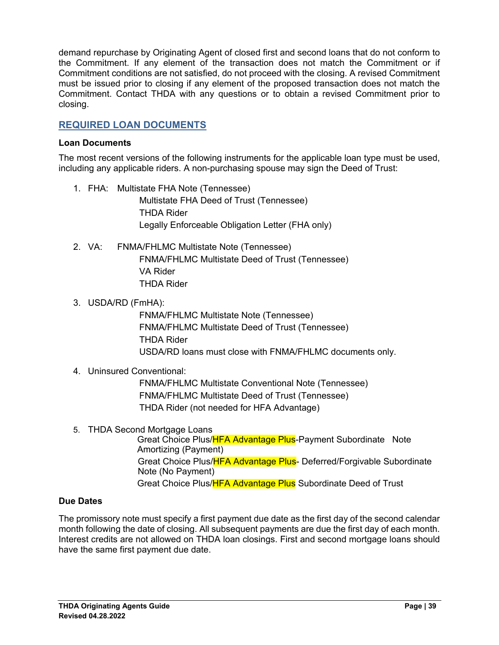demand repurchase by Originating Agent of closed first and second loans that do not conform to the Commitment. If any element of the transaction does not match the Commitment or if Commitment conditions are not satisfied, do not proceed with the closing. A revised Commitment must be issued prior to closing if any element of the proposed transaction does not match the Commitment. Contact THDA with any questions or to obtain a revised Commitment prior to closing.

# <span id="page-46-0"></span>**REQUIRED LOAN DOCUMENTS**

#### <span id="page-46-1"></span>**Loan Documents**

The most recent versions of the following instruments for the applicable loan type must be used, including any applicable riders. A non-purchasing spouse may sign the Deed of Trust:

- 1. FHA: Multistate FHA Note (Tennessee) Multistate FHA Deed of Trust (Tennessee) THDA Rider Legally Enforceable Obligation Letter (FHA only)
- 2. VA: FNMA/FHLMC Multistate Note (Tennessee) FNMA/FHLMC Multistate Deed of Trust (Tennessee) VA Rider THDA Rider
- 3. USDA/RD (FmHA):

FNMA/FHLMC Multistate Note (Tennessee) FNMA/FHLMC Multistate Deed of Trust (Tennessee) THDA Rider USDA/RD loans must close with FNMA/FHLMC documents only.

4. Uninsured Conventional:

FNMA/FHLMC Multistate Conventional Note (Tennessee) FNMA/FHLMC Multistate Deed of Trust (Tennessee) THDA Rider (not needed for HFA Advantage)

5. THDA Second Mortgage Loans

<span id="page-46-3"></span>Great Choice Plus/HFA Advantage Plus-Payment Subordinate Note Amortizing (Payment) Great Choice Plus/HFA Advantage Plus- Deferred/Forgivable Subordinate Note (No Payment) Great Choice Plus/HFA Advantage Plus Subordinate Deed of Trust

#### <span id="page-46-2"></span>**Due Dates**

The promissory note must specify a first payment due date as the first day of the second calendar month following the date of closing. All subsequent payments are due the first day of each month. Interest credits are not allowed on THDA loan closings. First and second mortgage loans should have the same first payment due date.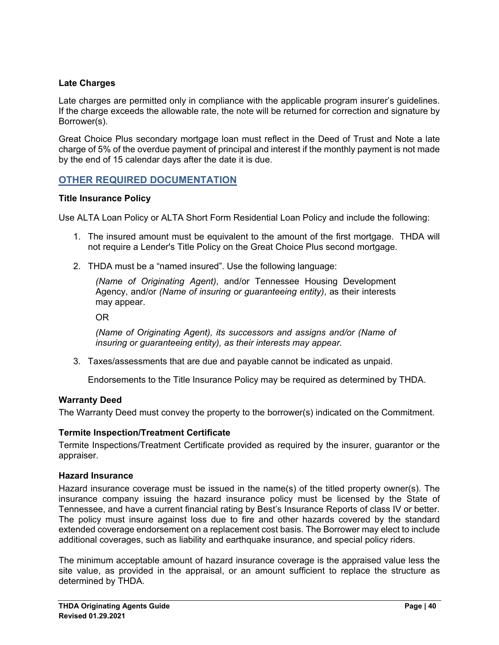# **Late Charges**

Late charges are permitted only in compliance with the applicable program insurer's guidelines. If the charge exceeds the allowable rate, the note will be returned for correction and signature by Borrower(s).

Great Choice Plus secondary mortgage loan must reflect in the Deed of Trust and Note a late charge of 5% of the overdue payment of principal and interest if the monthly payment is not made by the end of 15 calendar days after the date it is due.

# <span id="page-47-0"></span>**OTHER REQUIRED DOCUMENTATION**

#### <span id="page-47-1"></span>**Title Insurance Policy**

Use ALTA Loan Policy or ALTA Short Form Residential Loan Policy and include the following:

- 1. The insured amount must be equivalent to the amount of the first mortgage. THDA will not require a Lender's Title Policy on the Great Choice Plus second mortgage.
- 2. THDA must be a "named insured". Use the following language:

*(Name of Originating Agent)*, and/or Tennessee Housing Development Agency, and/or *(Name of insuring or guaranteeing entity)*, as their interests may appear.

OR

*(Name of Originating Agent), its successors and assigns and/or (Name of insuring or guaranteeing entity), as their interests may appear.*

3. Taxes/assessments that are due and payable cannot be indicated as unpaid.

Endorsements to the Title Insurance Policy may be required as determined by THDA.

#### <span id="page-47-2"></span>**Warranty Deed**

The Warranty Deed must convey the property to the borrower(s) indicated on the Commitment.

#### <span id="page-47-3"></span>**Termite Inspection/Treatment Certificate**

Termite Inspections/Treatment Certificate provided as required by the insurer, guarantor or the appraiser.

#### <span id="page-47-4"></span>**Hazard Insurance**

Hazard insurance coverage must be issued in the name(s) of the titled property owner(s). The insurance company issuing the hazard insurance policy must be licensed by the State of Tennessee, and have a current financial rating by Best's Insurance Reports of class IV or better. The policy must insure against loss due to fire and other hazards covered by the standard extended coverage endorsement on a replacement cost basis. The Borrower may elect to include additional coverages, such as liability and earthquake insurance, and special policy riders.

The minimum acceptable amount of hazard insurance coverage is the appraised value less the site value, as provided in the appraisal, or an amount sufficient to replace the structure as determined by THDA.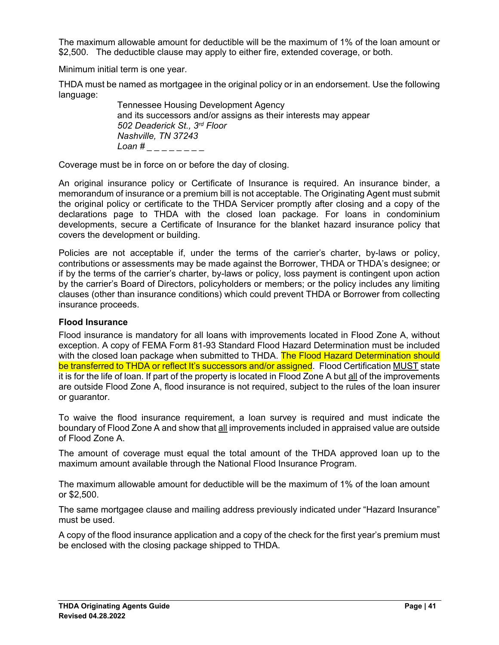The maximum allowable amount for deductible will be the maximum of 1% of the loan amount or \$2,500. The deductible clause may apply to either fire, extended coverage, or both.

Minimum initial term is one year.

THDA must be named as mortgagee in the original policy or in an endorsement. Use the following language:

> Tennessee Housing Development Agency and its successors and/or assigns as their interests may appear *502 Deaderick St., 3rd Floor Nashville, TN 37243 Loan # \_ \_ \_ \_ \_ \_ \_ \_*

Coverage must be in force on or before the day of closing.

An original insurance policy or Certificate of Insurance is required. An insurance binder, a memorandum of insurance or a premium bill is not acceptable. The Originating Agent must submit the original policy or certificate to the THDA Servicer promptly after closing and a copy of the declarations page to THDA with the closed loan package. For loans in condominium developments, secure a Certificate of Insurance for the blanket hazard insurance policy that covers the development or building.

Policies are not acceptable if, under the terms of the carrier's charter, by-laws or policy, contributions or assessments may be made against the Borrower, THDA or THDA's designee; or if by the terms of the carrier's charter, by-laws or policy, loss payment is contingent upon action by the carrier's Board of Directors, policyholders or members; or the policy includes any limiting clauses (other than insurance conditions) which could prevent THDA or Borrower from collecting insurance proceeds.

#### <span id="page-48-0"></span>**Flood Insurance**

Flood insurance is mandatory for all loans with improvements located in Flood Zone A, without exception. A copy of FEMA Form 81-93 Standard Flood Hazard Determination must be included with the closed loan package when submitted to THDA. The Flood Hazard Determination should be transferred to THDA or reflect It's successors and/or assigned. Flood Certification MUST state it is for the life of loan. If part of the property is located in Flood Zone A but all of the improvements are outside Flood Zone A, flood insurance is not required, subject to the rules of the loan insurer or guarantor.

To waive the flood insurance requirement, a loan survey is required and must indicate the boundary of Flood Zone A and show that all improvements included in appraised value are outside of Flood Zone A.

The amount of coverage must equal the total amount of the THDA approved loan up to the maximum amount available through the National Flood Insurance Program.

The maximum allowable amount for deductible will be the maximum of 1% of the loan amount or \$2,500.

The same mortgagee clause and mailing address previously indicated under "Hazard Insurance" must be used.

<span id="page-48-1"></span>A copy of the flood insurance application and a copy of the check for the first year's premium must be enclosed with the closing package shipped to THDA.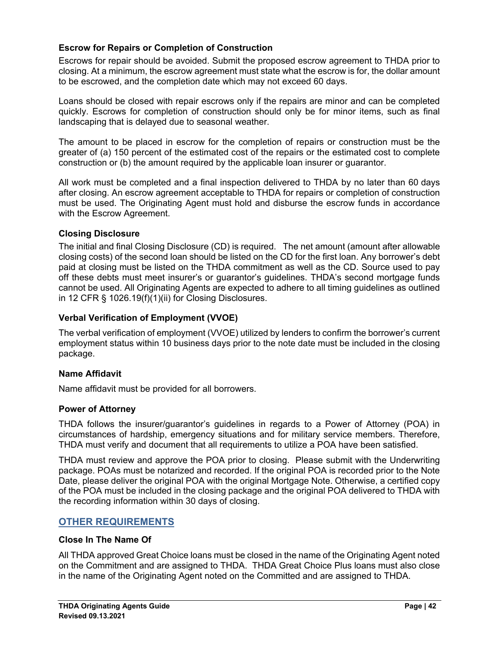# **Escrow for Repairs or Completion of Construction**

Escrows for repair should be avoided. Submit the proposed escrow agreement to THDA prior to closing. At a minimum, the escrow agreement must state what the escrow is for, the dollar amount to be escrowed, and the completion date which may not exceed 60 days.

Loans should be closed with repair escrows only if the repairs are minor and can be completed quickly. Escrows for completion of construction should only be for minor items, such as final landscaping that is delayed due to seasonal weather.

The amount to be placed in escrow for the completion of repairs or construction must be the greater of (a) 150 percent of the estimated cost of the repairs or the estimated cost to complete construction or (b) the amount required by the applicable loan insurer or guarantor.

All work must be completed and a final inspection delivered to THDA by no later than 60 days after closing. An escrow agreement acceptable to THDA for repairs or completion of construction must be used. The Originating Agent must hold and disburse the escrow funds in accordance with the Escrow Agreement.

#### <span id="page-49-0"></span>**Closing Disclosure**

The initial and final Closing Disclosure (CD) is required. The net amount (amount after allowable closing costs) of the second loan should be listed on the CD for the first loan. Any borrower's debt paid at closing must be listed on the THDA commitment as well as the CD. Source used to pay off these debts must meet insurer's or guarantor's guidelines. THDA's second mortgage funds cannot be used. All Originating Agents are expected to adhere to all timing guidelines as outlined in 12 CFR § 1026.19(f)(1)(ii) for Closing Disclosures.

# <span id="page-49-1"></span>**Verbal Verification of Employment (VVOE)**

The verbal verification of employment (VVOE) utilized by lenders to confirm the borrower's current employment status within 10 business days prior to the note date must be included in the closing package.

#### <span id="page-49-2"></span>**Name Affidavit**

Name affidavit must be provided for all borrowers.

#### <span id="page-49-3"></span>**Power of Attorney**

THDA follows the insurer/guarantor's guidelines in regards to a Power of Attorney (POA) in circumstances of hardship, emergency situations and for military service members. Therefore, THDA must verify and document that all requirements to utilize a POA have been satisfied.

THDA must review and approve the POA prior to closing. Please submit with the Underwriting package. POAs must be notarized and recorded. If the original POA is recorded prior to the Note Date, please deliver the original POA with the original Mortgage Note. Otherwise, a certified copy of the POA must be included in the closing package and the original POA delivered to THDA with the recording information within 30 days of closing.

#### <span id="page-49-4"></span>**OTHER REQUIREMENTS**

#### <span id="page-49-5"></span>**Close In The Name Of**

<span id="page-49-6"></span>All THDA approved Great Choice loans must be closed in the name of the Originating Agent noted on the Commitment and are assigned to THDA. THDA Great Choice Plus loans must also close in the name of the Originating Agent noted on the Committed and are assigned to THDA.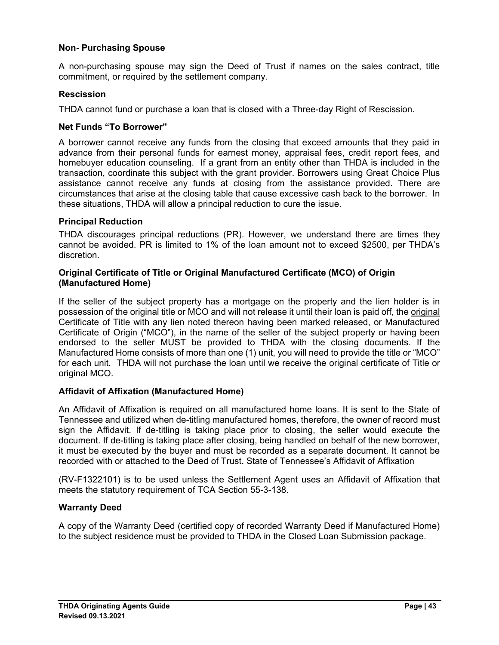#### **Non- Purchasing Spouse**

A non-purchasing spouse may sign the Deed of Trust if names on the sales contract, title commitment, or required by the settlement company.

#### <span id="page-50-0"></span>**Rescission**

THDA cannot fund or purchase a loan that is closed with a Three-day Right of Rescission.

#### <span id="page-50-1"></span>**Net Funds "To Borrower"**

A borrower cannot receive any funds from the closing that exceed amounts that they paid in advance from their personal funds for earnest money, appraisal fees, credit report fees, and homebuyer education counseling. If a grant from an entity other than THDA is included in the transaction, coordinate this subject with the grant provider. Borrowers using Great Choice Plus assistance cannot receive any funds at closing from the assistance provided. There are circumstances that arise at the closing table that cause excessive cash back to the borrower. In these situations, THDA will allow a principal reduction to cure the issue.

#### <span id="page-50-2"></span>**Principal Reduction**

THDA discourages principal reductions (PR). However, we understand there are times they cannot be avoided. PR is limited to 1% of the loan amount not to exceed \$2500, per THDA's discretion.

#### <span id="page-50-3"></span>**Original Certificate of Title or Original Manufactured Certificate (MCO) of Origin (Manufactured Home)**

If the seller of the subject property has a mortgage on the property and the lien holder is in possession of the original title or MCO and will not release it until their loan is paid off, the original Certificate of Title with any lien noted thereon having been marked released, or Manufactured Certificate of Origin ("MCO"), in the name of the seller of the subject property or having been endorsed to the seller MUST be provided to THDA with the closing documents. If the Manufactured Home consists of more than one (1) unit, you will need to provide the title or "MCO" for each unit. THDA will not purchase the loan until we receive the original certificate of Title or original MCO.

#### <span id="page-50-4"></span>**Affidavit of Affixation (Manufactured Home)**

An Affidavit of Affixation is required on all manufactured home loans. It is sent to the State of Tennessee and utilized when de-titling manufactured homes, therefore, the owner of record must sign the Affidavit. If de-titling is taking place prior to closing, the seller would execute the document. If de-titling is taking place after closing, being handled on behalf of the new borrower, it must be executed by the buyer and must be recorded as a separate document. It cannot be recorded with or attached to the Deed of Trust. State of Tennessee's Affidavit of Affixation

(RV-F1322101) is to be used unless the Settlement Agent uses an Affidavit of Affixation that meets the statutory requirement of TCA Section 55-3-138.

#### <span id="page-50-5"></span>**Warranty Deed**

A copy of the Warranty Deed (certified copy of recorded Warranty Deed if Manufactured Home) to the subject residence must be provided to THDA in the Closed Loan Submission package.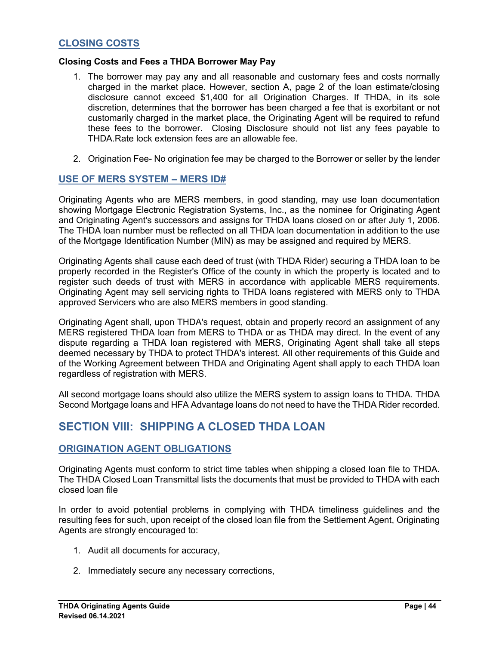# <span id="page-51-0"></span>**CLOSING COSTS**

#### <span id="page-51-1"></span>**Closing Costs and Fees a THDA Borrower May Pay**

- 1. The borrower may pay any and all reasonable and customary fees and costs normally charged in the market place. However, section A, page 2 of the loan estimate/closing disclosure cannot exceed \$1,400 for all Origination Charges. If THDA, in its sole discretion, determines that the borrower has been charged a fee that is exorbitant or not customarily charged in the market place, the Originating Agent will be required to refund these fees to the borrower. Closing Disclosure should not list any fees payable to THDA.Rate lock extension fees are an allowable fee.
- 2. Origination Fee- No origination fee may be charged to the Borrower or seller by the lender

#### <span id="page-51-2"></span>**USE OF MERS SYSTEM – MERS ID#**

Originating Agents who are MERS members, in good standing, may use loan documentation showing Mortgage Electronic Registration Systems, Inc., as the nominee for Originating Agent and Originating Agent's successors and assigns for THDA loans closed on or after July 1, 2006. The THDA loan number must be reflected on all THDA loan documentation in addition to the use of the Mortgage Identification Number (MIN) as may be assigned and required by MERS.

Originating Agents shall cause each deed of trust (with THDA Rider) securing a THDA loan to be properly recorded in the Register's Office of the county in which the property is located and to register such deeds of trust with MERS in accordance with applicable MERS requirements. Originating Agent may sell servicing rights to THDA loans registered with MERS only to THDA approved Servicers who are also MERS members in good standing.

Originating Agent shall, upon THDA's request, obtain and properly record an assignment of any MERS registered THDA loan from MERS to THDA or as THDA may direct. In the event of any dispute regarding a THDA loan registered with MERS, Originating Agent shall take all steps deemed necessary by THDA to protect THDA's interest. All other requirements of this Guide and of the Working Agreement between THDA and Originating Agent shall apply to each THDA loan regardless of registration with MERS.

All second mortgage loans should also utilize the MERS system to assign loans to THDA. THDA Second Mortgage loans and HFA Advantage loans do not need to have the THDA Rider recorded.

# <span id="page-51-3"></span>**SECTION VIII: SHIPPING A CLOSED THDA LOAN**

#### <span id="page-51-4"></span>**ORIGINATION AGENT OBLIGATIONS**

Originating Agents must conform to strict time tables when shipping a closed loan file to THDA. The THDA Closed Loan Transmittal lists the documents that must be provided to THDA with each closed loan file

In order to avoid potential problems in complying with THDA timeliness guidelines and the resulting fees for such, upon receipt of the closed loan file from the Settlement Agent, Originating Agents are strongly encouraged to:

- 1. Audit all documents for accuracy,
- 2. Immediately secure any necessary corrections,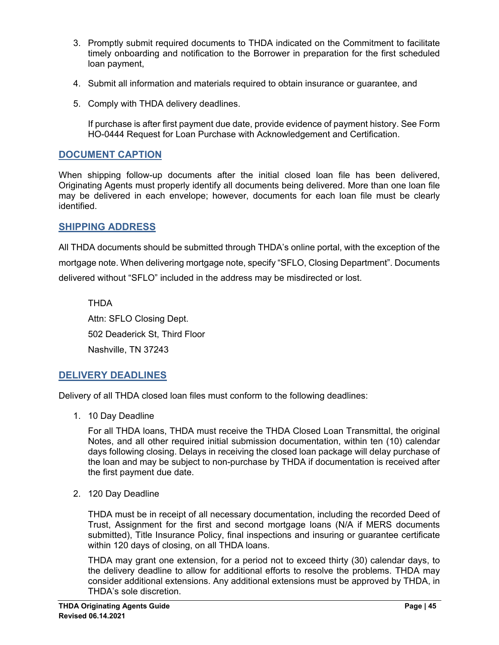- 3. Promptly submit required documents to THDA indicated on the Commitment to facilitate timely onboarding and notification to the Borrower in preparation for the first scheduled loan payment,
- 4. Submit all information and materials required to obtain insurance or guarantee, and
- 5. Comply with THDA delivery deadlines.

If purchase is after first payment due date, provide evidence of payment history. See Form HO-0444 Request for Loan Purchase with Acknowledgement and Certification.

# <span id="page-52-0"></span>**DOCUMENT CAPTION**

When shipping follow-up documents after the initial closed loan file has been delivered, Originating Agents must properly identify all documents being delivered. More than one loan file may be delivered in each envelope; however, documents for each loan file must be clearly identified.

#### <span id="page-52-1"></span>**SHIPPING ADDRESS**

All THDA documents should be submitted through THDA's online portal, with the exception of the mortgage note. When delivering mortgage note, specify "SFLO, Closing Department". Documents delivered without "SFLO" included in the address may be misdirected or lost.

<span id="page-52-3"></span>THDA Attn: SFLO Closing Dept. 502 Deaderick St, Third Floor Nashville, TN 37243

# <span id="page-52-2"></span>**DELIVERY DEADLINES**

Delivery of all THDA closed loan files must conform to the following deadlines:

1. 10 Day Deadline

For all THDA loans, THDA must receive the THDA Closed Loan Transmittal, the original Notes, and all other required initial submission documentation, within ten (10) calendar days following closing. Delays in receiving the closed loan package will delay purchase of the loan and may be subject to non-purchase by THDA if documentation is received after the first payment due date.

2. 120 Day Deadline

THDA must be in receipt of all necessary documentation, including the recorded Deed of Trust, Assignment for the first and second mortgage loans (N/A if MERS documents submitted), Title Insurance Policy, final inspections and insuring or guarantee certificate within 120 days of closing, on all THDA loans.

THDA may grant one extension, for a period not to exceed thirty (30) calendar days, to the delivery deadline to allow for additional efforts to resolve the problems. THDA may consider additional extensions. Any additional extensions must be approved by THDA, in THDA's sole discretion.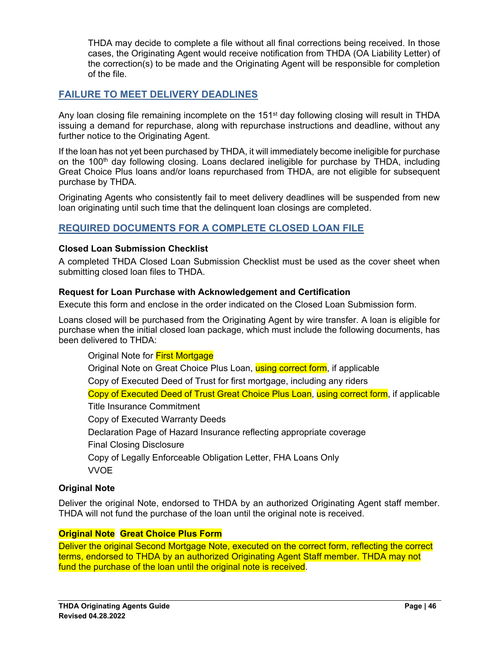THDA may decide to complete a file without all final corrections being received. In those cases, the Originating Agent would receive notification from THDA (OA Liability Letter) of the correction(s) to be made and the Originating Agent will be responsible for completion of the file.

# <span id="page-53-0"></span>**FAILURE TO MEET DELIVERY DEADLINES**

Any loan closing file remaining incomplete on the 151<sup>st</sup> day following closing will result in THDA issuing a demand for repurchase, along with repurchase instructions and deadline, without any further notice to the Originating Agent.

If the loan has not yet been purchased by THDA, it will immediately become ineligible for purchase on the 100<sup>th</sup> day following closing. Loans declared ineligible for purchase by THDA, including Great Choice Plus loans and/or loans repurchased from THDA, are not eligible for subsequent purchase by THDA.

Originating Agents who consistently fail to meet delivery deadlines will be suspended from new loan originating until such time that the delinquent loan closings are completed.

# <span id="page-53-1"></span>**REQUIRED DOCUMENTS FOR A COMPLETE CLOSED LOAN FILE**

#### <span id="page-53-2"></span>**Closed Loan Submission Checklist**

A completed THDA Closed Loan Submission Checklist must be used as the cover sheet when submitting closed loan files to THDA.

#### <span id="page-53-3"></span>**Request for Loan Purchase with Acknowledgement and Certification**

Execute this form and enclose in the order indicated on the Closed Loan Submission form.

Loans closed will be purchased from the Originating Agent by wire transfer. A loan is eligible for purchase when the initial closed loan package, which must include the following documents, has been delivered to THDA:

Original Note for **First Mortgage** Original Note on Great Choice Plus Loan, using correct form, if applicable Copy of Executed Deed of Trust for first mortgage, including any riders Copy of Executed Deed of Trust Great Choice Plus Loan, using correct form, if applicable Title Insurance Commitment Copy of Executed Warranty Deeds Declaration Page of Hazard Insurance reflecting appropriate coverage Final Closing Disclosure Copy of Legally Enforceable Obligation Letter, FHA Loans Only VVOE

#### <span id="page-53-4"></span>**Original Note**

Deliver the original Note, endorsed to THDA by an authorized Originating Agent staff member. THDA will not fund the purchase of the loan until the original note is received.

#### <span id="page-53-5"></span>**Original Note Great Choice Plus Form**

Deliver the original Second Mortgage Note, executed on the correct form, reflecting the correct terms, endorsed to THDA by an authorized Originating Agent Staff member. THDA may not fund the purchase of the loan until the original note is received.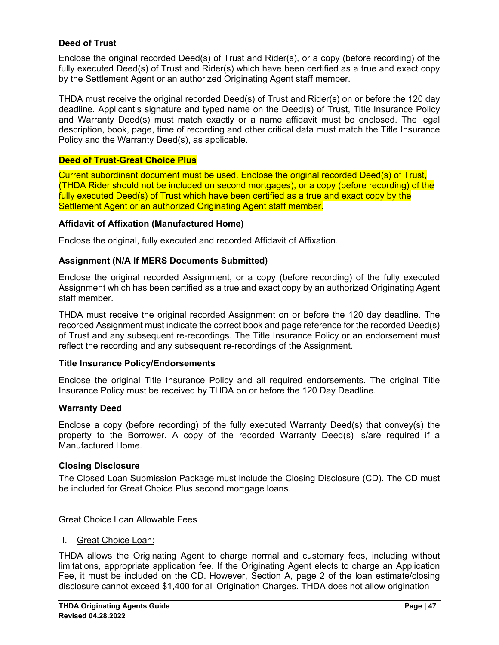# **Deed of Trust**

Enclose the original recorded Deed(s) of Trust and Rider(s), or a copy (before recording) of the fully executed Deed(s) of Trust and Rider(s) which have been certified as a true and exact copy by the Settlement Agent or an authorized Originating Agent staff member.

THDA must receive the original recorded Deed(s) of Trust and Rider(s) on or before the 120 day deadline. Applicant's signature and typed name on the Deed(s) of Trust, Title Insurance Policy and Warranty Deed(s) must match exactly or a name affidavit must be enclosed. The legal description, book, page, time of recording and other critical data must match the Title Insurance Policy and the Warranty Deed(s), as applicable.

#### <span id="page-54-0"></span>**Deed of Trust-Great Choice Plus**

Current subordinant document must be used. Enclose the original recorded Deed(s) of Trust, (THDA Rider should not be included on second mortgages), or a copy (before recording) of the fully executed Deed(s) of Trust which have been certified as a true and exact copy by the Settlement Agent or an authorized Originating Agent staff member.

#### **Affidavit of Affixation (Manufactured Home)**

Enclose the original, fully executed and recorded Affidavit of Affixation.

#### <span id="page-54-1"></span>**Assignment (N/A If MERS Documents Submitted)**

Enclose the original recorded Assignment, or a copy (before recording) of the fully executed Assignment which has been certified as a true and exact copy by an authorized Originating Agent staff member.

THDA must receive the original recorded Assignment on or before the 120 day deadline. The recorded Assignment must indicate the correct book and page reference for the recorded Deed(s) of Trust and any subsequent re-recordings. The Title Insurance Policy or an endorsement must reflect the recording and any subsequent re-recordings of the Assignment.

#### <span id="page-54-2"></span>**Title Insurance Policy/Endorsements**

Enclose the original Title Insurance Policy and all required endorsements. The original Title Insurance Policy must be received by THDA on or before the 120 Day Deadline.

#### <span id="page-54-3"></span>**Warranty Deed**

Enclose a copy (before recording) of the fully executed Warranty Deed(s) that convey(s) the property to the Borrower. A copy of the recorded Warranty Deed(s) is/are required if a Manufactured Home.

#### <span id="page-54-4"></span>**Closing Disclosure**

The Closed Loan Submission Package must include the Closing Disclosure (CD). The CD must be included for Great Choice Plus second mortgage loans.

Great Choice Loan Allowable Fees

#### I. Great Choice Loan:

THDA allows the Originating Agent to charge normal and customary fees, including without limitations, appropriate application fee. If the Originating Agent elects to charge an Application Fee, it must be included on the CD. However, Section A, page 2 of the loan estimate/closing disclosure cannot exceed \$1,400 for all Origination Charges. THDA does not allow origination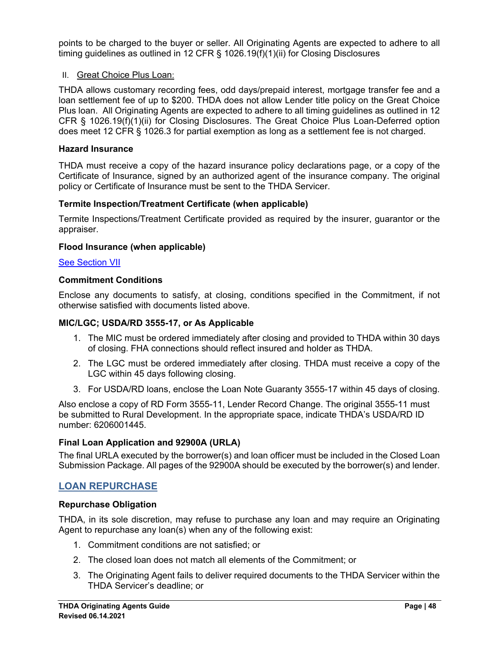points to be charged to the buyer or seller. All Originating Agents are expected to adhere to all timing guidelines as outlined in 12 CFR § 1026.19(f)(1)(ii) for Closing Disclosures

# II. Great Choice Plus Loan:

THDA allows customary recording fees, odd days/prepaid interest, mortgage transfer fee and a loan settlement fee of up to \$200. THDA does not allow Lender title policy on the Great Choice Plus loan. All Originating Agents are expected to adhere to all timing guidelines as outlined in 12 CFR § 1026.19(f)(1)(ii) for Closing Disclosures. The Great Choice Plus Loan-Deferred option does meet 12 CFR § 1026.3 for partial exemption as long as a settlement fee is not charged.

#### <span id="page-55-0"></span>**Hazard Insurance**

THDA must receive a copy of the hazard insurance policy declarations page, or a copy of the Certificate of Insurance, signed by an authorized agent of the insurance company. The original policy or Certificate of Insurance must be sent to the THDA Servicer.

#### <span id="page-55-1"></span>**Termite Inspection/Treatment Certificate (when applicable)**

Termite Inspections/Treatment Certificate provided as required by the insurer, guarantor or the appraiser.

#### <span id="page-55-2"></span>**Flood Insurance (when applicable)**

#### [See Section](#page-48-0) VII

#### <span id="page-55-3"></span>**Commitment Conditions**

Enclose any documents to satisfy, at closing, conditions specified in the Commitment, if not otherwise satisfied with documents listed above.

#### <span id="page-55-4"></span>**MIC/LGC; USDA/RD 3555-17, or As Applicable**

- 1. The MIC must be ordered immediately after closing and provided to THDA within 30 days of closing. FHA connections should reflect insured and holder as THDA.
- 2. The LGC must be ordered immediately after closing. THDA must receive a copy of the LGC within 45 days following closing.
- 3. For USDA/RD loans, enclose the Loan Note Guaranty 3555-17 within 45 days of closing.

Also enclose a copy of RD Form 3555-11, Lender Record Change. The original 3555-11 must be submitted to Rural Development. In the appropriate space, indicate THDA's USDA/RD ID number: 6206001445.

#### <span id="page-55-5"></span>**Final Loan Application and 92900A (URLA)**

The final URLA executed by the borrower(s) and loan officer must be included in the Closed Loan Submission Package. All pages of the 92900A should be executed by the borrower(s) and lender.

# <span id="page-55-6"></span>**LOAN REPURCHASE**

#### <span id="page-55-7"></span>**Repurchase Obligation**

THDA, in its sole discretion, may refuse to purchase any loan and may require an Originating Agent to repurchase any loan(s) when any of the following exist:

- 1. Commitment conditions are not satisfied; or
- 2. The closed loan does not match all elements of the Commitment; or
- 3. The Originating Agent fails to deliver required documents to the THDA Servicer within the THDA Servicer's deadline; or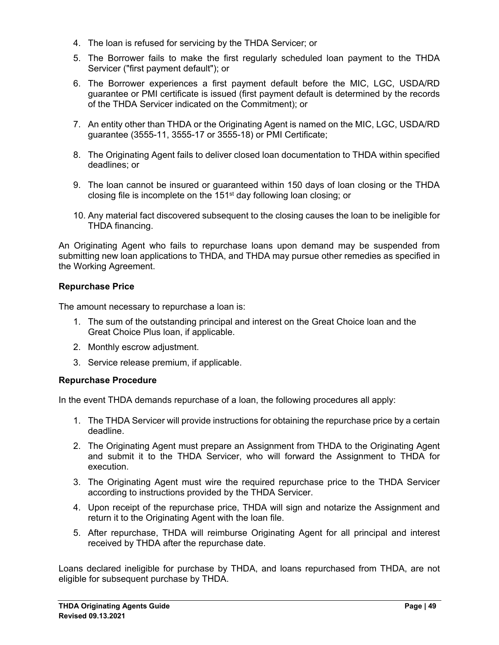- 4. The loan is refused for servicing by the THDA Servicer; or
- 5. The Borrower fails to make the first regularly scheduled loan payment to the THDA Servicer ("first payment default"); or
- 6. The Borrower experiences a first payment default before the MIC, LGC, USDA/RD guarantee or PMI certificate is issued (first payment default is determined by the records of the THDA Servicer indicated on the Commitment); or
- 7. An entity other than THDA or the Originating Agent is named on the MIC, LGC, USDA/RD guarantee (3555-11, 3555-17 or 3555-18) or PMI Certificate;
- 8. The Originating Agent fails to deliver closed loan documentation to THDA within specified deadlines; or
- 9. The loan cannot be insured or guaranteed within 150 days of loan closing or the THDA closing file is incomplete on the 151st day following loan closing; or
- 10. Any material fact discovered subsequent to the closing causes the loan to be ineligible for THDA financing.

An Originating Agent who fails to repurchase loans upon demand may be suspended from submitting new loan applications to THDA, and THDA may pursue other remedies as specified in the Working Agreement.

#### <span id="page-56-0"></span>**Repurchase Price**

The amount necessary to repurchase a loan is:

- 1. The sum of the outstanding principal and interest on the Great Choice loan and the Great Choice Plus loan, if applicable.
- 2. Monthly escrow adjustment.
- 3. Service release premium, if applicable.

#### <span id="page-56-1"></span>**Repurchase Procedure**

In the event THDA demands repurchase of a loan, the following procedures all apply:

- 1. The THDA Servicer will provide instructions for obtaining the repurchase price by a certain deadline.
- 2. The Originating Agent must prepare an Assignment from THDA to the Originating Agent and submit it to the THDA Servicer, who will forward the Assignment to THDA for execution.
- 3. The Originating Agent must wire the required repurchase price to the THDA Servicer according to instructions provided by the THDA Servicer.
- 4. Upon receipt of the repurchase price, THDA will sign and notarize the Assignment and return it to the Originating Agent with the loan file.
- 5. After repurchase, THDA will reimburse Originating Agent for all principal and interest received by THDA after the repurchase date.

Loans declared ineligible for purchase by THDA, and loans repurchased from THDA, are not eligible for subsequent purchase by THDA.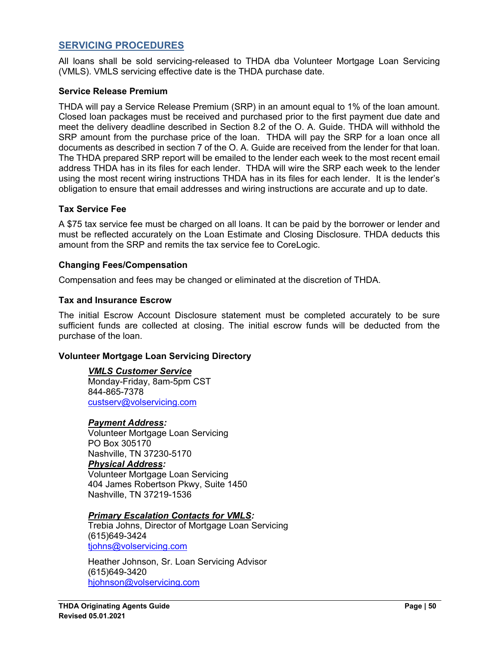# <span id="page-57-0"></span>**SERVICING PROCEDURES**

All loans shall be sold servicing-released to THDA dba Volunteer Mortgage Loan Servicing (VMLS). VMLS servicing effective date is the THDA purchase date.

#### <span id="page-57-1"></span>**Service Release Premium**

THDA will pay a Service Release Premium (SRP) in an amount equal to 1% of the loan amount. Closed loan packages must be received and purchased prior to the first payment due date and meet the delivery deadline described in Section 8.2 of the O. A. Guide. THDA will withhold the SRP amount from the purchase price of the loan. THDA will pay the SRP for a loan once all documents as described in section 7 of the O. A. Guide are received from the lender for that loan. The THDA prepared SRP report will be emailed to the lender each week to the most recent email address THDA has in its files for each lender. THDA will wire the SRP each week to the lender using the most recent wiring instructions THDA has in its files for each lender. It is the lender's obligation to ensure that email addresses and wiring instructions are accurate and up to date.

#### <span id="page-57-2"></span>**Tax Service Fee**

A \$75 tax service fee must be charged on all loans. It can be paid by the borrower or lender and must be reflected accurately on the Loan Estimate and Closing Disclosure. THDA deducts this amount from the SRP and remits the tax service fee to CoreLogic.

#### <span id="page-57-3"></span>**Changing Fees/Compensation**

Compensation and fees may be changed or eliminated at the discretion of THDA.

#### <span id="page-57-4"></span>**Tax and Insurance Escrow**

The initial Escrow Account Disclosure statement must be completed accurately to be sure sufficient funds are collected at closing. The initial escrow funds will be deducted from the purchase of the loan.

#### <span id="page-57-5"></span>**Volunteer Mortgage Loan Servicing Directory**

#### *VMLS Customer Service*

Monday-Friday, 8am-5pm CST 844-865-7378 [custserv@volservicing.com](mailto:custserv@volservicing.com)

#### *Payment Address:*

Volunteer Mortgage Loan Servicing PO Box 305170 Nashville, TN 37230-5170 *Physical Address:* Volunteer Mortgage Loan Servicing 404 James Robertson Pkwy, Suite 1450 Nashville, TN 37219-1536

#### *Primary Escalation Contacts for VMLS:*

Trebia Johns, Director of Mortgage Loan Servicing (615)649-3424 [tjohns@volservicing.com](mailto:tjohns@volservicing.com)

Heather Johnson, Sr. Loan Servicing Advisor (615)649-3420 [hjohnson@volservicing.com](mailto:hjohnson@volservicing.com)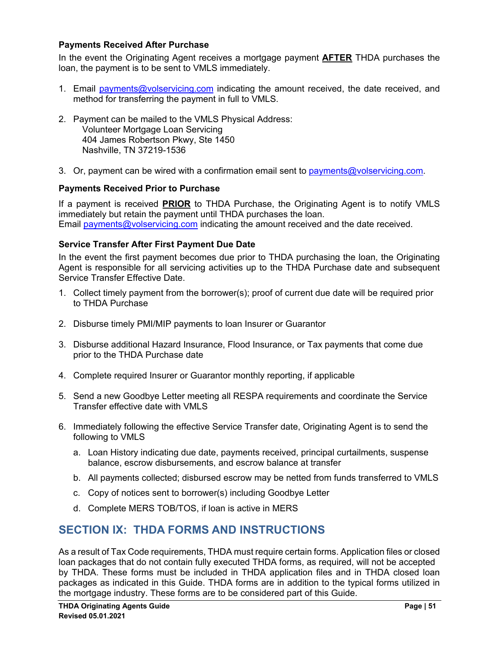## <span id="page-58-0"></span>**Payments Received After Purchase**

In the event the Originating Agent receives a mortgage payment **AFTER** THDA purchases the loan, the payment is to be sent to VMLS immediately.

- 1. Email [payments@volservicing.com](mailto:payments@volservicing.com) indicating the amount received, the date received, and method for transferring the payment in full to VMLS.
- 2. Payment can be mailed to the VMLS Physical Address: Volunteer Mortgage Loan Servicing 404 James Robertson Pkwy, Ste 1450 Nashville, TN 37219-1536
- 3. Or, payment can be wired with a confirmation email sent to [payments@volservicing.com.](mailto:payments@volservicing.com)

#### <span id="page-58-1"></span>**Payments Received Prior to Purchase**

If a payment is received **PRIOR** to THDA Purchase, the Originating Agent is to notify VMLS immediately but retain the payment until THDA purchases the loan. Email **payments@volservicing.com** indicating the amount received and the date received.

#### <span id="page-58-2"></span>**Service Transfer After First Payment Due Date**

In the event the first payment becomes due prior to THDA purchasing the loan, the Originating Agent is responsible for all servicing activities up to the THDA Purchase date and subsequent Service Transfer Effective Date.

- 1. Collect timely payment from the borrower(s); proof of current due date will be required prior to THDA Purchase
- 2. Disburse timely PMI/MIP payments to loan Insurer or Guarantor
- 3. Disburse additional Hazard Insurance, Flood Insurance, or Tax payments that come due prior to the THDA Purchase date
- 4. Complete required Insurer or Guarantor monthly reporting, if applicable
- 5. Send a new Goodbye Letter meeting all RESPA requirements and coordinate the Service Transfer effective date with VMLS
- 6. Immediately following the effective Service Transfer date, Originating Agent is to send the following to VMLS
	- a. Loan History indicating due date, payments received, principal curtailments, suspense balance, escrow disbursements, and escrow balance at transfer
	- b. All payments collected; disbursed escrow may be netted from funds transferred to VMLS
	- c. Copy of notices sent to borrower(s) including Goodbye Letter
	- d. Complete MERS TOB/TOS, if loan is active in MERS

# <span id="page-58-3"></span>**SECTION IX: THDA FORMS AND INSTRUCTIONS**

As a result of Tax Code requirements, THDA must require certain forms. Application files or closed loan packages that do not contain fully executed THDA forms, as required, will not be accepted by THDA. These forms must be included in THDA application files and in THDA closed loan packages as indicated in this Guide. THDA forms are in addition to the typical forms utilized in the mortgage industry. These forms are to be considered part of this Guide.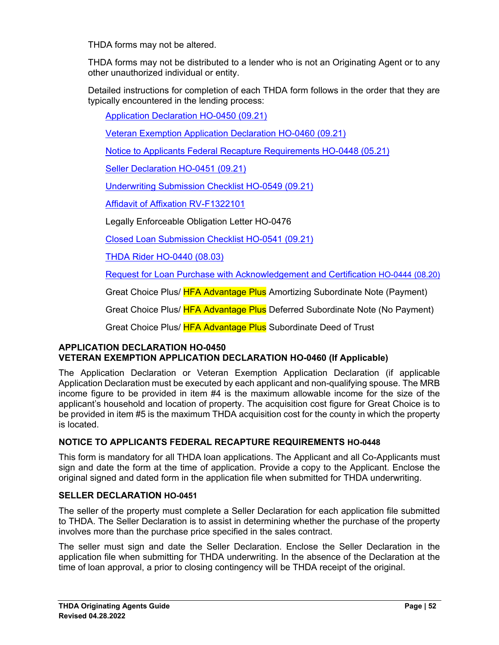THDA forms may not be altered.

THDA forms may not be distributed to a lender who is not an Originating Agent or to any other unauthorized individual or entity.

Detailed instructions for completion of each THDA form follows in the order that they are typically encountered in the lending process:

Application Declaration [HO-0450 \(09.21\)](https://thda.org/pdf/0450-Affidavit-Applicant_fill.pdf)

[Veteran Exemption Application Declaration](https://thda.org/pdf/0460-Veteran-Exemption-Application-Affidavit_fill.pdf) HO-0460 (09.21)

[Notice to Applicants Federal Recapture Requirements HO-0448 \(05.21\)](https://thda.org/pdf/0448-Recapture-Notice_fill.pdf)

[Seller Declaration HO-0451 \(09.21\)](https://thda.org/pdf/0451-Affidavit-Seller_fill.pdf)

[Underwriting Submission Checklist](https://thda.org/pdf/0549-Underwriting-Submission-Checklist_Gr-Choice_-fill.pdf) HO-0549 (09.21)

[Affidavit of Affixation](https://thda.org/pdf/Affidavit-of-Affixation.pdf) RV-F1322101

Legally Enforceable Obligation Letter HO-0476

[Closed Loan Submission Checklist](https://thda.org/pdf/0541-Closed-Loan-Checklist_Gr-Choice_fill.pdf) HO-0541 (09.21)

[THDA Rider HO-0440 \(08.03\)](https://thda.org/pdf/0440-Rider_fill.pdf)

[Request for Loan Purchase with Acknowledgement and Certification](https://thda.org/pdf/0444-Request-for-Loan-Purchase_fill.pdf) HO-0444 (08.20)

Great Choice Plus/ HFA Advantage Plus Amortizing Subordinate Note (Payment)

Great Choice Plus/ HFA Advantage Plus Deferred Subordinate Note (No Payment)

<span id="page-59-3"></span>Great Choice Plus/ HFA Advantage Plus Subordinate Deed of Trust

#### <span id="page-59-0"></span>**APPLICATION DECLARATION HO-0450 VETERAN EXEMPTION APPLICATION DECLARATION HO-0460 (If Applicable)**

The Application Declaration or Veteran Exemption Application Declaration (if applicable Application Declaration must be executed by each applicant and non-qualifying spouse. The MRB income figure to be provided in item #4 is the maximum allowable income for the size of the applicant's household and location of property. The acquisition cost figure for Great Choice is to be provided in item #5 is the maximum THDA acquisition cost for the county in which the property is located.

#### <span id="page-59-1"></span>**NOTICE TO APPLICANTS FEDERAL RECAPTURE REQUIREMENTS HO-0448**

This form is mandatory for all THDA loan applications. The Applicant and all Co-Applicants must sign and date the form at the time of application. Provide a copy to the Applicant. Enclose the original signed and dated form in the application file when submitted for THDA underwriting.

#### <span id="page-59-2"></span>**SELLER DECLARATION HO-0451**

The seller of the property must complete a Seller Declaration for each application file submitted to THDA. The Seller Declaration is to assist in determining whether the purchase of the property involves more than the purchase price specified in the sales contract.

The seller must sign and date the Seller Declaration. Enclose the Seller Declaration in the application file when submitting for THDA underwriting. In the absence of the Declaration at the time of loan approval, a prior to closing contingency will be THDA receipt of the original.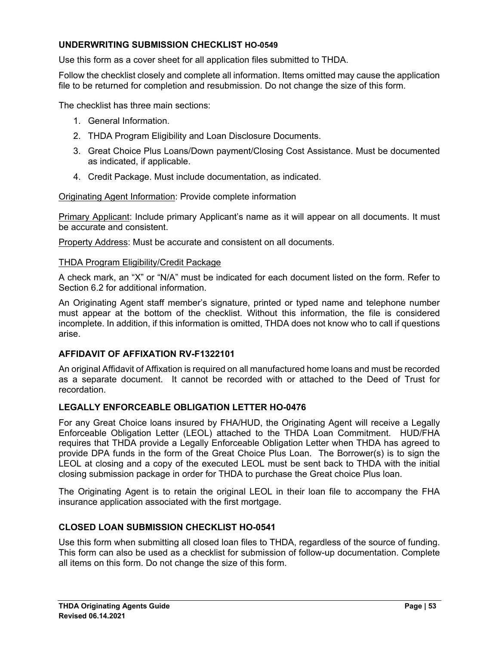# <span id="page-60-0"></span>**UNDERWRITING SUBMISSION CHECKLIST HO-0549**

Use this form as a cover sheet for all application files submitted to THDA.

Follow the checklist closely and complete all information. Items omitted may cause the application file to be returned for completion and resubmission. Do not change the size of this form.

The checklist has three main sections:

- 1. General Information.
- 2. THDA Program Eligibility and Loan Disclosure Documents.
- 3. Great Choice Plus Loans/Down payment/Closing Cost Assistance. Must be documented as indicated, if applicable.
- 4. Credit Package. Must include documentation, as indicated.

Originating Agent Information: Provide complete information

Primary Applicant: Include primary Applicant's name as it will appear on all documents. It must be accurate and consistent.

Property Address: Must be accurate and consistent on all documents.

#### THDA Program Eligibility/Credit Package

A check mark, an "X" or "N/A" must be indicated for each document listed on the form. Refer to Section 6.2 for additional information.

An Originating Agent staff member's signature, printed or typed name and telephone number must appear at the bottom of the checklist. Without this information, the file is considered incomplete. In addition, if this information is omitted, THDA does not know who to call if questions arise.

#### <span id="page-60-1"></span>**AFFIDAVIT OF AFFIXATION RV-F1322101**

An original Affidavit of Affixation is required on all manufactured home loans and must be recorded as a separate document. It cannot be recorded with or attached to the Deed of Trust for recordation.

#### <span id="page-60-2"></span>**LEGALLY ENFORCEABLE OBLIGATION LETTER HO-0476**

For any Great Choice loans insured by FHA/HUD, the Originating Agent will receive a Legally Enforceable Obligation Letter (LEOL) attached to the THDA Loan Commitment. HUD/FHA requires that THDA provide a Legally Enforceable Obligation Letter when THDA has agreed to provide DPA funds in the form of the Great Choice Plus Loan. The Borrower(s) is to sign the LEOL at closing and a copy of the executed LEOL must be sent back to THDA with the initial closing submission package in order for THDA to purchase the Great choice Plus loan.

<span id="page-60-3"></span>The Originating Agent is to retain the original LEOL in their loan file to accompany the FHA insurance application associated with the first mortgage.

#### **CLOSED LOAN SUBMISSION CHECKLIST HO-0541**

Use this form when submitting all closed loan files to THDA, regardless of the source of funding. This form can also be used as a checklist for submission of follow-up documentation. Complete all items on this form. Do not change the size of this form.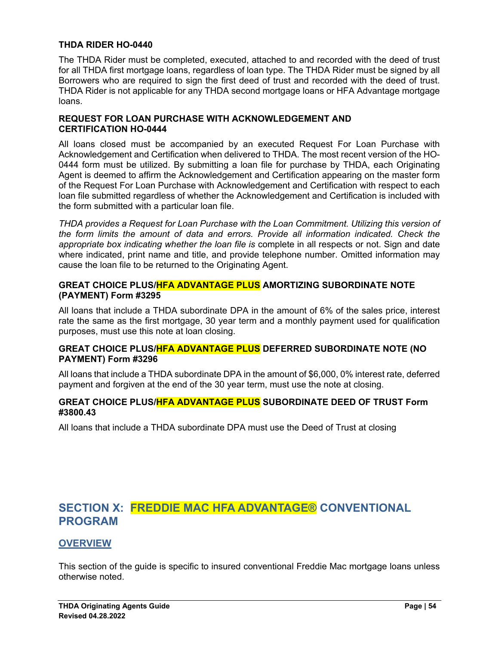#### <span id="page-61-0"></span>**THDA RIDER HO-0440**

The THDA Rider must be completed, executed, attached to and recorded with the deed of trust for all THDA first mortgage loans, regardless of loan type. The THDA Rider must be signed by all Borrowers who are required to sign the first deed of trust and recorded with the deed of trust. THDA Rider is not applicable for any THDA second mortgage loans or HFA Advantage mortgage loans.

#### <span id="page-61-1"></span>**REQUEST FOR LOAN PURCHASE WITH ACKNOWLEDGEMENT AND CERTIFICATION HO-0444**

All loans closed must be accompanied by an executed Request For Loan Purchase with Acknowledgement and Certification when delivered to THDA. The most recent version of the HO-0444 form must be utilized. By submitting a loan file for purchase by THDA, each Originating Agent is deemed to affirm the Acknowledgement and Certification appearing on the master form of the Request For Loan Purchase with Acknowledgement and Certification with respect to each loan file submitted regardless of whether the Acknowledgement and Certification is included with the form submitted with a particular loan file.

*THDA provides a Request for Loan Purchase with the Loan Commitment. Utilizing this version of the form limits the amount of data and errors. Provide all information indicated. Check the appropriate box indicating whether the loan file is* complete in all respects or not. Sign and date where indicated, print name and title, and provide telephone number. Omitted information may cause the loan file to be returned to the Originating Agent.

#### <span id="page-61-7"></span><span id="page-61-2"></span>**GREAT CHOICE PLUS/HFA ADVANTAGE PLUS AMORTIZING SUBORDINATE NOTE (PAYMENT) Form #3295**

All loans that include a THDA subordinate DPA in the amount of 6% of the sales price, interest rate the same as the first mortgage, 30 year term and a monthly payment used for qualification purposes, must use this note at loan closing.

#### <span id="page-61-3"></span>**GREAT CHOICE PLUS/HFA ADVANTAGE PLUS DEFERRED SUBORDINATE NOTE (NO PAYMENT) Form #3296**

All loans that include a THDA subordinate DPA in the amount of \$6,000, 0% interest rate, deferred payment and forgiven at the end of the 30 year term, must use the note at closing.

#### <span id="page-61-4"></span>**GREAT CHOICE PLUS/HFA ADVANTAGE PLUS SUBORDINATE DEED OF TRUST Form #3800.43**

All loans that include a THDA subordinate DPA must use the Deed of Trust at closing

# <span id="page-61-5"></span>**SECTION X: FREDDIE MAC HFA ADVANTAGE® CONVENTIONAL PROGRAM**

# <span id="page-61-6"></span>**OVERVIEW**

This section of the guide is specific to insured conventional Freddie Mac mortgage loans unless otherwise noted.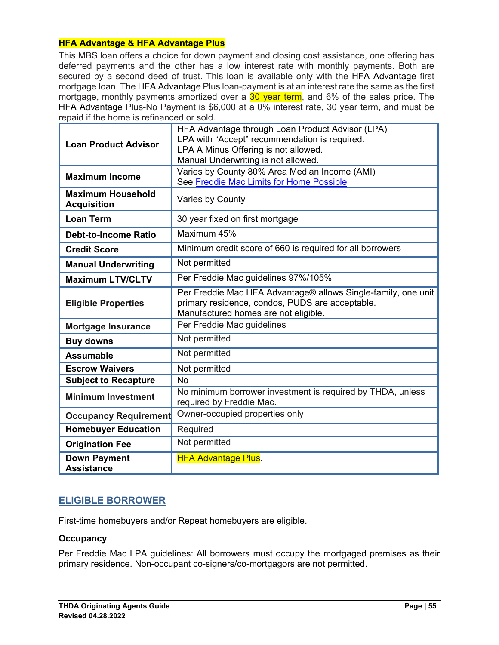#### <span id="page-62-0"></span>**HFA Advantage & HFA Advantage Plus**

This MBS loan offers a choice for down payment and closing cost assistance, one offering has deferred payments and the other has a low interest rate with monthly payments. Both are secured by a second deed of trust. This loan is available only with the HFA Advantage first mortgage loan. The HFA Advantage Plus loan-payment is at an interest rate the same as the first mortgage, monthly payments amortized over a 30 year term, and 6% of the sales price. The HFA Advantage Plus-No Payment is \$6,000 at a 0% interest rate, 30 year term, and must be repaid if the home is refinanced or sold.

| <b>Loan Product Advisor</b>                    | HFA Advantage through Loan Product Advisor (LPA)<br>LPA with "Accept" recommendation is required.<br>LPA A Minus Offering is not allowed.<br>Manual Underwriting is not allowed. |  |  |
|------------------------------------------------|----------------------------------------------------------------------------------------------------------------------------------------------------------------------------------|--|--|
| <b>Maximum Income</b>                          | Varies by County 80% Area Median Income (AMI)<br>See Freddie Mac Limits for Home Possible                                                                                        |  |  |
| <b>Maximum Household</b><br><b>Acquisition</b> | Varies by County                                                                                                                                                                 |  |  |
| <b>Loan Term</b>                               | 30 year fixed on first mortgage                                                                                                                                                  |  |  |
| <b>Debt-to-Income Ratio</b>                    | Maximum 45%                                                                                                                                                                      |  |  |
| <b>Credit Score</b>                            | Minimum credit score of 660 is required for all borrowers                                                                                                                        |  |  |
| <b>Manual Underwriting</b>                     | Not permitted                                                                                                                                                                    |  |  |
| <b>Maximum LTV/CLTV</b>                        | Per Freddie Mac guidelines 97%/105%                                                                                                                                              |  |  |
| <b>Eligible Properties</b>                     | Per Freddie Mac HFA Advantage® allows Single-family, one unit<br>primary residence, condos, PUDS are acceptable.<br>Manufactured homes are not eligible.                         |  |  |
| <b>Mortgage Insurance</b>                      | Per Freddie Mac guidelines                                                                                                                                                       |  |  |
| <b>Buy downs</b>                               | Not permitted                                                                                                                                                                    |  |  |
| <b>Assumable</b>                               | Not permitted                                                                                                                                                                    |  |  |
| <b>Escrow Waivers</b>                          | Not permitted                                                                                                                                                                    |  |  |
| <b>Subject to Recapture</b>                    | <b>No</b>                                                                                                                                                                        |  |  |
| <b>Minimum Investment</b>                      | No minimum borrower investment is required by THDA, unless<br>required by Freddie Mac.                                                                                           |  |  |
| <b>Occupancy Requirement</b>                   | Owner-occupied properties only                                                                                                                                                   |  |  |
| <b>Homebuyer Education</b>                     | Required                                                                                                                                                                         |  |  |
| <b>Origination Fee</b>                         | Not permitted                                                                                                                                                                    |  |  |
| <b>Down Payment</b><br><b>Assistance</b>       | <b>HFA Advantage Plus.</b>                                                                                                                                                       |  |  |

# <span id="page-62-1"></span>**ELIGIBLE BORROWER**

First-time homebuyers and/or Repeat homebuyers are eligible.

#### <span id="page-62-2"></span>**Occupancy**

Per Freddie Mac LPA guidelines: All borrowers must occupy the mortgaged premises as their primary residence. Non-occupant co-signers/co-mortgagors are not permitted.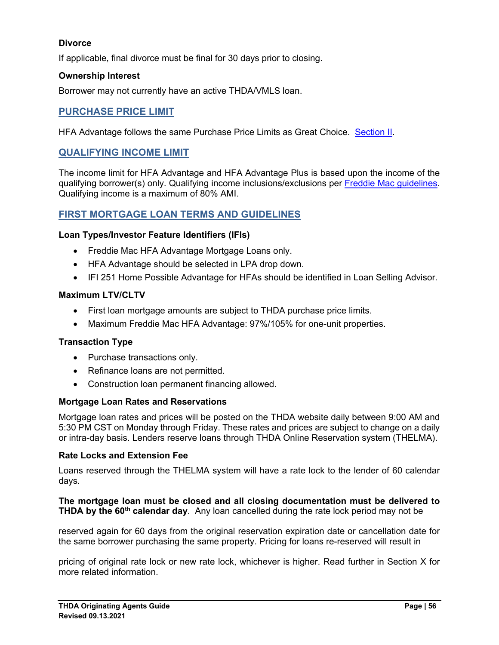## <span id="page-63-0"></span>**Divorce**

If applicable, final divorce must be final for 30 days prior to closing.

#### <span id="page-63-1"></span>**Ownership Interest**

Borrower may not currently have an active THDA/VMLS loan.

## <span id="page-63-2"></span>**PURCHASE PRICE LIMIT**

HFA Advantage follows the same Purchase Price Limits as Great Choice. [Section II.](#page-19-3)

#### <span id="page-63-3"></span>**QUALIFYING INCOME LIMIT**

The income limit for HFA Advantage and HFA Advantage Plus is based upon the income of the qualifying borrower(s) only. Qualifying income inclusions/exclusions per [Freddie Mac guidelines.](https://sf.freddiemac.com/working-with-us/affordable-lending/home-possible-eligibility-map) Qualifying income is a maximum of 80% AMI.

#### <span id="page-63-4"></span>**FIRST MORTGAGE LOAN TERMS AND GUIDELINES**

#### <span id="page-63-5"></span>**Loan Types/Investor Feature Identifiers (IFIs)**

- Freddie Mac HFA Advantage Mortgage Loans only.
- HFA Advantage should be selected in LPA drop down.
- IFI 251 Home Possible Advantage for HFAs should be identified in Loan Selling Advisor.

#### <span id="page-63-6"></span>**Maximum LTV/CLTV**

- First loan mortgage amounts are subject to THDA purchase price limits.
- Maximum Freddie Mac HFA Advantage: 97%/105% for one-unit properties.

#### <span id="page-63-7"></span>**Transaction Type**

- Purchase transactions only.
- Refinance loans are not permitted.
- Construction loan permanent financing allowed.

#### <span id="page-63-8"></span>**Mortgage Loan Rates and Reservations**

Mortgage loan rates and prices will be posted on the THDA website daily between 9:00 AM and 5:30 PM CST on Monday through Friday. These rates and prices are subject to change on a daily or intra-day basis. Lenders reserve loans through THDA Online Reservation system (THELMA).

#### <span id="page-63-9"></span>**Rate Locks and Extension Fee**

Loans reserved through the THELMA system will have a rate lock to the lender of 60 calendar days.

**The mortgage loan must be closed and all closing documentation must be delivered to THDA by the 60th calendar day**. Any loan cancelled during the rate lock period may not be

reserved again for 60 days from the original reservation expiration date or cancellation date for the same borrower purchasing the same property. Pricing for loans re-reserved will result in

<span id="page-63-10"></span>pricing of original rate lock or new rate lock, whichever is higher. Read further in Section X for more related information.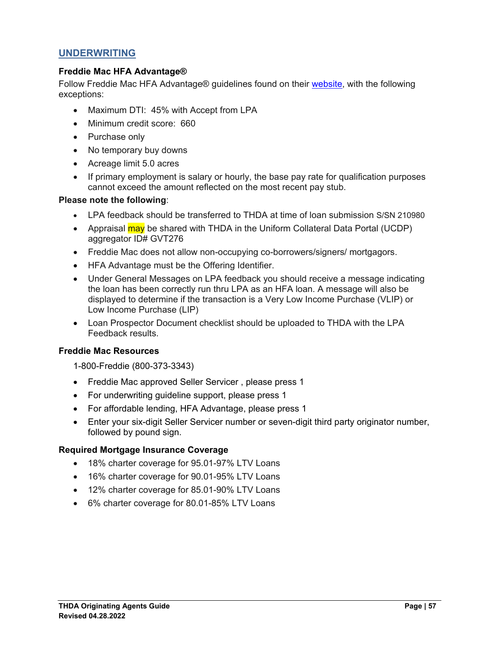# **UNDERWRITING**

#### <span id="page-64-0"></span>**Freddie Mac HFA Advantage®**

Follow Freddie Mac HFA Advantage® guidelines found on their [website,](https://sf.freddiemac.com/working-with-us/origination-underwriting/mortgage-products/hfa-advantage) with the following exceptions:

- Maximum DTI: 45% with Accept from LPA
- Minimum credit score: 660
- Purchase only
- No temporary buy downs
- Acreage limit 5.0 acres
- If primary employment is salary or hourly, the base pay rate for qualification purposes cannot exceed the amount reflected on the most recent pay stub.

#### **Please note the following**:

- LPA feedback should be transferred to THDA at time of loan submission S/SN 210980
- Appraisal may be shared with THDA in the Uniform Collateral Data Portal (UCDP) aggregator ID# GVT276
- Freddie Mac does not allow non-occupying co-borrowers/signers/ mortgagors.
- HFA Advantage must be the Offering Identifier.
- Under General Messages on LPA feedback you should receive a message indicating the loan has been correctly run thru LPA as an HFA loan. A message will also be displayed to determine if the transaction is a Very Low Income Purchase (VLIP) or Low Income Purchase (LIP)
- Loan Prospector Document checklist should be uploaded to THDA with the LPA Feedback results.

#### <span id="page-64-1"></span>**Freddie Mac Resources**

1-800-Freddie (800-373-3343)

- Freddie Mac approved Seller Servicer , please press 1
- For underwriting guideline support, please press 1
- For affordable lending, HFA Advantage, please press 1
- Enter your six-digit Seller Servicer number or seven-digit third party originator number, followed by pound sign.

#### <span id="page-64-2"></span>**Required Mortgage Insurance Coverage**

- 18% charter coverage for 95.01-97% LTV Loans
- 16% charter coverage for 90.01-95% LTV Loans
- 12% charter coverage for 85.01-90% LTV Loans
- 6% charter coverage for 80.01-85% LTV Loans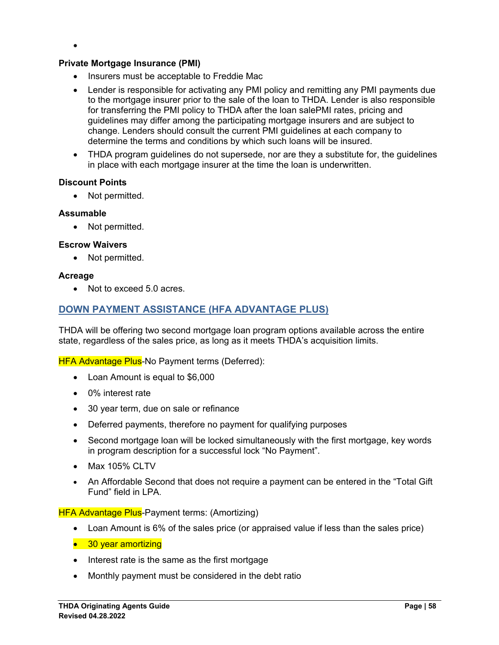<span id="page-65-0"></span>•

# **Private Mortgage Insurance (PMI)**

- Insurers must be acceptable to Freddie Mac
- Lender is responsible for activating any PMI policy and remitting any PMI payments due to the mortgage insurer prior to the sale of the loan to THDA. Lender is also responsible for transferring the PMI policy to THDA after the loan salePMI rates, pricing and guidelines may differ among the participating mortgage insurers and are subject to change. Lenders should consult the current PMI guidelines at each company to determine the terms and conditions by which such loans will be insured.
- THDA program guidelines do not supersede, nor are they a substitute for, the guidelines in place with each mortgage insurer at the time the loan is underwritten.

#### <span id="page-65-1"></span>**Discount Points**

• Not permitted.

#### <span id="page-65-2"></span>**Assumable**

• Not permitted.

#### <span id="page-65-3"></span>**Escrow Waivers**

• Not permitted.

#### <span id="page-65-4"></span>**Acreage**

• Not to exceed 5.0 acres.

# <span id="page-65-5"></span>**DOWN PAYMENT ASSISTANCE (HFA ADVANTAGE PLUS)**

THDA will be offering two second mortgage loan program options available across the entire state, regardless of the sales price, as long as it meets THDA's acquisition limits.

**HFA Advantage Plus-No Payment terms (Deferred):** 

- Loan Amount is equal to \$6,000
- 0% interest rate
- 30 year term, due on sale or refinance
- Deferred payments, therefore no payment for qualifying purposes
- Second mortgage loan will be locked simultaneously with the first mortgage, key words in program description for a successful lock "No Payment".
- Max 105% CLTV
- An Affordable Second that does not require a payment can be entered in the "Total Gift Fund" field in LPA.

**HFA Advantage Plus-Payment terms: (Amortizing)** 

- Loan Amount is 6% of the sales price (or appraised value if less than the sales price)
- 30 year amortizing
- Interest rate is the same as the first mortgage
- Monthly payment must be considered in the debt ratio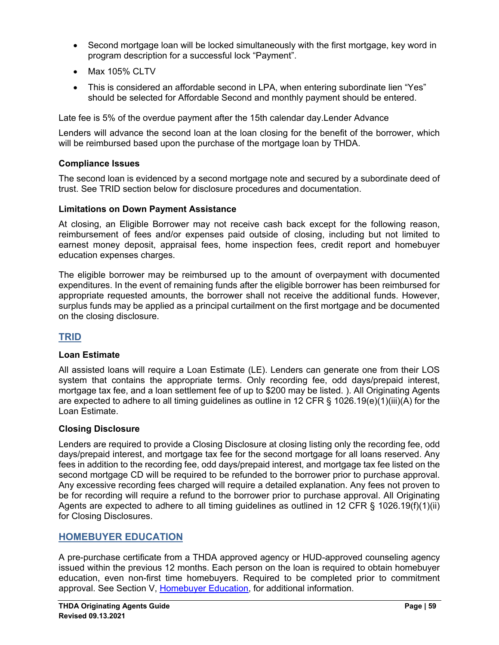- Second mortgage loan will be locked simultaneously with the first mortgage, key word in program description for a successful lock "Payment".
- Max 105% CLTV
- <span id="page-66-0"></span>• This is considered an affordable second in LPA, when entering subordinate lien "Yes" should be selected for Affordable Second and monthly payment should be entered.

Late fee is 5% of the overdue payment after the 15th calendar day.Lender Advance

Lenders will advance the second loan at the loan closing for the benefit of the borrower, which will be reimbursed based upon the purchase of the mortgage loan by THDA.

# <span id="page-66-1"></span>**Compliance Issues**

The second loan is evidenced by a second mortgage note and secured by a subordinate deed of trust. See TRID section below for disclosure procedures and documentation.

# <span id="page-66-2"></span>**Limitations on Down Payment Assistance**

At closing, an Eligible Borrower may not receive cash back except for the following reason, reimbursement of fees and/or expenses paid outside of closing, including but not limited to earnest money deposit, appraisal fees, home inspection fees, credit report and homebuyer education expenses charges.

The eligible borrower may be reimbursed up to the amount of overpayment with documented expenditures. In the event of remaining funds after the eligible borrower has been reimbursed for appropriate requested amounts, the borrower shall not receive the additional funds. However, surplus funds may be applied as a principal curtailment on the first mortgage and be documented on the closing disclosure.

# <span id="page-66-3"></span>**TRID**

#### <span id="page-66-4"></span>**Loan Estimate**

All assisted loans will require a Loan Estimate (LE). Lenders can generate one from their LOS system that contains the appropriate terms. Only recording fee, odd days/prepaid interest, mortgage tax fee, and a loan settlement fee of up to \$200 may be listed. ). All Originating Agents are expected to adhere to all timing guidelines as outline in 12 CFR § 1026.19(e)(1)(iii)(A) for the Loan Estimate.

#### <span id="page-66-5"></span>**Closing Disclosure**

Lenders are required to provide a Closing Disclosure at closing listing only the recording fee, odd days/prepaid interest, and mortgage tax fee for the second mortgage for all loans reserved. Any fees in addition to the recording fee, odd days/prepaid interest, and mortgage tax fee listed on the second mortgage CD will be required to be refunded to the borrower prior to purchase approval. Any excessive recording fees charged will require a detailed explanation. Any fees not proven to be for recording will require a refund to the borrower prior to purchase approval. All Originating Agents are expected to adhere to all timing guidelines as outlined in 12 CFR § 1026.19(f)(1)(ii) for Closing Disclosures.

# <span id="page-66-6"></span>**HOMEBUYER EDUCATION**

<span id="page-66-7"></span>A pre-purchase certificate from a THDA approved agency or HUD-approved counseling agency issued within the previous 12 months. Each person on the loan is required to obtain homebuyer education, even non-first time homebuyers. Required to be completed prior to commitment approval. See Section V, [Homebuyer Education,](#page-33-1) for additional information.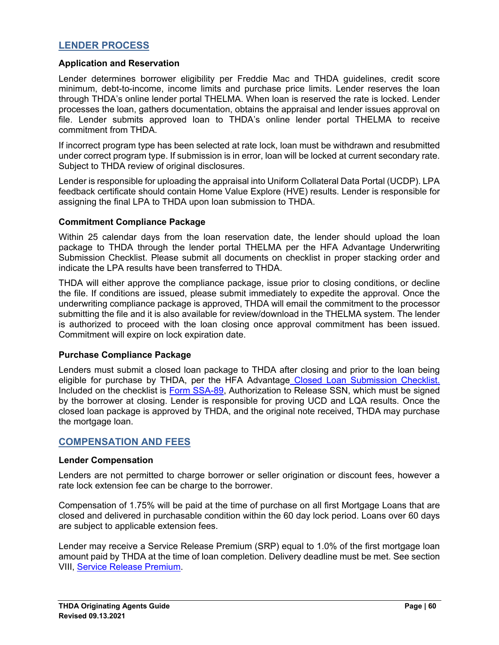# **LENDER PROCESS**

#### <span id="page-67-0"></span>**Application and Reservation**

Lender determines borrower eligibility per Freddie Mac and THDA guidelines, credit score minimum, debt-to-income, income limits and purchase price limits. Lender reserves the loan through THDA's online lender portal THELMA. When loan is reserved the rate is locked. Lender processes the loan, gathers documentation, obtains the appraisal and lender issues approval on file. Lender submits approved loan to THDA's online lender portal THELMA to receive commitment from THDA.

If incorrect program type has been selected at rate lock, loan must be withdrawn and resubmitted under correct program type. If submission is in error, loan will be locked at current secondary rate. Subject to THDA review of original disclosures.

Lender is responsible for uploading the appraisal into Uniform Collateral Data Portal (UCDP). LPA feedback certificate should contain Home Value Explore (HVE) results. Lender is responsible for assigning the final LPA to THDA upon loan submission to THDA.

#### <span id="page-67-1"></span>**Commitment Compliance Package**

Within 25 calendar days from the loan reservation date, the lender should upload the loan package to THDA through the lender portal THELMA per the HFA Advantage Underwriting Submission Checklist. Please submit all documents on checklist in proper stacking order and indicate the LPA results have been transferred to THDA.

THDA will either approve the compliance package, issue prior to closing conditions, or decline the file. If conditions are issued, please submit immediately to expedite the approval. Once the underwriting compliance package is approved, THDA will email the commitment to the processor submitting the file and it is also available for review/download in the THELMA system. The lender is authorized to proceed with the loan closing once approval commitment has been issued. Commitment will expire on lock expiration date.

#### <span id="page-67-2"></span>**Purchase Compliance Package**

Lenders must submit a closed loan package to THDA after closing and prior to the loan being eligible for purchase by THDA, per the HFA Advantage [Closed Loan Submission Checklist.](https://thda.org/pdf/0542-GC97-Closed-Loan-Submission-Checklist.pdf) Included on the checklist is [Form SSA-89,](https://thda.org/pdf/Form-SSA-89.pdf) Authorization to Release SSN, which must be signed by the borrower at closing. Lender is responsible for proving UCD and LQA results. Once the closed loan package is approved by THDA, and the original note received, THDA may purchase the mortgage loan.

#### <span id="page-67-3"></span>**COMPENSATION AND FEES**

#### <span id="page-67-4"></span>**Lender Compensation**

Lenders are not permitted to charge borrower or seller origination or discount fees, however a rate lock extension fee can be charge to the borrower.

Compensation of 1.75% will be paid at the time of purchase on all first Mortgage Loans that are closed and delivered in purchasable condition within the 60 day lock period. Loans over 60 days are subject to applicable extension fees.

Lender may receive a Service Release Premium (SRP) equal to 1.0% of the first mortgage loan amount paid by THDA at the time of loan completion. Delivery deadline must be met. See section VIII, [Service Release Premium.](#page-57-1)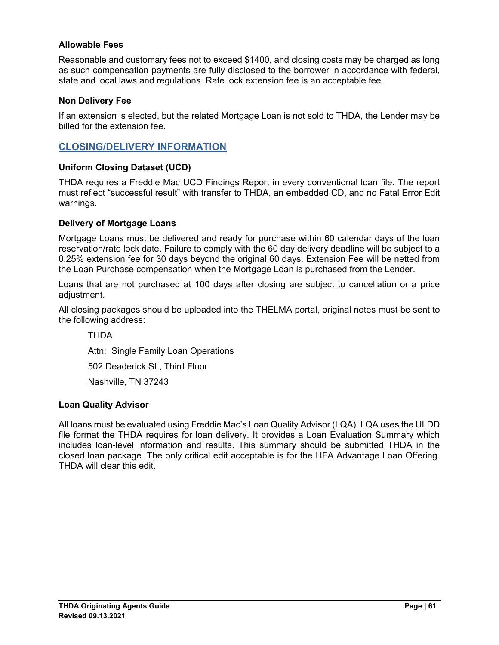# <span id="page-68-0"></span>**Allowable Fees**

Reasonable and customary fees not to exceed \$1400, and closing costs may be charged as long as such compensation payments are fully disclosed to the borrower in accordance with federal, state and local laws and regulations. Rate lock extension fee is an acceptable fee.

#### <span id="page-68-1"></span>**Non Delivery Fee**

If an extension is elected, but the related Mortgage Loan is not sold to THDA, the Lender may be billed for the extension fee.

# <span id="page-68-2"></span>**CLOSING/DELIVERY INFORMATION**

#### <span id="page-68-3"></span>**Uniform Closing Dataset (UCD)**

THDA requires a Freddie Mac UCD Findings Report in every conventional loan file. The report must reflect "successful result" with transfer to THDA, an embedded CD, and no Fatal Error Edit warnings.

#### <span id="page-68-4"></span>**Delivery of Mortgage Loans**

Mortgage Loans must be delivered and ready for purchase within 60 calendar days of the loan reservation/rate lock date. Failure to comply with the 60 day delivery deadline will be subject to a 0.25% extension fee for 30 days beyond the original 60 days. Extension Fee will be netted from the Loan Purchase compensation when the Mortgage Loan is purchased from the Lender.

Loans that are not purchased at 100 days after closing are subject to cancellation or a price adjustment.

All closing packages should be uploaded into the THELMA portal, original notes must be sent to the following address:

THDA Attn: Single Family Loan Operations 502 Deaderick St., Third Floor Nashville, TN 37243

#### <span id="page-68-5"></span>**Loan Quality Advisor**

<span id="page-68-6"></span>All loans must be evaluated using Freddie Mac's Loan Quality Advisor (LQA). LQA uses the ULDD file format the THDA requires for loan delivery. It provides a Loan Evaluation Summary which includes loan-level information and results. This summary should be submitted THDA in the closed loan package. The only critical edit acceptable is for the HFA Advantage Loan Offering. THDA will clear this edit.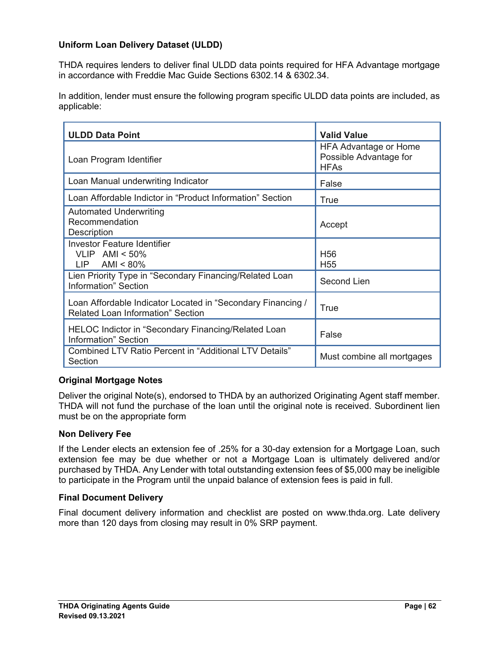# **Uniform Loan Delivery Dataset (ULDD)**

THDA requires lenders to deliver final ULDD data points required for HFA Advantage mortgage in accordance with Freddie Mac Guide Sections 6302.14 & 6302.34.

In addition, lender must ensure the following program specific ULDD data points are included, as applicable:

| <b>ULDD Data Point</b>                                                                                  | <b>Valid Value</b>                                             |
|---------------------------------------------------------------------------------------------------------|----------------------------------------------------------------|
| Loan Program Identifier                                                                                 | HFA Advantage or Home<br>Possible Advantage for<br><b>HFAs</b> |
| Loan Manual underwriting Indicator                                                                      | False                                                          |
| Loan Affordable Indictor in "Product Information" Section                                               | True                                                           |
| <b>Automated Underwriting</b><br>Recommendation<br>Description                                          | Accept                                                         |
| <b>Investor Feature Identifier</b><br>VLIP $AMI < 50\%$<br>$LIP$ AMI < 80%                              | H <sub>56</sub><br>H <sub>55</sub>                             |
| Lien Priority Type in "Secondary Financing/Related Loan<br>Information" Section                         | <b>Second Lien</b>                                             |
| Loan Affordable Indicator Located in "Secondary Financing /<br><b>Related Loan Information" Section</b> | <b>True</b>                                                    |
| HELOC Indictor in "Secondary Financing/Related Loan<br>Information" Section                             | False                                                          |
| Combined LTV Ratio Percent in "Additional LTV Details"<br>Section                                       | Must combine all mortgages                                     |

#### <span id="page-69-0"></span>**Original Mortgage Notes**

Deliver the original Note(s), endorsed to THDA by an authorized Originating Agent staff member. THDA will not fund the purchase of the loan until the original note is received. Subordinent lien must be on the appropriate form

#### <span id="page-69-1"></span>**Non Delivery Fee**

If the Lender elects an extension fee of .25% for a 30-day extension for a Mortgage Loan, such extension fee may be due whether or not a Mortgage Loan is ultimately delivered and/or purchased by THDA. Any Lender with total outstanding extension fees of \$5,000 may be ineligible to participate in the Program until the unpaid balance of extension fees is paid in full.

#### <span id="page-69-2"></span>**Final Document Delivery**

<span id="page-69-3"></span>Final document delivery information and checklist are posted on www.thda.org. Late delivery more than 120 days from closing may result in 0% SRP payment.